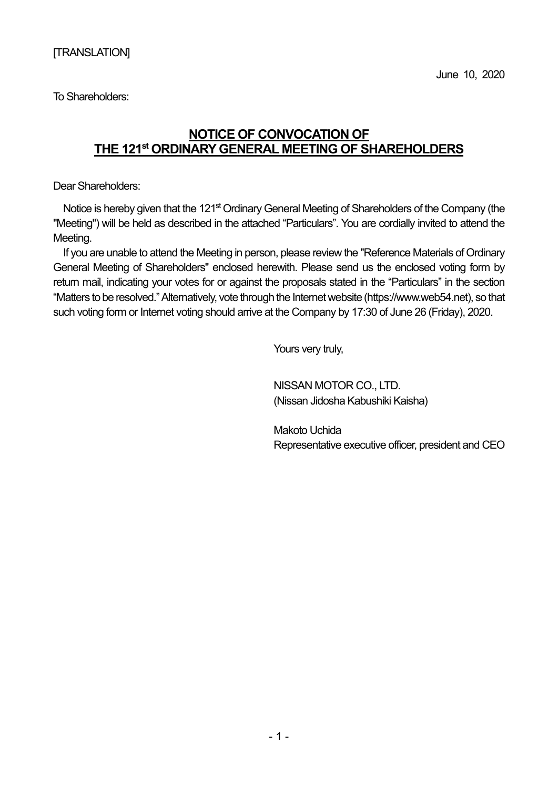To Shareholders:

# **NOTICE OF CONVOCATION OF THE 121st ORDINARY GENERAL MEETING OF SHAREHOLDERS**

Dear Shareholders:

Notice is hereby given that the 121<sup>st</sup> Ordinary General Meeting of Shareholders of the Company (the "Meeting") will be held as described in the attached "Particulars". You are cordially invited to attend the Meeting.

If you are unable to attend the Meeting in person, please review the "Reference Materials of Ordinary General Meeting of Shareholders" enclosed herewith. Please send us the enclosed voting form by return mail, indicating your votes for or against the proposals stated in the "Particulars" in the section "Matters to be resolved." Alternatively, vote through the Internet website (https://www.web54.net), so that such voting form or Internet voting should arrive at the Company by 17:30 of June 26 (Friday), 2020.

Yours very truly,

NISSAN MOTOR CO., LTD. (Nissan Jidosha Kabushiki Kaisha)

Makoto Uchida Representative executive officer, president and CEO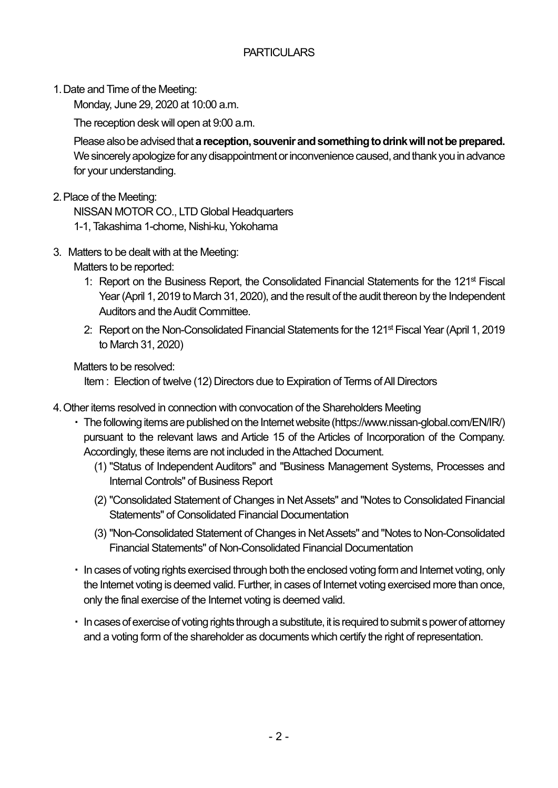1. Date and Time of the Meeting:

Monday, June 29, 2020 at 10:00 a.m.

The reception desk will open at 9:00 a.m.

Please also be advised that **a reception, souvenir and something to drink will not be prepared.** We sincerely apologize for any disappointment or inconvenience caused, and thank you in advance for your understanding.

# 2. Place of the Meeting:

NISSAN MOTOR CO., LTD Global Headquarters 1-1, Takashima 1-chome, Nishi-ku, Yokohama

3. Matters to be dealt with at the Meeting:

Matters to be reported:

- 1: Report on the Business Report, the Consolidated Financial Statements for the 121<sup>st</sup> Fiscal Year (April 1, 2019 to March 31, 2020), and the result of the audit thereon by the Independent Auditors and the Audit Committee.
- 2: Report on the Non-Consolidated Financial Statements for the 121<sup>st</sup> Fiscal Year (April 1, 2019 to March 31, 2020)

Matters to be resolved:

Item : Election of twelve (12) Directors due to Expiration of Terms of All Directors

- 4. Other items resolved in connection with convocation of the Shareholders Meeting
	- ・ The following items are published on the Internet website (https://www.nissan-global.com/EN/IR/) pursuant to the relevant laws and Article 15 of the Articles of Incorporation of the Company. Accordingly, these items are not included in the Attached Document.
		- (1) "Status of Independent Auditors" and "Business Management Systems, Processes and Internal Controls" of Business Report
		- (2) "Consolidated Statement of Changes in Net Assets" and "Notes to Consolidated Financial Statements" of Consolidated Financial Documentation
		- (3) "Non-Consolidated Statement of Changes in Net Assets" and "Notes to Non-Consolidated Financial Statements" of Non-Consolidated Financial Documentation
	- ・ In cases of voting rights exercised through both the enclosed voting form and Internet voting, only the Internet voting is deemed valid. Further, in cases of Internet voting exercised more than once, only the final exercise of the Internet voting is deemed valid.
	- ・ In cases of exercise of voting rights through a substitute, it is required to submit s power of attorney and a voting form of the shareholder as documents which certify the right of representation.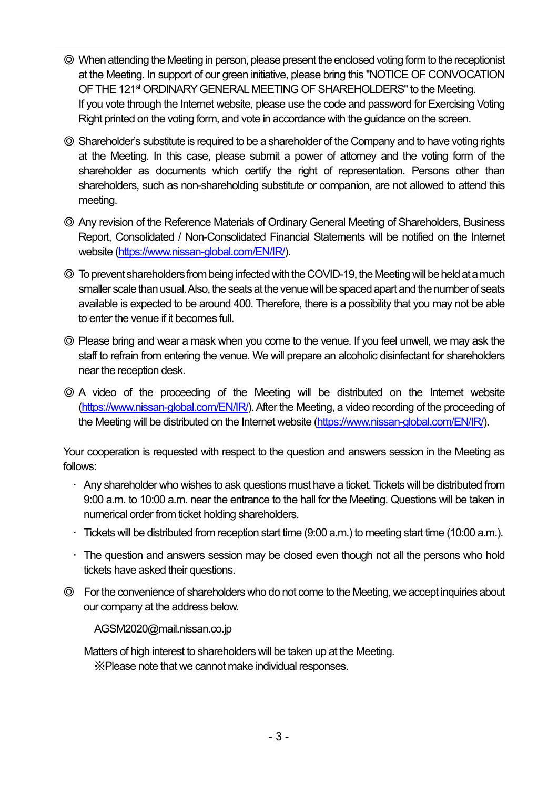- ◎ When attending the Meeting in person, please present the enclosed voting form to the receptionist at the Meeting. In support of our green initiative, please bring this "NOTICE OF CONVOCATION OF THE 121<sup>st</sup> ORDINARY GENERAL MEETING OF SHAREHOLDERS" to the Meeting. If you vote through the Internet website, please use the code and password for Exercising Voting Right printed on the voting form, and vote in accordance with the guidance on the screen.
- ◎ Shareholder's substitute is required to be a shareholder of the Company and to have voting rights at the Meeting. In this case, please submit a power of attorney and the voting form of the shareholder as documents which certify the right of representation. Persons other than shareholders, such as non-shareholding substitute or companion, are not allowed to attend this meeting.
- ◎ Any revision of the Reference Materials of Ordinary General Meeting of Shareholders, Business Report, Consolidated / Non-Consolidated Financial Statements will be notified on the Internet website (https://www.nissan-global.com/EN/IR/).
- ◎ To prevent shareholders from being infected with the COVID-19, the Meeting will be held at a much smaller scale than usual. Also, the seats at the venue will be spaced apart and the number of seats available is expected to be around 400. Therefore, there is a possibility that you may not be able to enter the venue if it becomes full.
- ◎ Please bring and wear a mask when you come to the venue. If you feel unwell, we may ask the staff to refrain from entering the venue. We will prepare an alcoholic disinfectant for shareholders near the reception desk.
- ◎ A video of the proceeding of the Meeting will be distributed on the Internet website (https://www.nissan-global.com/EN/IR/). After the Meeting, a video recording of the proceeding of the Meeting will be distributed on the Internet website (https://www.nissan-global.com/EN/IR/).

Your cooperation is requested with respect to the question and answers session in the Meeting as follows:

- Any shareholder who wishes to ask questions must have a ticket. Tickets will be distributed from 9:00 a.m. to 10:00 a.m. near the entrance to the hall for the Meeting. Questions will be taken in numerical order from ticket holding shareholders.
- $\cdot$  Tickets will be distributed from reception start time (9:00 a.m.) to meeting start time (10:00 a.m.).
- The question and answers session may be closed even though not all the persons who hold tickets have asked their questions.
- ◎ For the convenience of shareholders who do not come to the Meeting, we accept inquiries about our company at the address below.

AGSM2020@mail.nissan.co.jp

Matters of high interest to shareholders will be taken up at the Meeting. ※Please note that we cannot make individual responses.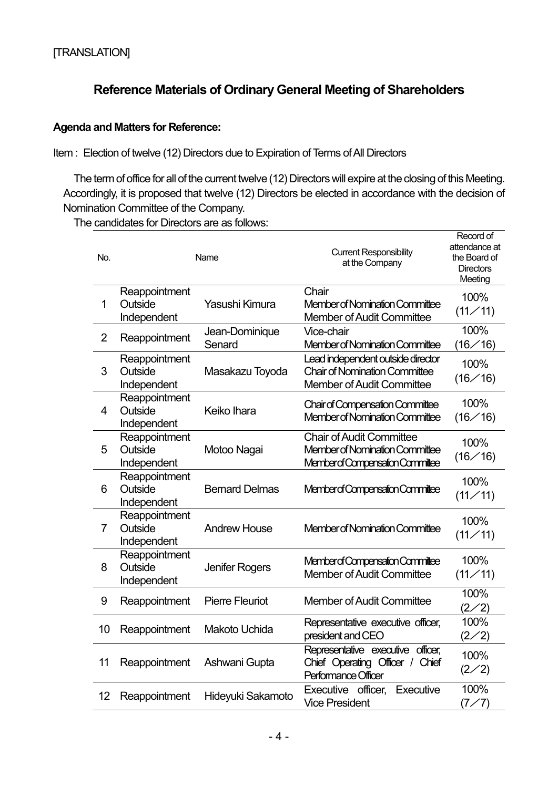# **Reference Materials of Ordinary General Meeting of Shareholders**

# **Agenda and Matters for Reference:**

Item : Election of twelve (12) Directors due to Expiration of Terms of All Directors

The term of office for all of the current twelve (12) Directors will expire at the closing of this Meeting. Accordingly, it is proposed that twelve (12) Directors be elected in accordance with the decision of Nomination Committee of the Company.

The candidates for Directors are as follows:

| No.            |                                         | Name                     | <b>Current Responsibility</b><br>at the Company                                                              | Record of<br>attendance at<br>the Board of<br><b>Directors</b><br>Meeting |
|----------------|-----------------------------------------|--------------------------|--------------------------------------------------------------------------------------------------------------|---------------------------------------------------------------------------|
| 1              | Reappointment<br>Outside<br>Independent | Yasushi Kimura           | Chair<br>Member of Nomination Committee<br><b>Member of Audit Committee</b>                                  | 100%<br>(11/11)                                                           |
| 2              | Reappointment                           | Jean-Dominique<br>Senard | Vice-chair<br>Member of Nomination Committee                                                                 | 100%<br>(16/16)                                                           |
| 3              | Reappointment<br>Outside<br>Independent | Masakazu Toyoda          | Lead independent outside director<br><b>Chair of Nomination Committee</b><br>Member of Audit Committee       | 100%<br>(16/16)                                                           |
| 4              | Reappointment<br>Outside<br>Independent | Keiko Ihara              | <b>Chair of Compensation Committee</b><br>Member of Nomination Committee                                     | 100%<br>(16/16)                                                           |
| 5              | Reappointment<br>Outside<br>Independent | Motoo Nagai              | <b>Chair of Audit Committee</b><br><b>Member of Nomination Committee</b><br>Member of Compensation Committee | 100%<br>(16/16)                                                           |
| 6              | Reappointment<br>Outside<br>Independent | <b>Bernard Delmas</b>    | Member of Compensation Committee                                                                             | 100%<br>(11/11)                                                           |
| $\overline{7}$ | Reappointment<br>Outside<br>Independent | <b>Andrew House</b>      | Member of Nomination Committee                                                                               | 100%<br>(11/11)                                                           |
| 8              | Reappointment<br>Outside<br>Independent | Jenifer Rogers           | Member of Compensation Committee<br><b>Member of Audit Committee</b>                                         | 100%<br>(11/11)                                                           |
| 9              | Reappointment                           | <b>Pierre Fleuriot</b>   | <b>Member of Audit Committee</b>                                                                             | 100%<br>(2/2)                                                             |
| 10             | Reappointment                           | <b>Makoto Uchida</b>     | Representative executive officer,<br>president and CEO                                                       | 100%<br>(2/2)                                                             |
| 11             | Reappointment                           | Ashwani Gupta            | Representative executive officer,<br>Chief Operating Officer / Chief<br>Performance Officer                  | 100%<br>(2/2)                                                             |
| 12             | Reappointment                           | Hideyuki Sakamoto        | Executive officer,<br>Executive<br><b>Vice President</b>                                                     | 100%<br>(7/7)                                                             |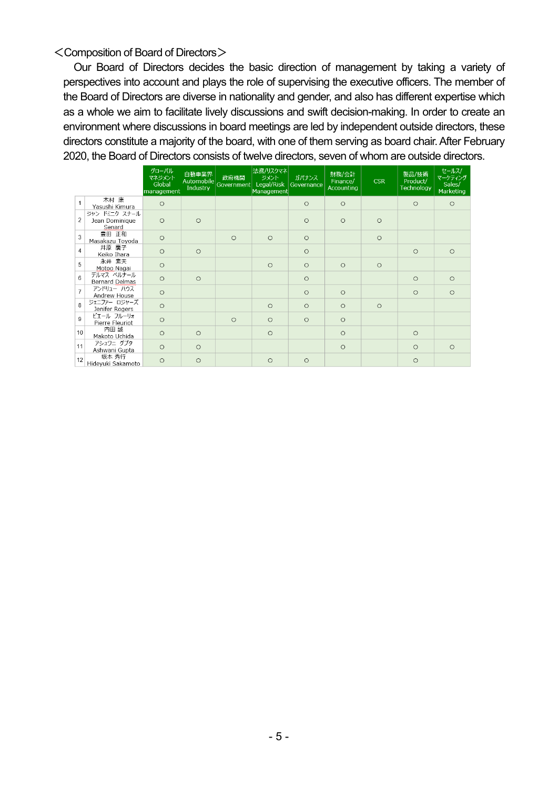<Composition of Board of Directors>

Our Board of Directors decides the basic direction of management by taking a variety of perspectives into account and plays the role of supervising the executive officers. The member of the Board of Directors are diverse in nationality and gender, and also has different expertise which as a whole we aim to facilitate lively discussions and swift decision-making. In order to create an environment where discussions in board meetings are led by independent outside directors, these directors constitute a majority of the board, with one of them serving as board chair. After February 2020, the Board of Directors consists of twelve directors, seven of whom are outside directors.

|                |                                           | グローバル<br>マネジメント<br>Global<br>management | 自動車業界   | 政府機関<br>Automobile Government | 法務/リスクマネ<br>ジメント<br>Legal/Risk<br>Management | ガバナンス<br>Governance | 財務/会計<br>Finance/<br>Accounting | <b>CSR</b> | 製品/技術<br>Product/<br><b>Technology</b> | セールス/<br>マーケティング<br>Sales/<br>Marketing |
|----------------|-------------------------------------------|-----------------------------------------|---------|-------------------------------|----------------------------------------------|---------------------|---------------------------------|------------|----------------------------------------|-----------------------------------------|
| $\mathbf{1}$   | 木村 康<br>Yasushi Kimura                    | $\circ$                                 |         |                               |                                              | $\circ$             | $\circ$                         |            | $\circ$                                | $\circ$                                 |
| 2              | ジャン ドミニク スナール<br>Jean Dominique<br>Senard | $\circ$                                 | $\circ$ |                               |                                              | $\circ$             | $\circ$                         | $\circ$    |                                        |                                         |
| 3              | 豊田 正和<br>Masakazu Toyoda                  | $\circ$                                 |         | $\circ$                       | $\circ$                                      | $\circ$             |                                 | $\circ$    |                                        |                                         |
| $\overline{4}$ | 井原 慶子<br>Keiko Ihara                      | $\circ$                                 | $\circ$ |                               |                                              | $\circ$             |                                 |            | $\circ$                                | $\circ$                                 |
| 5              | 永井 素夫<br>Motoo Nagai                      | $\circ$                                 |         |                               | $\circ$                                      | $\circ$             | $\circ$                         | $\circ$    |                                        |                                         |
| 6              | デルマス ベルナール<br>Bernard Delmas              | $\circ$                                 | $\circ$ |                               |                                              | $\circ$             |                                 |            | $\circ$                                | $\circ$                                 |
| $\overline{7}$ | アンドリュー ハウス<br>Andrew House                | $\circ$                                 |         |                               |                                              | $\circ$             | $\circ$                         |            | $\circ$                                | $\circ$                                 |
| 8              | ジェニファー ロジャーズ<br>Jenifer Rogers            | $\circ$                                 |         |                               | $\circ$                                      | $\circ$             | $\circ$                         | $\circ$    |                                        |                                         |
| 9              | ビエール フルーリォ<br>Pierre Fleuriot             | $\circ$                                 |         | $\circ$                       | $\Omega$                                     | $\Omega$            | $\circ$                         |            |                                        |                                         |
| 10             | 内田 誠<br>Makoto Uchida                     | $\circ$                                 | $\circ$ |                               | $\circ$                                      |                     | $\circ$                         |            | $\circ$                                |                                         |
| 11             | アシュワニ グプタ<br>Ashwani Gupta                | $\circ$                                 | $\circ$ |                               |                                              |                     | $\circ$                         |            | $\circ$                                | $\circ$                                 |
| 12             | 坂本 秀行<br>Hideyuki Sakamoto                | $\circ$                                 | $\circ$ |                               | $\circ$                                      | $\circ$             |                                 |            | $\circ$                                |                                         |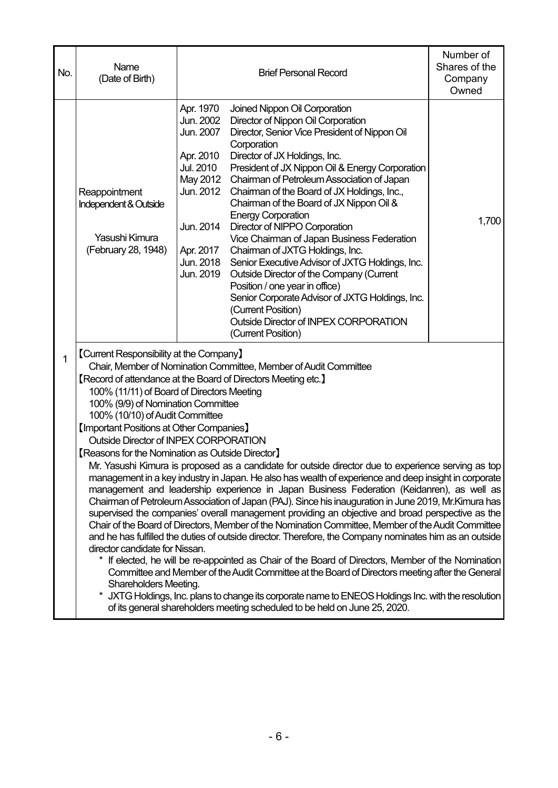| No. | Name<br>(Date of Birth)                                                                                                                                                                                                                                                                                                                                                                                                                                                                                                                                                                                                                                                                                                                                                                                                                                                                                                                                                                                                                                                                                                                                                                                                                                                                                                                                                                                                                                                                                                                                                                            | <b>Brief Personal Record</b>                                                                                                                                                                                                                                                                                                                                                                                                                                                                                                                                                                                                                                                                                                                                                                                                                                                                                                                  | Number of<br>Shares of the<br>Company<br>Owned |  |  |
|-----|----------------------------------------------------------------------------------------------------------------------------------------------------------------------------------------------------------------------------------------------------------------------------------------------------------------------------------------------------------------------------------------------------------------------------------------------------------------------------------------------------------------------------------------------------------------------------------------------------------------------------------------------------------------------------------------------------------------------------------------------------------------------------------------------------------------------------------------------------------------------------------------------------------------------------------------------------------------------------------------------------------------------------------------------------------------------------------------------------------------------------------------------------------------------------------------------------------------------------------------------------------------------------------------------------------------------------------------------------------------------------------------------------------------------------------------------------------------------------------------------------------------------------------------------------------------------------------------------------|-----------------------------------------------------------------------------------------------------------------------------------------------------------------------------------------------------------------------------------------------------------------------------------------------------------------------------------------------------------------------------------------------------------------------------------------------------------------------------------------------------------------------------------------------------------------------------------------------------------------------------------------------------------------------------------------------------------------------------------------------------------------------------------------------------------------------------------------------------------------------------------------------------------------------------------------------|------------------------------------------------|--|--|
|     | Reappointment<br>Independent & Outside<br>Yasushi Kimura<br>(February 28, 1948)                                                                                                                                                                                                                                                                                                                                                                                                                                                                                                                                                                                                                                                                                                                                                                                                                                                                                                                                                                                                                                                                                                                                                                                                                                                                                                                                                                                                                                                                                                                    | Apr. 1970<br>Joined Nippon Oil Corporation<br>Jun. 2002<br>Director of Nippon Oil Corporation<br>Jun. 2007<br>Director, Senior Vice President of Nippon Oil<br>Corporation<br>Apr. 2010<br>Director of JX Holdings, Inc.<br>Jul. 2010<br>President of JX Nippon Oil & Energy Corporation<br>May 2012<br>Chairman of Petroleum Association of Japan<br>Jun. 2012<br>Chairman of the Board of JX Holdings, Inc.,<br>Chairman of the Board of JX Nippon Oil &<br><b>Energy Corporation</b><br>Jun. 2014<br>Director of NIPPO Corporation<br>Vice Chairman of Japan Business Federation<br>Chairman of JXTG Holdings, Inc.<br>Apr. 2017<br>Senior Executive Advisor of JXTG Holdings, Inc.<br>Jun. 2018<br>Jun. 2019<br>Outside Director of the Company (Current<br>Position / one year in office)<br>Senior Corporate Advisor of JXTG Holdings, Inc.<br>(Current Position)<br><b>Outside Director of INPEX CORPORATION</b><br>(Current Position) | 1,700                                          |  |  |
| 1   | <b>[Current Responsibility at the Company]</b><br>Chair, Member of Nomination Committee, Member of Audit Committee<br><b>[Record of attendance at the Board of Directors Meeting etc.]</b><br>100% (11/11) of Board of Directors Meeting<br>100% (9/9) of Nomination Committee<br>100% (10/10) of Audit Committee<br><b>【Important Positions at Other Companies】</b><br><b>Outside Director of INPEX CORPORATION</b><br><b>[Reasons for the Nomination as Outside Director]</b><br>Mr. Yasushi Kimura is proposed as a candidate for outside director due to experience serving as top<br>management in a key industry in Japan. He also has wealth of experience and deep insight in corporate<br>management and leadership experience in Japan Business Federation (Keidanren), as well as<br>Chairman of Petroleum Association of Japan (PAJ). Since his inauguration in June 2019, Mr.Kimura has<br>supervised the companies' overall management providing an objective and broad perspective as the<br>Chair of the Board of Directors, Member of the Nomination Committee, Member of the Audit Committee<br>and he has fulfilled the duties of outside director. Therefore, the Company nominates him as an outside<br>director candidate for Nissan.<br>* If elected, he will be re-appointed as Chair of the Board of Directors, Member of the Nomination<br>Committee and Member of the Audit Committee at the Board of Directors meeting after the General<br>Shareholders Meeting.<br>JXTG Holdings, Inc. plans to change its corporate name to ENEOS Holdings Inc. with the resolution |                                                                                                                                                                                                                                                                                                                                                                                                                                                                                                                                                                                                                                                                                                                                                                                                                                                                                                                                               |                                                |  |  |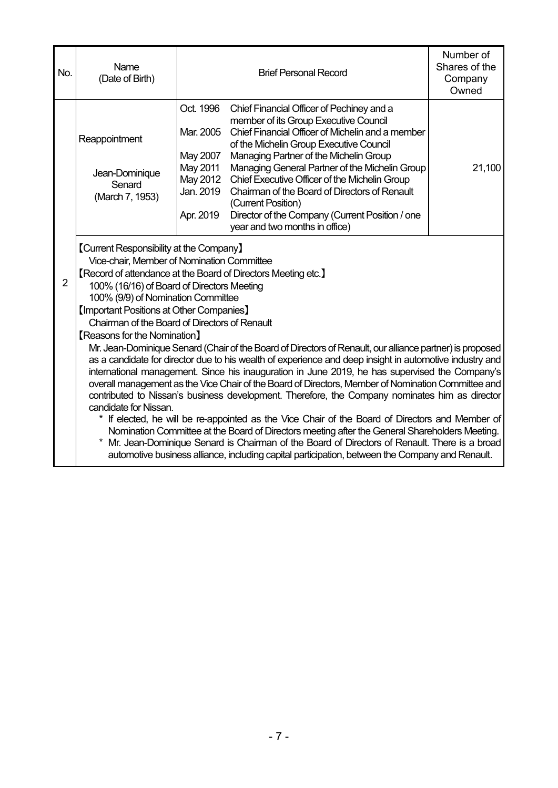| No.            | Name<br>(Date of Birth)                                                                                                                                                                                                                                                                                                                                                                                                                                                                                                                                                                                                                                                                                                                                                                                                                                                                                                                                                                                                                                                                                                                                                                                                                                                                                                                                               |                                                                                      | <b>Brief Personal Record</b>                                                                                                                                                                                                                                                                                                                                                                                                                                                               | Number of<br>Shares of the<br>Company<br>Owned |
|----------------|-----------------------------------------------------------------------------------------------------------------------------------------------------------------------------------------------------------------------------------------------------------------------------------------------------------------------------------------------------------------------------------------------------------------------------------------------------------------------------------------------------------------------------------------------------------------------------------------------------------------------------------------------------------------------------------------------------------------------------------------------------------------------------------------------------------------------------------------------------------------------------------------------------------------------------------------------------------------------------------------------------------------------------------------------------------------------------------------------------------------------------------------------------------------------------------------------------------------------------------------------------------------------------------------------------------------------------------------------------------------------|--------------------------------------------------------------------------------------|--------------------------------------------------------------------------------------------------------------------------------------------------------------------------------------------------------------------------------------------------------------------------------------------------------------------------------------------------------------------------------------------------------------------------------------------------------------------------------------------|------------------------------------------------|
|                | Reappointment<br>Jean-Dominique<br>Senard<br>(March 7, 1953)                                                                                                                                                                                                                                                                                                                                                                                                                                                                                                                                                                                                                                                                                                                                                                                                                                                                                                                                                                                                                                                                                                                                                                                                                                                                                                          | Oct. 1996<br>Mar. 2005<br>May 2007<br>May 2011<br>May 2012<br>Jan. 2019<br>Apr. 2019 | Chief Financial Officer of Pechiney and a<br>member of its Group Executive Council<br>Chief Financial Officer of Michelin and a member<br>of the Michelin Group Executive Council<br>Managing Partner of the Michelin Group<br>Managing General Partner of the Michelin Group<br>Chief Executive Officer of the Michelin Group<br>Chairman of the Board of Directors of Renault<br>(Current Position)<br>Director of the Company (Current Position / one<br>year and two months in office) | 21,100                                         |
| $\overline{2}$ | <b>[Current Responsibility at the Company]</b><br>Vice-chair, Member of Nomination Committee<br><b>[Record of attendance at the Board of Directors Meeting etc.]</b><br>100% (16/16) of Board of Directors Meeting<br>100% (9/9) of Nomination Committee<br><b>【Important Positions at Other Companies】</b><br>Chairman of the Board of Directors of Renault<br><b>[Reasons for the Nomination]</b><br>Mr. Jean-Dominique Senard (Chair of the Board of Directors of Renault, our alliance partner) is proposed<br>as a candidate for director due to his wealth of experience and deep insight in automotive industry and<br>international management. Since his inauguration in June 2019, he has supervised the Company's<br>overall management as the Vice Chair of the Board of Directors, Member of Nomination Committee and<br>contributed to Nissan's business development. Therefore, the Company nominates him as director<br>candidate for Nissan.<br>* If elected, he will be re-appointed as the Vice Chair of the Board of Directors and Member of<br>Nomination Committee at the Board of Directors meeting after the General Shareholders Meeting.<br>Mr. Jean-Dominique Senard is Chairman of the Board of Directors of Renault. There is a broad<br>automotive business alliance, including capital participation, between the Company and Renault. |                                                                                      |                                                                                                                                                                                                                                                                                                                                                                                                                                                                                            |                                                |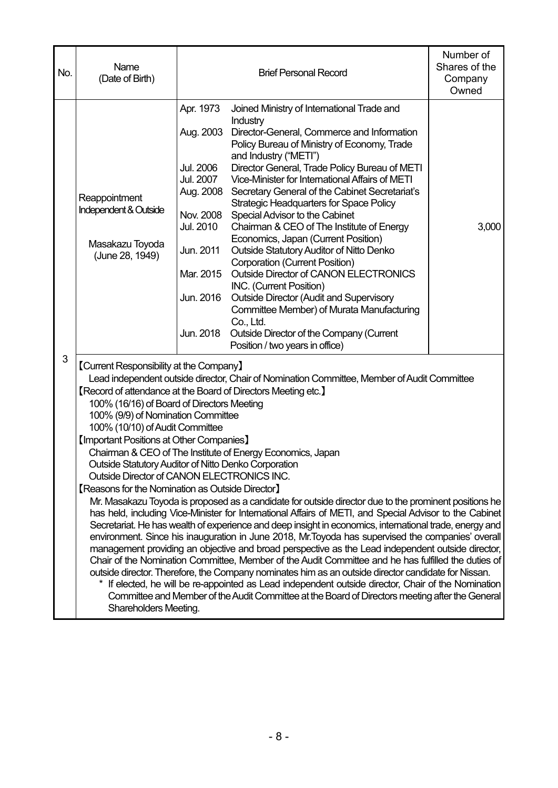| No. | Name<br>(Date of Birth)                                                                                                                                                                                                                                                                                                                                                                                                   |                                                                                                                                             | <b>Brief Personal Record</b>                                                                                                                                                                                                                                                                                                                                                                                                                                                                                                                                                                                                                                                                                                                                                                                                                                                                                                                                                                                                                                                                                                                                                                      | Number of<br>Shares of the<br>Company<br>Owned |
|-----|---------------------------------------------------------------------------------------------------------------------------------------------------------------------------------------------------------------------------------------------------------------------------------------------------------------------------------------------------------------------------------------------------------------------------|---------------------------------------------------------------------------------------------------------------------------------------------|---------------------------------------------------------------------------------------------------------------------------------------------------------------------------------------------------------------------------------------------------------------------------------------------------------------------------------------------------------------------------------------------------------------------------------------------------------------------------------------------------------------------------------------------------------------------------------------------------------------------------------------------------------------------------------------------------------------------------------------------------------------------------------------------------------------------------------------------------------------------------------------------------------------------------------------------------------------------------------------------------------------------------------------------------------------------------------------------------------------------------------------------------------------------------------------------------|------------------------------------------------|
|     | Reappointment<br>Independent & Outside<br>Masakazu Toyoda<br>(June 28, 1949)                                                                                                                                                                                                                                                                                                                                              | Apr. 1973<br>Aug. 2003<br>Jul. 2006<br>Jul. 2007<br>Aug. 2008<br>Nov. 2008<br>Jul. 2010<br>Jun. 2011<br>Mar. 2015<br>Jun. 2016<br>Jun. 2018 | Joined Ministry of International Trade and<br>Industry<br>Director-General, Commerce and Information<br>Policy Bureau of Ministry of Economy, Trade<br>and Industry ("METI")<br>Director General, Trade Policy Bureau of METI<br>Vice-Minister for International Affairs of METI<br>Secretary General of the Cabinet Secretariat's<br><b>Strategic Headquarters for Space Policy</b><br>Special Advisor to the Cabinet<br>Chairman & CEO of The Institute of Energy<br>Economics, Japan (Current Position)<br><b>Outside Statutory Auditor of Nitto Denko</b><br>Corporation (Current Position)<br>Outside Director of CANON ELECTRONICS<br>INC. (Current Position)<br><b>Outside Director (Audit and Supervisory</b><br>Committee Member) of Murata Manufacturing<br>Co., Ltd.<br>Outside Director of the Company (Current<br>Position / two years in office)                                                                                                                                                                                                                                                                                                                                    | 3,000                                          |
| 3   | <b>[Current Responsibility at the Company]</b><br>100% (16/16) of Board of Directors Meeting<br>100% (9/9) of Nomination Committee<br>100% (10/10) of Audit Committee<br><b>[Important Positions at Other Companies]</b><br>Outside Statutory Auditor of Nitto Denko Corporation<br>Outside Director of CANON ELECTRONICS INC.<br><b>[Reasons for the Nomination as Outside Director]</b><br><b>Shareholders Meeting.</b> |                                                                                                                                             | Lead independent outside director, Chair of Nomination Committee, Member of Audit Committee<br><b>[Record of attendance at the Board of Directors Meeting etc.]</b><br>Chairman & CEO of The Institute of Energy Economics, Japan<br>Mr. Masakazu Toyoda is proposed as a candidate for outside director due to the prominent positions he<br>has held, including Vice-Minister for International Affairs of METI, and Special Advisor to the Cabinet<br>Secretariat. He has wealth of experience and deep insight in economics, international trade, energy and<br>environment. Since his inauguration in June 2018, Mr. Toyoda has supervised the companies' overall<br>management providing an objective and broad perspective as the Lead independent outside director,<br>Chair of the Nomination Committee, Member of the Audit Committee and he has fulfilled the duties of<br>outside director. Therefore, the Company nominates him as an outside director candidate for Nissan.<br>If elected, he will be re-appointed as Lead independent outside director, Chair of the Nomination<br>Committee and Member of the Audit Committee at the Board of Directors meeting after the General |                                                |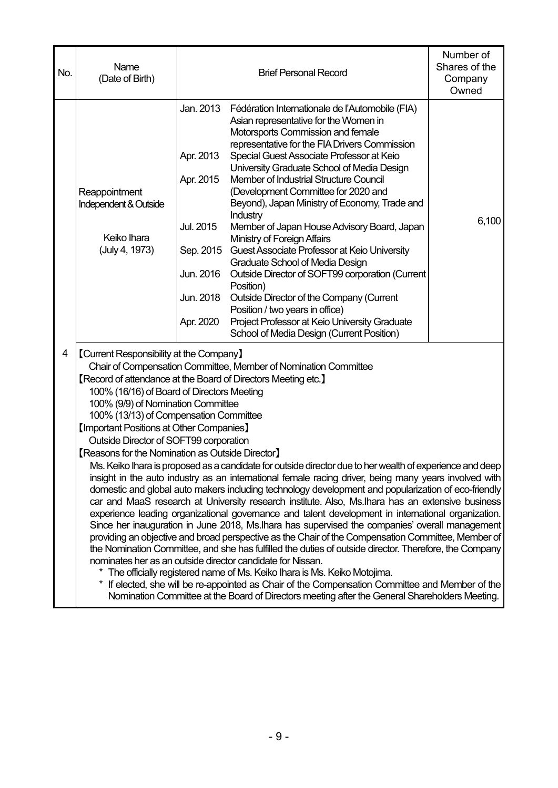| No. | Name<br>(Date of Birth)                                                                                                                                                                                                                                                                                                                  |                                                                                                      | <b>Brief Personal Record</b>                                                                                                                                                                                                                                                                                                                                                                                                                                                                                                                                                                                                                                                                                                                                                                                                                                                                                                                                                                                                                                                                                                                                                                                                                                                                                                            | Number of<br>Shares of the<br>Company<br>Owned |
|-----|------------------------------------------------------------------------------------------------------------------------------------------------------------------------------------------------------------------------------------------------------------------------------------------------------------------------------------------|------------------------------------------------------------------------------------------------------|-----------------------------------------------------------------------------------------------------------------------------------------------------------------------------------------------------------------------------------------------------------------------------------------------------------------------------------------------------------------------------------------------------------------------------------------------------------------------------------------------------------------------------------------------------------------------------------------------------------------------------------------------------------------------------------------------------------------------------------------------------------------------------------------------------------------------------------------------------------------------------------------------------------------------------------------------------------------------------------------------------------------------------------------------------------------------------------------------------------------------------------------------------------------------------------------------------------------------------------------------------------------------------------------------------------------------------------------|------------------------------------------------|
|     | Reappointment<br>Independent & Outside<br>Keiko Ihara<br>(July 4, 1973)                                                                                                                                                                                                                                                                  | Jan. 2013<br>Apr. 2013<br>Apr. 2015<br>Jul. 2015<br>Sep. 2015<br>Jun. 2016<br>Jun. 2018<br>Apr. 2020 | Fédération Internationale de l'Automobile (FIA)<br>Asian representative for the Women in<br>Motorsports Commission and female<br>representative for the FIA Drivers Commission<br>Special Guest Associate Professor at Keio<br>University Graduate School of Media Design<br>Member of Industrial Structure Council<br>(Development Committee for 2020 and<br>Beyond), Japan Ministry of Economy, Trade and<br>Industry<br>Member of Japan House Advisory Board, Japan<br>Ministry of Foreign Affairs<br>Guest Associate Professor at Keio University<br>Graduate School of Media Design<br>Outside Director of SOFT99 corporation (Current<br>Position)<br>Outside Director of the Company (Current<br>Position / two years in office)<br>Project Professor at Keio University Graduate<br>School of Media Design (Current Position)                                                                                                                                                                                                                                                                                                                                                                                                                                                                                                   | 6,100                                          |
| 4   | [Current Responsibility at the Company]<br>100% (16/16) of Board of Directors Meeting<br>100% (9/9) of Nomination Committee<br>100% (13/13) of Compensation Committee<br><b>【Important Positions at Other Companies】</b><br>Outside Director of SOFT99 corporation<br><b>[Reasons for the Nomination as Outside Director]</b><br>$\star$ |                                                                                                      | Chair of Compensation Committee, Member of Nomination Committee<br>[Record of attendance at the Board of Directors Meeting etc.]<br>Ms. Keiko Ihara is proposed as a candidate for outside director due to her wealth of experience and deep<br>insight in the auto industry as an international female racing driver, being many years involved with<br>domestic and global auto makers including technology development and popularization of eco-friendly<br>car and MaaS research at University research institute. Also, Ms. Ihara has an extensive business<br>experience leading organizational governance and talent development in international organization.<br>Since her inauguration in June 2018, Ms. Ihara has supervised the companies' overall management<br>providing an objective and broad perspective as the Chair of the Compensation Committee, Member of<br>the Nomination Committee, and she has fulfilled the duties of outside director. Therefore, the Company<br>nominates her as an outside director candidate for Nissan.<br>The officially registered name of Ms. Keiko Ihara is Ms. Keiko Motojima.<br>If elected, she will be re-appointed as Chair of the Compensation Committee and Member of the<br>Nomination Committee at the Board of Directors meeting after the General Shareholders Meeting. |                                                |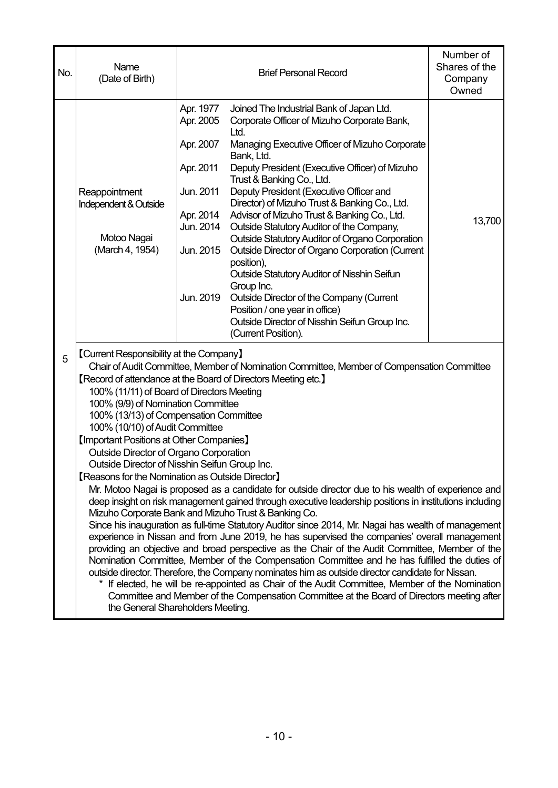| No. | Name<br>(Date of Birth)                                                  |                                                                                                                                                                                                                                                                                                                                                                                                                                                                                                                                                                                                                                                                                                                                                                                                                                                                                                                                                                                                                                                                                                                                                                                                                                                                                                                                                                                                                                                                                                                                                                                                | <b>Brief Personal Record</b>                                                                                                                                                                                                                                                                                                                                                                                                                                                                                                                                                                                                                                                                                                                                                                | Number of<br>Shares of the<br>Company<br>Owned |  |
|-----|--------------------------------------------------------------------------|------------------------------------------------------------------------------------------------------------------------------------------------------------------------------------------------------------------------------------------------------------------------------------------------------------------------------------------------------------------------------------------------------------------------------------------------------------------------------------------------------------------------------------------------------------------------------------------------------------------------------------------------------------------------------------------------------------------------------------------------------------------------------------------------------------------------------------------------------------------------------------------------------------------------------------------------------------------------------------------------------------------------------------------------------------------------------------------------------------------------------------------------------------------------------------------------------------------------------------------------------------------------------------------------------------------------------------------------------------------------------------------------------------------------------------------------------------------------------------------------------------------------------------------------------------------------------------------------|---------------------------------------------------------------------------------------------------------------------------------------------------------------------------------------------------------------------------------------------------------------------------------------------------------------------------------------------------------------------------------------------------------------------------------------------------------------------------------------------------------------------------------------------------------------------------------------------------------------------------------------------------------------------------------------------------------------------------------------------------------------------------------------------|------------------------------------------------|--|
| 5   | Reappointment<br>Independent & Outside<br>Motoo Nagai<br>(March 4, 1954) | Apr. 1977<br>Apr. 2005<br>Apr. 2007<br>Apr. 2011<br>Jun. 2011<br>Apr. 2014<br>Jun. 2014<br>Jun. 2015<br>Jun. 2019                                                                                                                                                                                                                                                                                                                                                                                                                                                                                                                                                                                                                                                                                                                                                                                                                                                                                                                                                                                                                                                                                                                                                                                                                                                                                                                                                                                                                                                                              | Joined The Industrial Bank of Japan Ltd.<br>Corporate Officer of Mizuho Corporate Bank,<br>Ltd.<br>Managing Executive Officer of Mizuho Corporate<br>Bank, Ltd.<br>Deputy President (Executive Officer) of Mizuho<br>Trust & Banking Co., Ltd.<br>Deputy President (Executive Officer and<br>Director) of Mizuho Trust & Banking Co., Ltd.<br>Advisor of Mizuho Trust & Banking Co., Ltd.<br>Outside Statutory Auditor of the Company,<br>Outside Statutory Auditor of Organo Corporation<br><b>Outside Director of Organo Corporation (Current</b><br>position),<br><b>Outside Statutory Auditor of Nisshin Seifun</b><br>Group Inc.<br>Outside Director of the Company (Current<br>Position / one year in office)<br>Outside Director of Nisshin Seifun Group Inc.<br>(Current Position). | 13,700                                         |  |
|     | the General Shareholders Meeting.                                        | <b>[Current Responsibility at the Company]</b><br>Chair of Audit Committee, Member of Nomination Committee, Member of Compensation Committee<br><b>[Record of attendance at the Board of Directors Meeting etc.]</b><br>100% (11/11) of Board of Directors Meeting<br>100% (9/9) of Nomination Committee<br>100% (13/13) of Compensation Committee<br>100% (10/10) of Audit Committee<br><b>【Important Positions at Other Companies】</b><br><b>Outside Director of Organo Corporation</b><br>Outside Director of Nisshin Seifun Group Inc.<br><b>[Reasons for the Nomination as Outside Director]</b><br>Mr. Motoo Nagai is proposed as a candidate for outside director due to his wealth of experience and<br>deep insight on risk management gained through executive leadership positions in institutions including<br>Mizuho Corporate Bank and Mizuho Trust & Banking Co.<br>Since his inauguration as full-time Statutory Auditor since 2014, Mr. Nagai has wealth of management<br>experience in Nissan and from June 2019, he has supervised the companies' overall management<br>providing an objective and broad perspective as the Chair of the Audit Committee, Member of the<br>Nomination Committee, Member of the Compensation Committee and he has fulfilled the duties of<br>outside director. Therefore, the Company nominates him as outside director candidate for Nissan.<br>If elected, he will be re-appointed as Chair of the Audit Committee, Member of the Nomination<br>Committee and Member of the Compensation Committee at the Board of Directors meeting after |                                                                                                                                                                                                                                                                                                                                                                                                                                                                                                                                                                                                                                                                                                                                                                                             |                                                |  |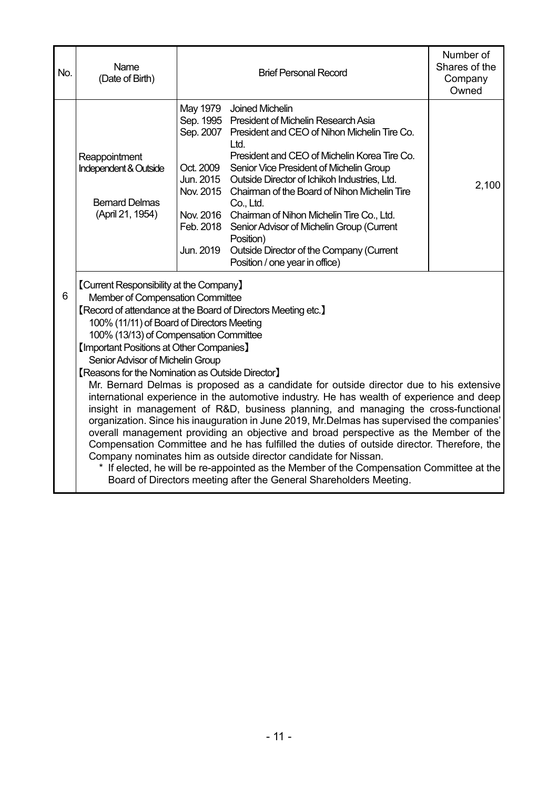| No. | Name<br>(Date of Birth)                                                                                                                                                                                                                                                                                                                                                                                                                                                                                                                                                                                                                                                                                                                                                                                                                                                                                                                                                                                                                                                                                                                                                                                                                       |                                                                                                   | <b>Brief Personal Record</b>                                                                                                                                                                                                                                                                                                                                                                                                                                           | Number of<br>Shares of the<br>Company<br>Owned |  |
|-----|-----------------------------------------------------------------------------------------------------------------------------------------------------------------------------------------------------------------------------------------------------------------------------------------------------------------------------------------------------------------------------------------------------------------------------------------------------------------------------------------------------------------------------------------------------------------------------------------------------------------------------------------------------------------------------------------------------------------------------------------------------------------------------------------------------------------------------------------------------------------------------------------------------------------------------------------------------------------------------------------------------------------------------------------------------------------------------------------------------------------------------------------------------------------------------------------------------------------------------------------------|---------------------------------------------------------------------------------------------------|------------------------------------------------------------------------------------------------------------------------------------------------------------------------------------------------------------------------------------------------------------------------------------------------------------------------------------------------------------------------------------------------------------------------------------------------------------------------|------------------------------------------------|--|
|     | Reappointment<br>Independent & Outside<br><b>Bernard Delmas</b><br>(April 21, 1954)                                                                                                                                                                                                                                                                                                                                                                                                                                                                                                                                                                                                                                                                                                                                                                                                                                                                                                                                                                                                                                                                                                                                                           | May 1979 Joined Michelin<br>Ltd.<br>Oct. 2009<br>Jun. 2015<br>Co., Ltd.<br>Position)<br>Jun. 2019 | Sep. 1995 President of Michelin Research Asia<br>Sep. 2007 President and CEO of Nihon Michelin Tire Co.<br>President and CEO of Michelin Korea Tire Co.<br>Senior Vice President of Michelin Group<br>Outside Director of Ichikoh Industries, Ltd.<br>Nov. 2015 Chairman of the Board of Nihon Michelin Tire<br>Nov. 2016 Chairman of Nihon Michelin Tire Co., Ltd.<br>Feb. 2018 Senior Advisor of Michelin Group (Current<br>Outside Director of the Company (Current | 2,100                                          |  |
| 6   | Position / one year in office)<br><b>[Current Responsibility at the Company]</b><br>Member of Compensation Committee<br><b>[Record of attendance at the Board of Directors Meeting etc.]</b><br>100% (11/11) of Board of Directors Meeting<br>100% (13/13) of Compensation Committee<br><b>[Important Positions at Other Companies]</b><br>Senior Advisor of Michelin Group<br><b>[Reasons for the Nomination as Outside Director]</b><br>Mr. Bernard Delmas is proposed as a candidate for outside director due to his extensive<br>international experience in the automotive industry. He has wealth of experience and deep<br>insight in management of R&D, business planning, and managing the cross-functional<br>organization. Since his inauguration in June 2019, Mr.Delmas has supervised the companies'<br>overall management providing an objective and broad perspective as the Member of the<br>Compensation Committee and he has fulfilled the duties of outside director. Therefore, the<br>Company nominates him as outside director candidate for Nissan.<br>* If elected, he will be re-appointed as the Member of the Compensation Committee at the<br>Board of Directors meeting after the General Shareholders Meeting. |                                                                                                   |                                                                                                                                                                                                                                                                                                                                                                                                                                                                        |                                                |  |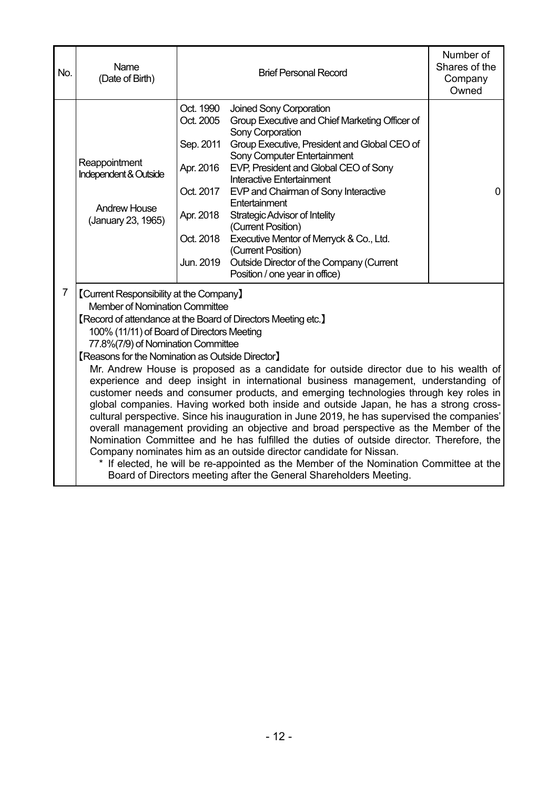| No.            | Name<br>(Date of Birth)                                                             |                                                                                                                                                                                                                                                                                                                                                                                                                                                                                                                                                                                                                                                                                                                                                                                                                                                                                                                                                                                                                                                                                                                                                                                                | <b>Brief Personal Record</b>                                                                                                                                                                                                                                                                                                                                                                                                                                                                                             | Number of<br>Shares of the<br>Company<br>Owned |  |  |
|----------------|-------------------------------------------------------------------------------------|------------------------------------------------------------------------------------------------------------------------------------------------------------------------------------------------------------------------------------------------------------------------------------------------------------------------------------------------------------------------------------------------------------------------------------------------------------------------------------------------------------------------------------------------------------------------------------------------------------------------------------------------------------------------------------------------------------------------------------------------------------------------------------------------------------------------------------------------------------------------------------------------------------------------------------------------------------------------------------------------------------------------------------------------------------------------------------------------------------------------------------------------------------------------------------------------|--------------------------------------------------------------------------------------------------------------------------------------------------------------------------------------------------------------------------------------------------------------------------------------------------------------------------------------------------------------------------------------------------------------------------------------------------------------------------------------------------------------------------|------------------------------------------------|--|--|
|                | Reappointment<br>Independent & Outside<br><b>Andrew House</b><br>(January 23, 1965) | Oct. 1990<br>Oct. 2005<br>Sep. 2011<br>Apr. 2016<br>Oct. 2017<br>Apr. 2018<br>Oct. 2018<br>Jun. 2019                                                                                                                                                                                                                                                                                                                                                                                                                                                                                                                                                                                                                                                                                                                                                                                                                                                                                                                                                                                                                                                                                           | Joined Sony Corporation<br>Group Executive and Chief Marketing Officer of<br>Sony Corporation<br>Group Executive, President and Global CEO of<br>Sony Computer Entertainment<br>EVP, President and Global CEO of Sony<br>Interactive Entertainment<br>EVP and Chairman of Sony Interactive<br>Entertainment<br><b>Strategic Advisor of Intelity</b><br>(Current Position)<br>Executive Mentor of Merryck & Co., Ltd.<br>(Current Position)<br>Outside Director of the Company (Current<br>Position / one year in office) | $\overline{0}$                                 |  |  |
| $\overline{7}$ |                                                                                     | <b>[Current Responsibility at the Company]</b><br>Member of Nomination Committee<br><b>[Record of attendance at the Board of Directors Meeting etc.]</b><br>100% (11/11) of Board of Directors Meeting<br>77.8%(7/9) of Nomination Committee<br><b>[Reasons for the Nomination as Outside Director]</b><br>Mr. Andrew House is proposed as a candidate for outside director due to his wealth of<br>experience and deep insight in international business management, understanding of<br>customer needs and consumer products, and emerging technologies through key roles in<br>global companies. Having worked both inside and outside Japan, he has a strong cross-<br>cultural perspective. Since his inauguration in June 2019, he has supervised the companies'<br>overall management providing an objective and broad perspective as the Member of the<br>Nomination Committee and he has fulfilled the duties of outside director. Therefore, the<br>Company nominates him as an outside director candidate for Nissan.<br>If elected, he will be re-appointed as the Member of the Nomination Committee at the<br>Board of Directors meeting after the General Shareholders Meeting. |                                                                                                                                                                                                                                                                                                                                                                                                                                                                                                                          |                                                |  |  |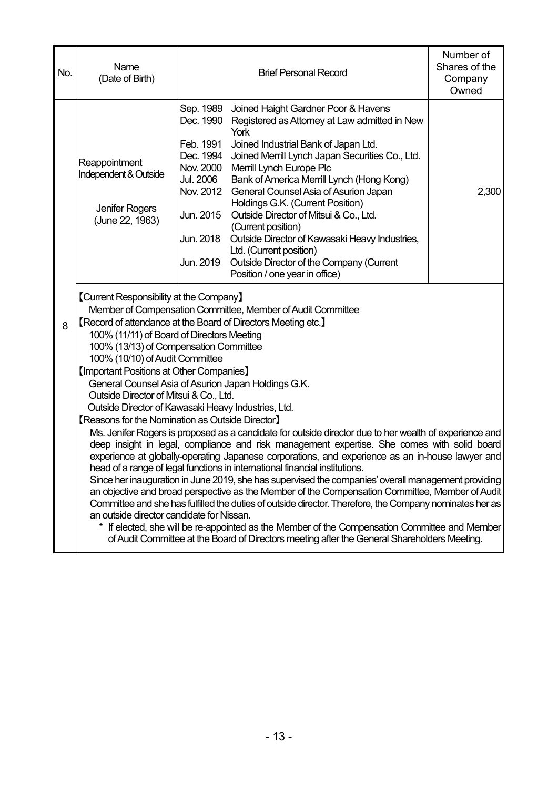| No. | Name<br>(Date of Birth)                                                                                                                                                                                                                                                                                                                                                                                                                                                                                                                                                                                                                                                                                                                                                                                                                                                                                                                                                                                                                                                                                                                                                                                                                                                                                                                                                                                                                                                                                                                             |                                                                                                                   | <b>Brief Personal Record</b>                                                                                                                                                                                                                                                                                                                                                                                                                                                                                                                                                       | Number of<br>Shares of the<br>Company<br>Owned |  |
|-----|-----------------------------------------------------------------------------------------------------------------------------------------------------------------------------------------------------------------------------------------------------------------------------------------------------------------------------------------------------------------------------------------------------------------------------------------------------------------------------------------------------------------------------------------------------------------------------------------------------------------------------------------------------------------------------------------------------------------------------------------------------------------------------------------------------------------------------------------------------------------------------------------------------------------------------------------------------------------------------------------------------------------------------------------------------------------------------------------------------------------------------------------------------------------------------------------------------------------------------------------------------------------------------------------------------------------------------------------------------------------------------------------------------------------------------------------------------------------------------------------------------------------------------------------------------|-------------------------------------------------------------------------------------------------------------------|------------------------------------------------------------------------------------------------------------------------------------------------------------------------------------------------------------------------------------------------------------------------------------------------------------------------------------------------------------------------------------------------------------------------------------------------------------------------------------------------------------------------------------------------------------------------------------|------------------------------------------------|--|
|     | Reappointment<br>Independent & Outside<br>Jenifer Rogers<br>(June 22, 1963)                                                                                                                                                                                                                                                                                                                                                                                                                                                                                                                                                                                                                                                                                                                                                                                                                                                                                                                                                                                                                                                                                                                                                                                                                                                                                                                                                                                                                                                                         | Dec. 1990<br>Feb. 1991<br>Dec. 1994<br>Nov. 2000<br>Jul. 2006<br>Nov. 2012<br>Jun. 2015<br>Jun. 2018<br>Jun. 2019 | Sep. 1989 Joined Haight Gardner Poor & Havens<br>Registered as Attorney at Law admitted in New<br>York<br>Joined Industrial Bank of Japan Ltd.<br>Joined Merrill Lynch Japan Securities Co., Ltd.<br>Merrill Lynch Europe Plc<br>Bank of America Merrill Lynch (Hong Kong)<br>General Counsel Asia of Asurion Japan<br>Holdings G.K. (Current Position)<br>Outside Director of Mitsui & Co., Ltd.<br>(Current position)<br>Outside Director of Kawasaki Heavy Industries,<br>Ltd. (Current position)<br>Outside Director of the Company (Current<br>Position / one year in office) | 2,300                                          |  |
| 8   | <b>[Current Responsibility at the Company]</b><br>Member of Compensation Committee, Member of Audit Committee<br><b>[Record of attendance at the Board of Directors Meeting etc.]</b><br>100% (11/11) of Board of Directors Meeting<br>100% (13/13) of Compensation Committee<br>100% (10/10) of Audit Committee<br><b>【Important Positions at Other Companies】</b><br>General Counsel Asia of Asurion Japan Holdings G.K.<br>Outside Director of Mitsui & Co., Ltd.<br>Outside Director of Kawasaki Heavy Industries, Ltd.<br><b>[Reasons for the Nomination as Outside Director]</b><br>Ms. Jenifer Rogers is proposed as a candidate for outside director due to her wealth of experience and<br>deep insight in legal, compliance and risk management expertise. She comes with solid board<br>experience at globally-operating Japanese corporations, and experience as an in-house lawyer and<br>head of a range of legal functions in international financial institutions.<br>Since her inauguration in June 2019, she has supervised the companies' overall management providing<br>an objective and broad perspective as the Member of the Compensation Committee, Member of Audit<br>Committee and she has fulfilled the duties of outside director. Therefore, the Company nominates her as<br>an outside director candidate for Nissan.<br>If elected, she will be re-appointed as the Member of the Compensation Committee and Member<br>of Audit Committee at the Board of Directors meeting after the General Shareholders Meeting. |                                                                                                                   |                                                                                                                                                                                                                                                                                                                                                                                                                                                                                                                                                                                    |                                                |  |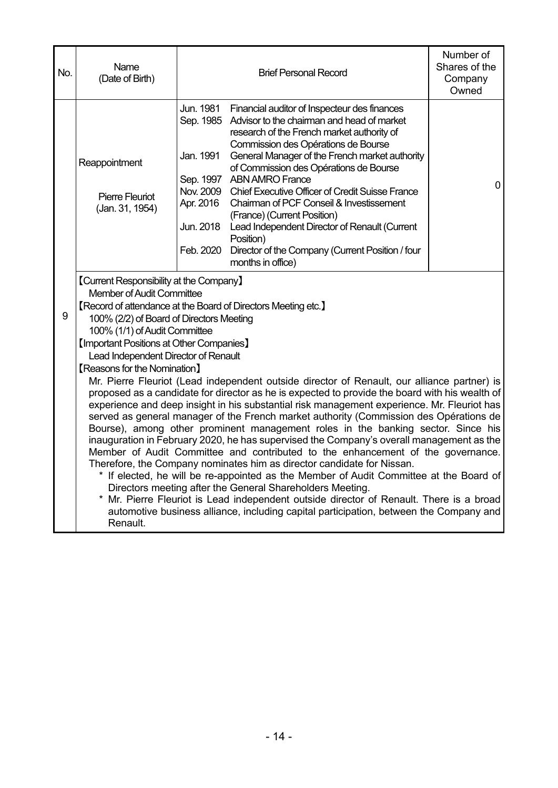| No.                                                                                                                                                                                                                                                                                                                                                                                                                                                                                                                                                                                                                                                                                                                                                                                                                                                                                                                                                                                                                                                                                                                                                                                                                                                                                                                                                                                                                                                                         | Name<br>(Date of Birth)                                    |                                                               | <b>Brief Personal Record</b>                                                                                                                                                                                                                                                                                                                                                                                                                                                                                                                                                                             | Number of<br>Shares of the<br>Company<br>Owned |
|-----------------------------------------------------------------------------------------------------------------------------------------------------------------------------------------------------------------------------------------------------------------------------------------------------------------------------------------------------------------------------------------------------------------------------------------------------------------------------------------------------------------------------------------------------------------------------------------------------------------------------------------------------------------------------------------------------------------------------------------------------------------------------------------------------------------------------------------------------------------------------------------------------------------------------------------------------------------------------------------------------------------------------------------------------------------------------------------------------------------------------------------------------------------------------------------------------------------------------------------------------------------------------------------------------------------------------------------------------------------------------------------------------------------------------------------------------------------------------|------------------------------------------------------------|---------------------------------------------------------------|----------------------------------------------------------------------------------------------------------------------------------------------------------------------------------------------------------------------------------------------------------------------------------------------------------------------------------------------------------------------------------------------------------------------------------------------------------------------------------------------------------------------------------------------------------------------------------------------------------|------------------------------------------------|
|                                                                                                                                                                                                                                                                                                                                                                                                                                                                                                                                                                                                                                                                                                                                                                                                                                                                                                                                                                                                                                                                                                                                                                                                                                                                                                                                                                                                                                                                             | Reappointment<br><b>Pierre Fleuriot</b><br>(Jan. 31, 1954) | Jun. 1981<br>Jan. 1991<br>Nov. 2009<br>Apr. 2016<br>Feb. 2020 | Financial auditor of Inspecteur des finances<br>Sep. 1985 Advisor to the chairman and head of market<br>research of the French market authority of<br>Commission des Opérations de Bourse<br>General Manager of the French market authority<br>of Commission des Opérations de Bourse<br>Sep. 1997 ABN AMRO France<br><b>Chief Executive Officer of Credit Suisse France</b><br>Chairman of PCF Conseil & Investissement<br>(France) (Current Position)<br>Jun. 2018 Lead Independent Director of Renault (Current<br>Position)<br>Director of the Company (Current Position / four<br>months in office) | 0                                              |
| <b>[Current Responsibility at the Company]</b><br><b>Member of Audit Committee</b><br><b>[Record of attendance at the Board of Directors Meeting etc.]</b><br>9<br>100% (2/2) of Board of Directors Meeting<br>100% (1/1) of Audit Committee<br><b>【Important Positions at Other Companies】</b><br>Lead Independent Director of Renault<br><b>[Reasons for the Nomination]</b><br>Mr. Pierre Fleuriot (Lead independent outside director of Renault, our alliance partner) is<br>proposed as a candidate for director as he is expected to provide the board with his wealth of<br>experience and deep insight in his substantial risk management experience. Mr. Fleuriot has<br>served as general manager of the French market authority (Commission des Opérations de<br>Bourse), among other prominent management roles in the banking sector. Since his<br>inauguration in February 2020, he has supervised the Company's overall management as the<br>Member of Audit Committee and contributed to the enhancement of the governance.<br>Therefore, the Company nominates him as director candidate for Nissan.<br>* If elected, he will be re-appointed as the Member of Audit Committee at the Board of<br>Directors meeting after the General Shareholders Meeting.<br>Mr. Pierre Fleuriot is Lead independent outside director of Renault. There is a broad<br>automotive business alliance, including capital participation, between the Company and<br>Renault. |                                                            |                                                               |                                                                                                                                                                                                                                                                                                                                                                                                                                                                                                                                                                                                          |                                                |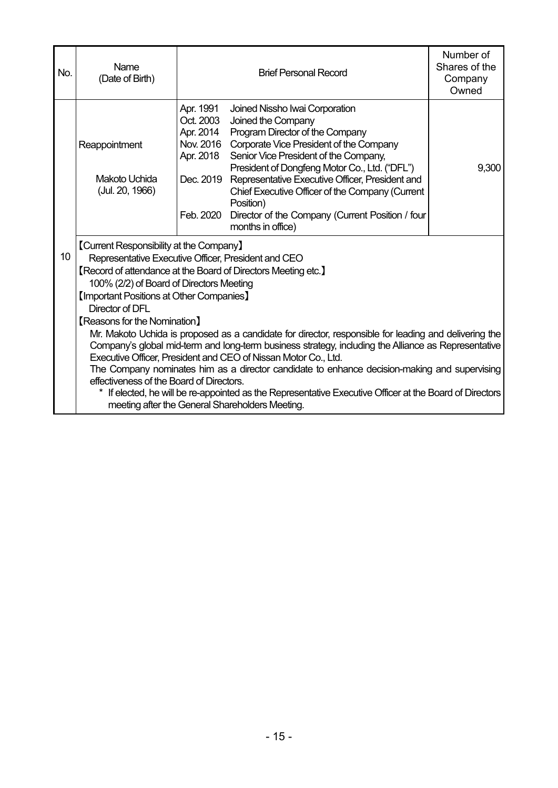| No. | Name<br>(Date of Birth)                                                                                                                                                                                                                                                                                                                                                                                                                                                                                                                                                                                                                                                                                                                                                                                                                                                                                                            | <b>Brief Personal Record</b>                                                                                                                                                                                                                                                                                                                                                                                                                                                                                  | Number of<br>Shares of the<br>Company<br>Owned |  |  |
|-----|------------------------------------------------------------------------------------------------------------------------------------------------------------------------------------------------------------------------------------------------------------------------------------------------------------------------------------------------------------------------------------------------------------------------------------------------------------------------------------------------------------------------------------------------------------------------------------------------------------------------------------------------------------------------------------------------------------------------------------------------------------------------------------------------------------------------------------------------------------------------------------------------------------------------------------|---------------------------------------------------------------------------------------------------------------------------------------------------------------------------------------------------------------------------------------------------------------------------------------------------------------------------------------------------------------------------------------------------------------------------------------------------------------------------------------------------------------|------------------------------------------------|--|--|
|     | Reappointment<br>Makoto Uchida<br>(Jul. 20, 1966)                                                                                                                                                                                                                                                                                                                                                                                                                                                                                                                                                                                                                                                                                                                                                                                                                                                                                  | Apr. 1991<br>Joined Nissho Iwai Corporation<br>Oct. 2003<br>Joined the Company<br>Program Director of the Company<br>Apr. 2014<br>Nov. 2016 Corporate Vice President of the Company<br>Senior Vice President of the Company,<br>Apr. 2018<br>President of Dongfeng Motor Co., Ltd. ("DFL")<br>Dec. 2019 Representative Executive Officer, President and<br>Chief Executive Officer of the Company (Current<br>Position)<br>Director of the Company (Current Position / four<br>Feb. 2020<br>months in office) | 9,300                                          |  |  |
| 10  | <b>[Current Responsibility at the Company]</b><br>Representative Executive Officer, President and CEO<br><b>[Record of attendance at the Board of Directors Meeting etc.]</b><br>100% (2/2) of Board of Directors Meeting<br><b>【Important Positions at Other Companies】</b><br>Director of DFL<br><b>[Reasons for the Nomination]</b><br>Mr. Makoto Uchida is proposed as a candidate for director, responsible for leading and delivering the<br>Company's global mid-term and long-term business strategy, including the Alliance as Representative<br>Executive Officer, President and CEO of Nissan Motor Co., Ltd.<br>The Company nominates him as a director candidate to enhance decision-making and supervising<br>effectiveness of the Board of Directors.<br>* If elected, he will be re-appointed as the Representative Executive Officer at the Board of Directors<br>meeting after the General Shareholders Meeting. |                                                                                                                                                                                                                                                                                                                                                                                                                                                                                                               |                                                |  |  |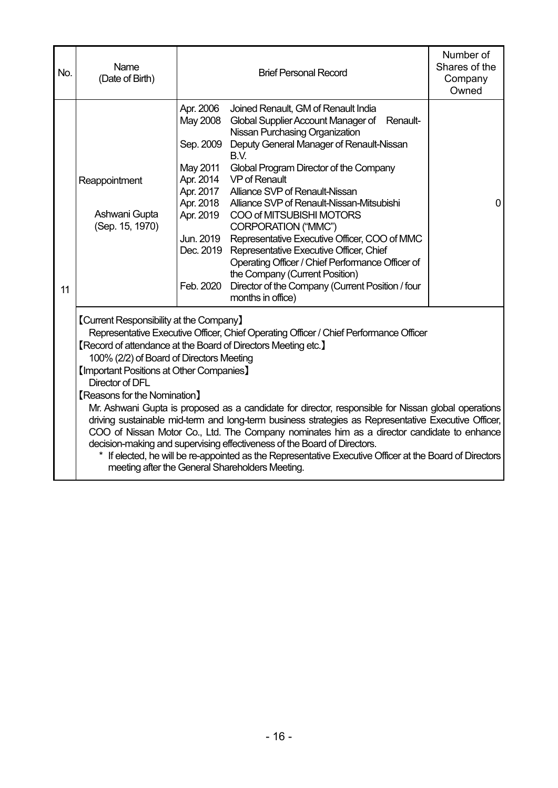| No. | Name<br>(Date of Birth)                                                                                                                                                                                                                                                                                                                                                                                                                                                                                                                                                                                                                                                                                                                                                                                                                                                                                                      |                                                                                                    | <b>Brief Personal Record</b>                                                                                                                                                                                                                                                                                                                                                                                                                                                                                                                                                                                                                                                   | Number of<br>Shares of the<br>Company<br>Owned |
|-----|------------------------------------------------------------------------------------------------------------------------------------------------------------------------------------------------------------------------------------------------------------------------------------------------------------------------------------------------------------------------------------------------------------------------------------------------------------------------------------------------------------------------------------------------------------------------------------------------------------------------------------------------------------------------------------------------------------------------------------------------------------------------------------------------------------------------------------------------------------------------------------------------------------------------------|----------------------------------------------------------------------------------------------------|--------------------------------------------------------------------------------------------------------------------------------------------------------------------------------------------------------------------------------------------------------------------------------------------------------------------------------------------------------------------------------------------------------------------------------------------------------------------------------------------------------------------------------------------------------------------------------------------------------------------------------------------------------------------------------|------------------------------------------------|
| 11  | Reappointment<br>Ashwani Gupta<br>(Sep. 15, 1970)                                                                                                                                                                                                                                                                                                                                                                                                                                                                                                                                                                                                                                                                                                                                                                                                                                                                            | Apr. 2006<br>May 2008<br>May 2011<br>Apr. 2014<br>Apr. 2017<br>Apr. 2018<br>Apr. 2019<br>Feb. 2020 | Joined Renault, GM of Renault India<br>Global Supplier Account Manager of<br>Renault-<br>Nissan Purchasing Organization<br>Sep. 2009 Deputy General Manager of Renault-Nissan<br>B.V.<br>Global Program Director of the Company<br><b>VP</b> of Renault<br>Alliance SVP of Renault-Nissan<br>Alliance SVP of Renault-Nissan-Mitsubishi<br>COO of MITSUBISHI MOTORS<br><b>CORPORATION ("MMC")</b><br>Jun. 2019 Representative Executive Officer, COO of MMC<br>Dec. 2019 Representative Executive Officer, Chief<br>Operating Officer / Chief Performance Officer of<br>the Company (Current Position)<br>Director of the Company (Current Position / four<br>months in office) | 0                                              |
|     | <b>[Current Responsibility at the Company]</b><br>Representative Executive Officer, Chief Operating Officer / Chief Performance Officer<br><b>[Record of attendance at the Board of Directors Meeting etc.]</b><br>100% (2/2) of Board of Directors Meeting<br><b>【Important Positions at Other Companies】</b><br>Director of DFL<br><b>[Reasons for the Nomination]</b><br>Mr. Ashwani Gupta is proposed as a candidate for director, responsible for Nissan global operations<br>driving sustainable mid-term and long-term business strategies as Representative Executive Officer,<br>COO of Nissan Motor Co., Ltd. The Company nominates him as a director candidate to enhance<br>decision-making and supervising effectiveness of the Board of Directors.<br>If elected, he will be re-appointed as the Representative Executive Officer at the Board of Directors<br>meeting after the General Shareholders Meeting. |                                                                                                    |                                                                                                                                                                                                                                                                                                                                                                                                                                                                                                                                                                                                                                                                                |                                                |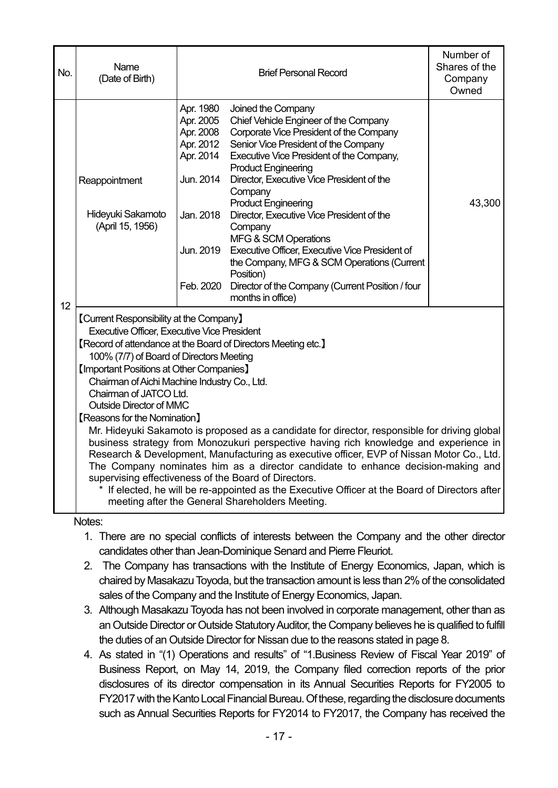| No.               | Name<br>(Date of Birth)                                                                                                                                                                                                                                                                                                                                                                                                                                                                                                                                                                                                                                                                                                                                                                                                                                                                                                                                                                                              |                                                                                                                   | <b>Brief Personal Record</b>                                                                                                                                                                                                                                                                                                                                                                                                                                                                                                                                                         | Number of<br>Shares of the<br>Company<br>Owned |  |
|-------------------|----------------------------------------------------------------------------------------------------------------------------------------------------------------------------------------------------------------------------------------------------------------------------------------------------------------------------------------------------------------------------------------------------------------------------------------------------------------------------------------------------------------------------------------------------------------------------------------------------------------------------------------------------------------------------------------------------------------------------------------------------------------------------------------------------------------------------------------------------------------------------------------------------------------------------------------------------------------------------------------------------------------------|-------------------------------------------------------------------------------------------------------------------|--------------------------------------------------------------------------------------------------------------------------------------------------------------------------------------------------------------------------------------------------------------------------------------------------------------------------------------------------------------------------------------------------------------------------------------------------------------------------------------------------------------------------------------------------------------------------------------|------------------------------------------------|--|
|                   | Reappointment<br>Hideyuki Sakamoto<br>(April 15, 1956)                                                                                                                                                                                                                                                                                                                                                                                                                                                                                                                                                                                                                                                                                                                                                                                                                                                                                                                                                               | Apr. 1980<br>Apr. 2005<br>Apr. 2008<br>Apr. 2012<br>Apr. 2014<br>Jun. 2014<br>Jan. 2018<br>Jun. 2019<br>Feb. 2020 | Joined the Company<br>Chief Vehicle Engineer of the Company<br>Corporate Vice President of the Company<br>Senior Vice President of the Company<br>Executive Vice President of the Company,<br><b>Product Engineering</b><br>Director, Executive Vice President of the<br>Company<br><b>Product Engineering</b><br>Director, Executive Vice President of the<br>Company<br>MFG & SCM Operations<br>Executive Officer, Executive Vice President of<br>the Company, MFG & SCM Operations (Current<br>Position)<br>Director of the Company (Current Position / four<br>months in office) | 43,300                                         |  |
| 12<br><b>A</b> 1. | <b>[Current Responsibility at the Company]</b><br><b>Executive Officer, Executive Vice President</b><br><b>[Record of attendance at the Board of Directors Meeting etc.]</b><br>100% (7/7) of Board of Directors Meeting<br><b>[Important Positions at Other Companies]</b><br>Chairman of Aichi Machine Industry Co., Ltd.<br>Chairman of JATCO Ltd.<br><b>Outside Director of MMC</b><br><b>[Reasons for the Nomination]</b><br>Mr. Hideyuki Sakamoto is proposed as a candidate for director, responsible for driving global<br>business strategy from Monozukuri perspective having rich knowledge and experience in<br>Research & Development, Manufacturing as executive officer, EVP of Nissan Motor Co., Ltd.<br>The Company nominates him as a director candidate to enhance decision-making and<br>supervising effectiveness of the Board of Directors.<br>If elected, he will be re-appointed as the Executive Officer at the Board of Directors after<br>meeting after the General Shareholders Meeting. |                                                                                                                   |                                                                                                                                                                                                                                                                                                                                                                                                                                                                                                                                                                                      |                                                |  |

Notes:

- 1. There are no special conflicts of interests between the Company and the other director candidates other than Jean-Dominique Senard and Pierre Fleuriot.
- 2. The Company has transactions with the Institute of Energy Economics, Japan, which is chaired by Masakazu Toyoda, but the transaction amount is less than 2% of the consolidated sales of the Company and the Institute of Energy Economics, Japan.
- 3. Although Masakazu Toyoda has not been involved in corporate management, other than as an Outside Director or Outside Statutory Auditor, the Company believes he is qualified to fulfill the duties of an Outside Director for Nissan due to the reasons stated in page 8.
- 4. As stated in "(1) Operations and results" of "1.Business Review of Fiscal Year 2019" of Business Report, on May 14, 2019, the Company filed correction reports of the prior disclosures of its director compensation in its Annual Securities Reports for FY2005 to FY2017 with the Kanto Local Financial Bureau. Of these, regarding the disclosure documents such as Annual Securities Reports for FY2014 to FY2017, the Company has received the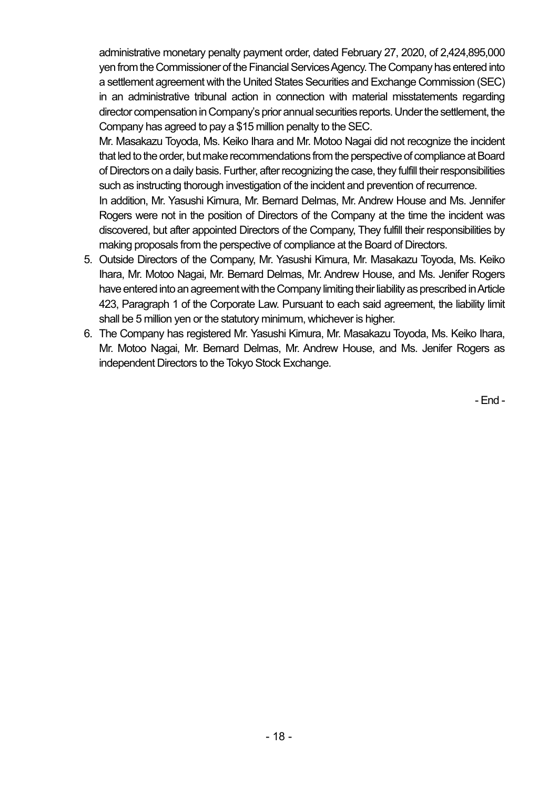administrative monetary penalty payment order, dated February 27, 2020, of 2,424,895,000 yen from the Commissioner of the Financial Services Agency. The Company has entered into a settlement agreement with the United States Securities and Exchange Commission (SEC) in an administrative tribunal action in connection with material misstatements regarding director compensation in Company's prior annual securities reports. Under the settlement, the Company has agreed to pay a \$15 million penalty to the SEC.

Mr. Masakazu Toyoda, Ms. Keiko Ihara and Mr. Motoo Nagai did not recognize the incident that led to the order, but make recommendations from the perspective of compliance at Board of Directors on a daily basis. Further, after recognizing the case, they fulfill their responsibilities such as instructing thorough investigation of the incident and prevention of recurrence.

In addition, Mr. Yasushi Kimura, Mr. Bernard Delmas, Mr. Andrew House and Ms. Jennifer Rogers were not in the position of Directors of the Company at the time the incident was discovered, but after appointed Directors of the Company, They fulfill their responsibilities by making proposals from the perspective of compliance at the Board of Directors.

- 5. Outside Directors of the Company, Mr. Yasushi Kimura, Mr. Masakazu Toyoda, Ms. Keiko Ihara, Mr. Motoo Nagai, Mr. Bernard Delmas, Mr. Andrew House, and Ms. Jenifer Rogers have entered into an agreement with the Company limiting their liability as prescribed in Article 423, Paragraph 1 of the Corporate Law. Pursuant to each said agreement, the liability limit shall be 5 million yen or the statutory minimum, whichever is higher.
- 6. The Company has registered Mr. Yasushi Kimura, Mr. Masakazu Toyoda, Ms. Keiko Ihara, Mr. Motoo Nagai, Mr. Bernard Delmas, Mr. Andrew House, and Ms. Jenifer Rogers as independent Directors to the Tokyo Stock Exchange.

- End -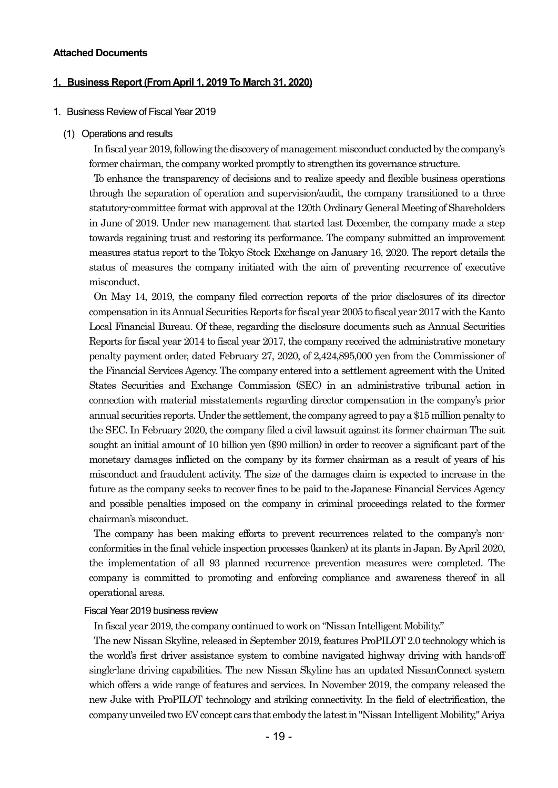### **Attached Documents**

#### **1. Business Report (From April 1, 2019 To March 31, 2020)**

- 1. Business Review of Fiscal Year 2019
	- (1) Operations and results

In fiscal year 2019, following the discovery of management misconduct conducted by the company's former chairman, the company worked promptly to strengthen its governance structure.

To enhance the transparency of decisions and to realize speedy and flexible business operations through the separation of operation and supervision/audit, the company transitioned to a three statutory-committee format with approval at the 120th Ordinary General Meeting of Shareholders in June of 2019. Under new management that started last December, the company made a step towards regaining trust and restoring its performance. The company submitted an improvement measures status report to the Tokyo Stock Exchange on January 16, 2020. The report details the status of measures the company initiated with the aim of preventing recurrence of executive misconduct.

On May 14, 2019, the company filed correction reports of the prior disclosures of its director compensation in its Annual Securities Reports for fiscal year 2005 to fiscal year 2017 with the Kanto Local Financial Bureau. Of these, regarding the disclosure documents such as Annual Securities Reports for fiscal year 2014 to fiscal year 2017, the company received the administrative monetary penalty payment order, dated February 27, 2020, of 2,424,895,000 yen from the Commissioner of the Financial Services Agency. The company entered into a settlement agreement with the United States Securities and Exchange Commission (SEC) in an administrative tribunal action in connection with material misstatements regarding director compensation in the company's prior annual securities reports. Under the settlement, the company agreed to pay a \$15 million penalty to the SEC. In February 2020, the company filed a civil lawsuit against its former chairman The suit sought an initial amount of 10 billion yen (\$90 million) in order to recover a significant part of the monetary damages inflicted on the company by its former chairman as a result of years of his misconduct and fraudulent activity. The size of the damages claim is expected to increase in the future as the company seeks to recover fines to be paid to the Japanese Financial Services Agency and possible penalties imposed on the company in criminal proceedings related to the former chairman's misconduct.

The company has been making efforts to prevent recurrences related to the company's nonconformities in the final vehicle inspection processes (kanken) at its plants in Japan. By April 2020, the implementation of all 93 planned recurrence prevention measures were completed. The company is committed to promoting and enforcing compliance and awareness thereof in all operational areas.

#### Fiscal Year 2019 business review

In fiscal year 2019, the company continued to work on "Nissan Intelligent Mobility."

The new Nissan Skyline, released in September 2019, features ProPILOT 2.0 technology which is the world's first driver assistance system to combine navigated highway driving with hands-off single-lane driving capabilities. The new Nissan Skyline has an updated NissanConnect system which offers a wide range of features and services. In November 2019, the company released the new Juke with ProPILOT technology and striking connectivity. In the field of electrification, the company unveiled two EV concept cars that embody the latest in "Nissan Intelligent Mobility," Ariya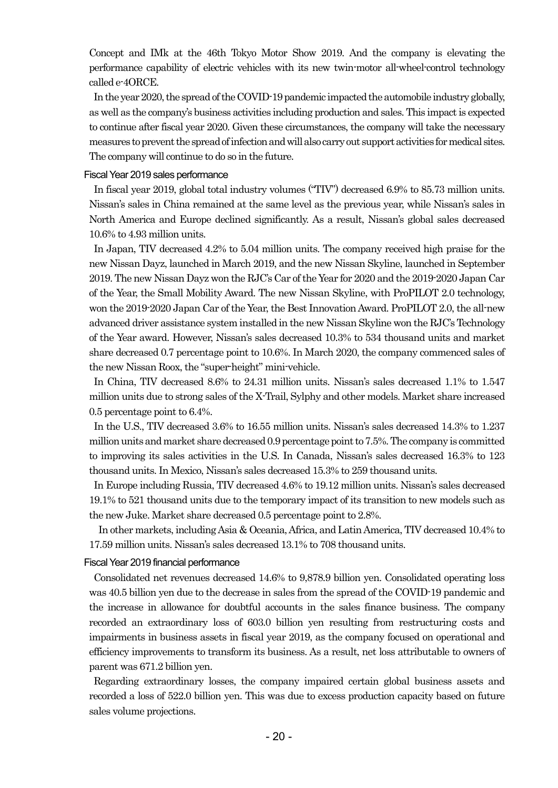Concept and IMk at the 46th Tokyo Motor Show 2019. And the company is elevating the performance capability of electric vehicles with its new twin-motor all-wheel-control technology called e-4ORCE.

In the year 2020, the spread of the COVID-19 pandemic impacted the automobile industry globally, as well as the company's business activities including production and sales. This impact is expected to continue after fiscal year 2020. Given these circumstances, the company will take the necessary measures to prevent the spread of infection and will also carry out support activities for medical sites. The company will continue to do so in the future.

#### Fiscal Year 2019 sales performance

In fiscal year 2019, global total industry volumes ("TIV") decreased 6.9% to 85.73 million units. Nissan's sales in China remained at the same level as the previous year, while Nissan's sales in North America and Europe declined significantly. As a result, Nissan's global sales decreased 10.6% to 4.93 million units.

In Japan, TIV decreased 4.2% to 5.04 million units. The company received high praise for the new Nissan Dayz, launched in March 2019, and the new Nissan Skyline, launched in September 2019. The new Nissan Dayz won the RJC's Car of the Year for 2020 and the 2019-2020 Japan Car of the Year, the Small Mobility Award. The new Nissan Skyline, with ProPILOT 2.0 technology, won the 2019-2020 Japan Car of the Year, the Best Innovation Award. ProPILOT 2.0, the all-new advanced driver assistance system installed in the new Nissan Skyline won the RJC's Technology of the Year award. However, Nissan's sales decreased 10.3% to 534 thousand units and market share decreased 0.7 percentage point to 10.6%. In March 2020, the company commenced sales of the new Nissan Roox, the "super-height" mini-vehicle.

In China, TIV decreased 8.6% to 24.31 million units. Nissan's sales decreased 1.1% to 1.547 million units due to strong sales of the X-Trail, Sylphy and other models. Market share increased 0.5 percentage point to 6.4%.

In the U.S., TIV decreased 3.6% to 16.55 million units. Nissan's sales decreased 14.3% to 1.237 million units and market share decreased 0.9 percentage point to 7.5%. The company is committed to improving its sales activities in the U.S. In Canada, Nissan's sales decreased 16.3% to 123 thousand units. In Mexico, Nissan's sales decreased 15.3% to 259 thousand units.

In Europe including Russia, TIV decreased 4.6% to 19.12 million units. Nissan's sales decreased 19.1% to 521 thousand units due to the temporary impact of its transition to new models such as the new Juke. Market share decreased 0.5 percentage point to 2.8%.

 In other markets, including Asia & Oceania, Africa, and Latin America, TIV decreased 10.4% to 17.59 million units. Nissan's sales decreased 13.1% to 708 thousand units.

### Fiscal Year 2019 financial performance

Consolidated net revenues decreased 14.6% to 9,878.9 billion yen. Consolidated operating loss was 40.5 billion yen due to the decrease in sales from the spread of the COVID-19 pandemic and the increase in allowance for doubtful accounts in the sales finance business. The company recorded an extraordinary loss of 603.0 billion yen resulting from restructuring costs and impairments in business assets in fiscal year 2019, as the company focused on operational and efficiency improvements to transform its business. As a result, net loss attributable to owners of parent was 671.2 billion yen.

Regarding extraordinary losses, the company impaired certain global business assets and recorded a loss of 522.0 billion yen. This was due to excess production capacity based on future sales volume projections.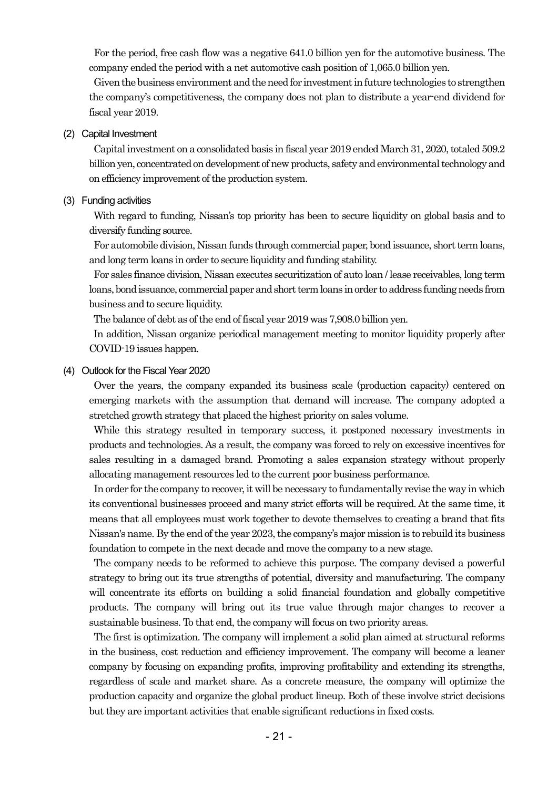For the period, free cash flow was a negative 641.0 billion yen for the automotive business. The company ended the period with a net automotive cash position of 1,065.0 billion yen.

Given the business environment and the need for investment in future technologies to strengthen the company's competitiveness, the company does not plan to distribute a year-end dividend for fiscal year 2019.

### (2) Capital Investment

Capital investment on a consolidated basis in fiscal year 2019 ended March 31, 2020, totaled 509.2 billion yen, concentrated on development of new products, safety and environmental technology and on efficiency improvement of the production system.

### (3) Funding activities

With regard to funding, Nissan's top priority has been to secure liquidity on global basis and to diversify funding source.

For automobile division, Nissan funds through commercial paper, bond issuance, short term loans, and long term loans in order to secure liquidity and funding stability.

For sales finance division, Nissan executes securitization of auto loan / lease receivables, long term loans, bond issuance, commercial paper and short term loans in order to address funding needs from business and to secure liquidity.

The balance of debt as of the end of fiscal year 2019 was 7,908.0 billion yen.

In addition, Nissan organize periodical management meeting to monitor liquidity properly after COVID-19 issues happen.

#### (4) Outlook for the Fiscal Year 2020

Over the years, the company expanded its business scale (production capacity) centered on emerging markets with the assumption that demand will increase. The company adopted a stretched growth strategy that placed the highest priority on sales volume.

While this strategy resulted in temporary success, it postponed necessary investments in products and technologies. As a result, the company was forced to rely on excessive incentives for sales resulting in a damaged brand. Promoting a sales expansion strategy without properly allocating management resources led to the current poor business performance.

In order for the company to recover, it will be necessary to fundamentally revise the way in which its conventional businesses proceed and many strict efforts will be required. At the same time, it means that all employees must work together to devote themselves to creating a brand that fits Nissan's name. By the end of the year 2023, the company's major mission is to rebuild its business foundation to compete in the next decade and move the company to a new stage.

The company needs to be reformed to achieve this purpose. The company devised a powerful strategy to bring out its true strengths of potential, diversity and manufacturing. The company will concentrate its efforts on building a solid financial foundation and globally competitive products. The company will bring out its true value through major changes to recover a sustainable business. To that end, the company will focus on two priority areas.

The first is optimization. The company will implement a solid plan aimed at structural reforms in the business, cost reduction and efficiency improvement. The company will become a leaner company by focusing on expanding profits, improving profitability and extending its strengths, regardless of scale and market share. As a concrete measure, the company will optimize the production capacity and organize the global product lineup. Both of these involve strict decisions but they are important activities that enable significant reductions in fixed costs.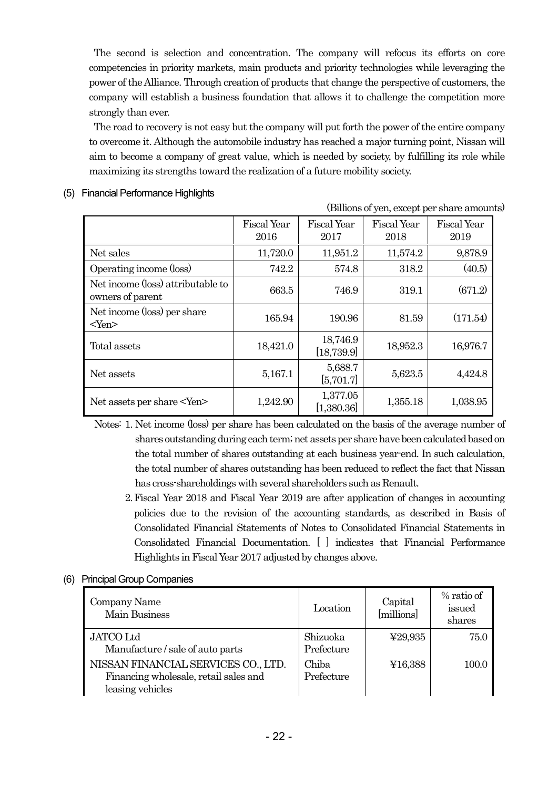The second is selection and concentration. The company will refocus its efforts on core competencies in priority markets, main products and priority technologies while leveraging the power of the Alliance. Through creation of products that change the perspective of customers, the company will establish a business foundation that allows it to challenge the competition more strongly than ever.

The road to recovery is not easy but the company will put forth the power of the entire company to overcome it. Although the automobile industry has reached a major turning point, Nissan will aim to become a company of great value, which is needed by society, by fulfilling its role while maximizing its strengths toward the realization of a future mobility society.

|                                                       |                            |                            |                            | (Billions of yen, except per share amounts) |
|-------------------------------------------------------|----------------------------|----------------------------|----------------------------|---------------------------------------------|
|                                                       | <b>Fiscal Year</b><br>2016 | <b>Fiscal Year</b><br>2017 | <b>Fiscal Year</b><br>2018 | <b>Fiscal Year</b><br>2019                  |
| Net sales                                             | 11,720.0                   | 11,951.2                   | 11,574.2                   | 9,878.9                                     |
| Operating income (loss)                               | 742.2                      | 574.8                      | 318.2                      | (40.5)                                      |
| Net income (loss) attributable to<br>owners of parent | 663.5                      | 746.9                      | 319.1                      | (671.2)                                     |
| Net income (loss) per share<br>$<$ Yen $>$            | 165.94                     | 190.96                     | 81.59                      | (171.54)                                    |
| Total assets                                          | 18,421.0                   | 18,746.9<br>[18, 739.9]    | 18,952.3                   | 16,976.7                                    |
| Net assets                                            | 5,167.1                    | 5,688.7<br>[5, 701.7]      | 5,623.5                    | 4,424.8                                     |
| Net assets per share <yen></yen>                      | 1,242.90                   | 1,377.05<br>[1,380.36]     | 1,355.18                   | 1,038.95                                    |

### (5) Financial Performance Highlights

Notes: 1. Net income (loss) per share has been calculated on the basis of the average number of shares outstanding during each term; net assets per share have been calculated based on the total number of shares outstanding at each business year-end. In such calculation, the total number of shares outstanding has been reduced to reflect the fact that Nissan has cross-shareholdings with several shareholders such as Renault.

2. Fiscal Year 2018 and Fiscal Year 2019 are after application of changes in accounting policies due to the revision of the accounting standards, as described in Basis of Consolidated Financial Statements of Notes to Consolidated Financial Statements in Consolidated Financial Documentation. [ ] indicates that Financial Performance Highlights in Fiscal Year 2017 adjusted by changes above.

## (6) Principal Group Companies

| Company Name<br>Main Business                                                                    | Location               | Capital<br>[millions] | % ratio of<br>issued<br>shares |
|--------------------------------------------------------------------------------------------------|------------------------|-----------------------|--------------------------------|
| <b>JATCO Ltd</b><br>Manufacture / sale of auto parts                                             | Shizuoka<br>Prefecture | ¥29,935               | 75.0                           |
| NISSAN FINANCIAL SERVICES CO., LTD.<br>Financing wholesale, retail sales and<br>leasing vehicles | Chiba<br>Prefecture    | ¥16,388               | 100.0                          |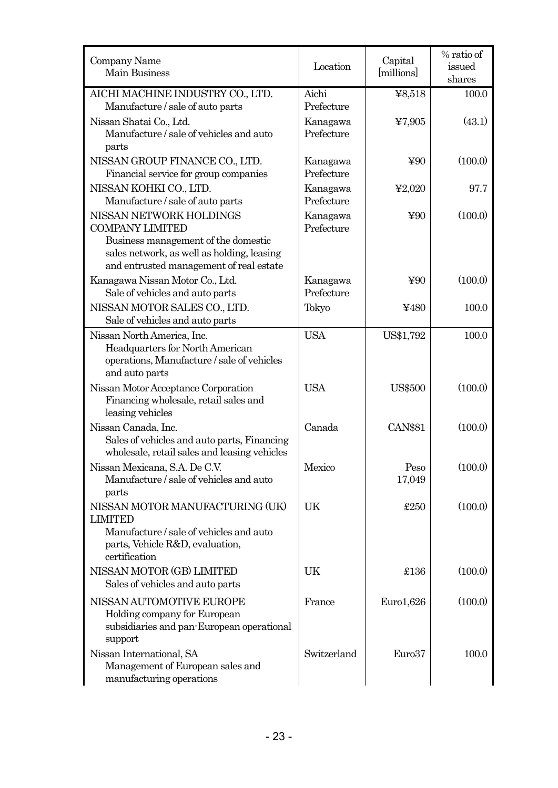| Company Name<br><b>Main Business</b>                                                                                                             | Location               | Capital<br>[millions] | % ratio of<br>issued<br>shares |
|--------------------------------------------------------------------------------------------------------------------------------------------------|------------------------|-----------------------|--------------------------------|
| AICHI MACHINE INDUSTRY CO., LTD.<br>Manufacture / sale of auto parts                                                                             | Aichi<br>Prefecture    | 48,518                | 100.0                          |
| Nissan Shatai Co., Ltd.<br>Manufacture / sale of vehicles and auto<br>parts                                                                      | Kanagawa<br>Prefecture | $\yen 7,905$          | (43.1)                         |
| NISSAN GROUP FINANCE CO., LTD.<br>Financial service for group companies                                                                          | Kanagawa<br>Prefecture | $\Psi$ 90             | (100.0)                        |
| NISSAN KOHKI CO., LTD.<br>Manufacture / sale of auto parts                                                                                       | Kanagawa<br>Prefecture | 42,020                | 97.7                           |
| NISSAN NETWORK HOLDINGS<br><b>COMPANY LIMITED</b><br>Business management of the domestic                                                         | Kanagawa<br>Prefecture | ¥90                   | (100.0)                        |
| sales network, as well as holding, leasing<br>and entrusted management of real estate                                                            |                        |                       |                                |
| Kanagawa Nissan Motor Co., Ltd.<br>Sale of vehicles and auto parts                                                                               | Kanagawa<br>Prefecture | ¥90                   | (100.0)                        |
| NISSAN MOTOR SALES CO., LTD.<br>Sale of vehicles and auto parts                                                                                  | Tokyo                  | ¥480                  | 100.0                          |
| Nissan North America, Inc.<br>Headquarters for North American<br>operations, Manufacture / sale of vehicles<br>and auto parts                    | <b>USA</b>             | US\$1,792             | 100.0                          |
| Nissan Motor Acceptance Corporation<br>Financing wholesale, retail sales and<br>leasing vehicles                                                 | <b>USA</b>             | <b>US\$500</b>        | (100.0)                        |
| Nissan Canada, Inc.<br>Sales of vehicles and auto parts, Financing<br>wholesale, retail sales and leasing vehicles                               | Canada                 | <b>CAN\$81</b>        | (100.0)                        |
| Nissan Mexicana, S.A. De C.V.<br>Manufacture / sale of vehicles and auto<br>parts                                                                | Mexico                 | Peso<br>17,049        | (100.0)                        |
| NISSAN MOTOR MANUFACTURING (UK)<br><b>LIMITED</b><br>Manufacture / sale of vehicles and auto<br>parts, Vehicle R&D, evaluation,<br>certification | UK                     | £250                  | (100.0)                        |
| NISSAN MOTOR (GB) LIMITED<br>Sales of vehicles and auto parts                                                                                    | UK                     | £136                  | (100.0)                        |
| NISSAN AUTOMOTIVE EUROPE<br>Holding company for European<br>subsidiaries and pan-European operational<br>support                                 | France                 | Euro1,626             | (100.0)                        |
| Nissan International, SA<br>Management of European sales and<br>manufacturing operations                                                         | Switzerland            | Euro37                | 100.0                          |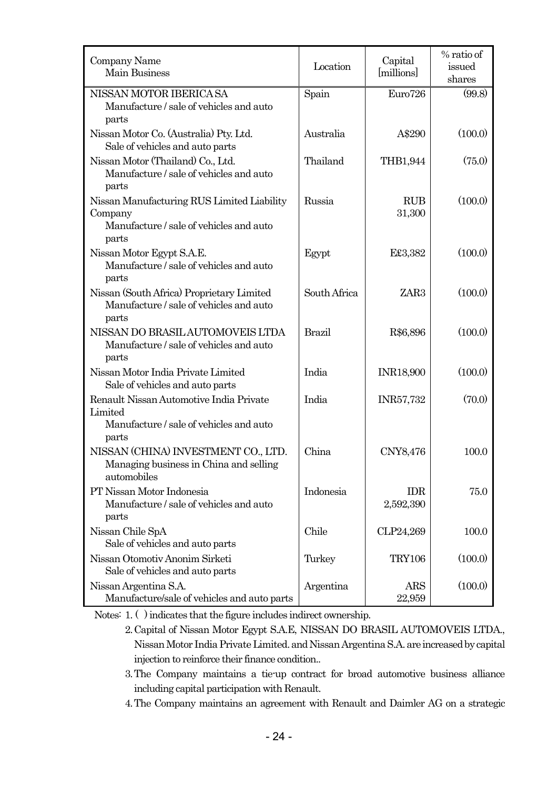| Company Name<br><b>Main Business</b>                                                                      | Location      | Capital<br>[millions]   | % ratio of<br>issued<br>shares |
|-----------------------------------------------------------------------------------------------------------|---------------|-------------------------|--------------------------------|
| NISSAN MOTOR IBERICA SA<br>Manufacture / sale of vehicles and auto<br>parts                               | Spain         | Euro726                 | (99.8)                         |
| Nissan Motor Co. (Australia) Pty. Ltd.<br>Sale of vehicles and auto parts                                 | Australia     | A\$290                  | (100.0)                        |
| Nissan Motor (Thailand) Co., Ltd.<br>Manufacture / sale of vehicles and auto<br>parts                     | Thailand      | THB1,944                | (75.0)                         |
| Nissan Manufacturing RUS Limited Liability<br>Company<br>Manufacture / sale of vehicles and auto<br>parts | Russia        | <b>RUB</b><br>31,300    | (100.0)                        |
| Nissan Motor Egypt S.A.E.<br>Manufacture / sale of vehicles and auto<br>parts                             | Egypt         | E£3,382                 | (100.0)                        |
| Nissan (South Africa) Proprietary Limited<br>Manufacture / sale of vehicles and auto<br>parts             | South Africa  | ZAR <sub>3</sub>        | (100.0)                        |
| NISSAN DO BRASILAUTOMOVEIS LTDA<br>Manufacture / sale of vehicles and auto<br>parts                       | <b>Brazil</b> | R\$6,896                | (100.0)                        |
| Nissan Motor India Private Limited<br>Sale of vehicles and auto parts                                     | India         | <b>INR18,900</b>        | (100.0)                        |
| Renault Nissan Automotive India Private<br>Limited<br>Manufacture / sale of vehicles and auto<br>parts    | India         | INR57,732               | (70.0)                         |
| NISSAN (CHINA) INVESTMENT CO., LTD.<br>Managing business in China and selling<br>automobiles              | China         | CNY8,476                | 100.0                          |
| PT Nissan Motor Indonesia<br>Manufacture / sale of vehicles and auto<br>parts                             | Indonesia     | <b>IDR</b><br>2,592,390 | 75.0                           |
| Nissan Chile SpA<br>Sale of vehicles and auto parts                                                       | Chile         | CLP24,269               | 100.0                          |
| Nissan Otomotiv Anonim Sirketi<br>Sale of vehicles and auto parts                                         | Turkey        | <b>TRY106</b>           | (100.0)                        |
| Nissan Argentina S.A.<br>Manufacture/sale of vehicles and auto parts                                      | Argentina     | <b>ARS</b><br>22,959    | (100.0)                        |

Notes: 1. ( ) indicates that the figure includes indirect ownership.

2. Capital of Nissan Motor Egypt S.A.E, NISSAN DO BRASIL AUTOMOVEIS LTDA., Nissan Motor India Private Limited. and Nissan Argentina S.A. are increased by capital injection to reinforce their finance condition..

- 3. The Company maintains a tie-up contract for broad automotive business alliance including capital participation with Renault.
- 4. The Company maintains an agreement with Renault and Daimler AG on a strategic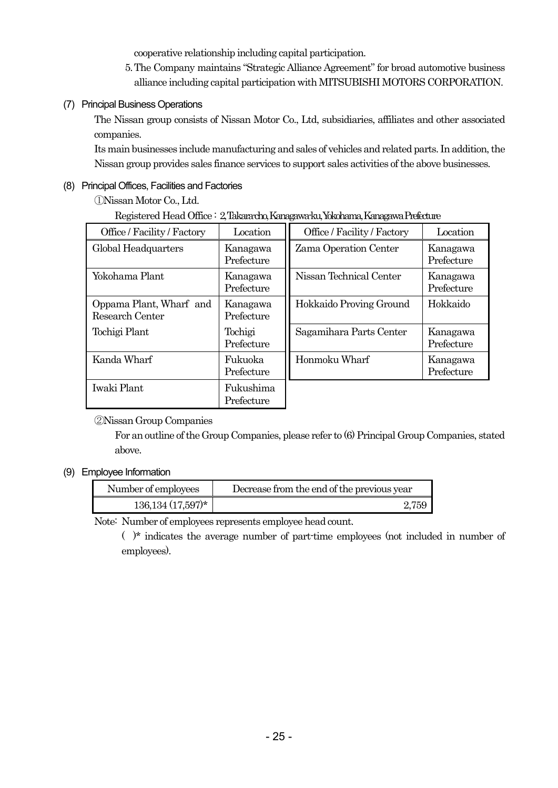cooperative relationship including capital participation.

5. The Company maintains "Strategic Alliance Agreement" for broad automotive business alliance including capital participation with MITSUBISHI MOTORS CORPORATION.

### (7) Principal Business Operations

The Nissan group consists of Nissan Motor Co., Ltd, subsidiaries, affiliates and other associated companies.

Its main businesses include manufacturing and sales of vehicles and related parts. In addition, the Nissan group provides sales finance services to support sales activities of the above businesses.

### (8) Principal Offices, Facilities and Factories

①Nissan Motor Co., Ltd.

### Registered Head Office : 2, Takara-cho, Kanagawa-ku, Yokohama, Kanagawa Prefecture

| Office / Facility / Factory                | Location                | Office / Facility / Factory | Location               |
|--------------------------------------------|-------------------------|-----------------------------|------------------------|
| Global Headquarters                        | Kanagawa<br>Prefecture  | Zama Operation Center       | Kanagawa<br>Prefecture |
| Yokohama Plant                             | Kanagawa<br>Prefecture  | Nissan Technical Center     | Kanagawa<br>Prefecture |
| Oppama Plant, Wharf and<br>Research Center | Kanagawa<br>Prefecture  | Hokkaido Proving Ground     | Hokkaido               |
| Tochigi Plant                              | Tochigi<br>Prefecture   | Sagamihara Parts Center     | Kanagawa<br>Prefecture |
| Kanda Wharf                                | Fukuoka<br>Prefecture   | Honmoku Wharf               | Kanagawa<br>Prefecture |
| Iwaki Plant                                | Fukushima<br>Prefecture |                             |                        |

②Nissan Group Companies

For an outline of the Group Companies, please refer to (6) Principal Group Companies, stated above.

### (9) Employee Information

| Number of employees | Decrease from the end of the previous year |
|---------------------|--------------------------------------------|
| $136,134(17,597)$ * | 2.759                                      |

Note: Number of employees represents employee head count.

( )\* indicates the average number of part-time employees (not included in number of employees).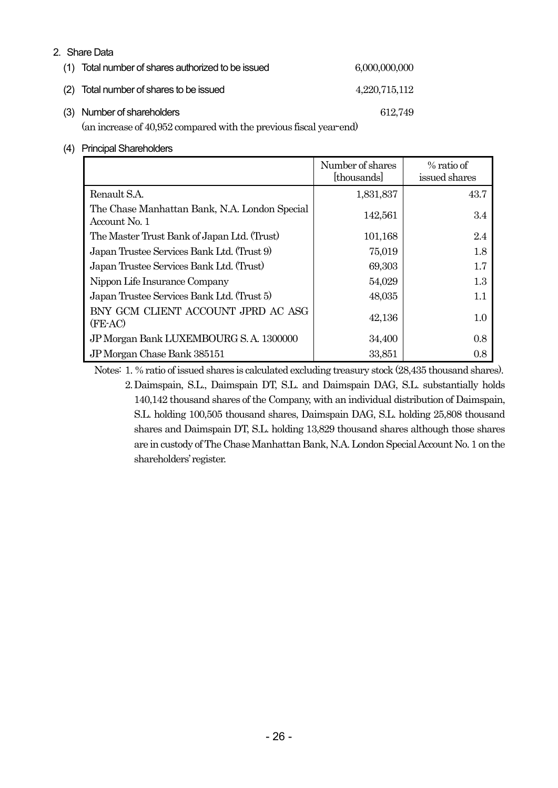## 2. Share Data

| (1) Total number of shares authorized to be issued | 6.000.000.000 |
|----------------------------------------------------|---------------|
| (2) Total number of shares to be issued            | 4,220,715,112 |
| (3) Number of shareholders                         | 612.749       |

(an increase of 40,952 compared with the previous fiscal year-end)

### (4) Principal Shareholders

|                                                                | Number of shares<br>[thousands] | % ratio of<br>issued shares |
|----------------------------------------------------------------|---------------------------------|-----------------------------|
| Renault S.A.                                                   | 1,831,837                       | 43.7                        |
| The Chase Manhattan Bank, N.A. London Special<br>Account No. 1 | 142,561                         | 3.4                         |
| The Master Trust Bank of Japan Ltd. (Trust)                    | 101,168                         | 2.4                         |
| Japan Trustee Services Bank Ltd. (Trust 9)                     | 75,019                          | 1.8                         |
| Japan Trustee Services Bank Ltd. (Trust)                       | 69,303                          | 1.7                         |
| Nippon Life Insurance Company                                  | 54,029                          | 1.3                         |
| Japan Trustee Services Bank Ltd. (Trust 5)                     | 48,035                          | 1.1                         |
| BNY GCM CLIENT ACCOUNT JPRD AC ASG<br>(FE-AC)                  | 42,136                          | 1.0                         |
| JP Morgan Bank LUXEMBOURG S.A. 1300000                         | 34,400                          | 0.8                         |
| JP Morgan Chase Bank 385151                                    | 33,851                          | 0.8                         |

Notes: 1. % ratio of issued shares is calculated excluding treasury stock (28,435 thousand shares).

2. Daimspain, S.L., Daimspain DT, S.L. and Daimspain DAG, S.L. substantially holds 140,142 thousand shares of the Company, with an individual distribution of Daimspain, S.L. holding 100,505 thousand shares, Daimspain DAG, S.L. holding 25,808 thousand shares and Daimspain DT, S.L. holding 13,829 thousand shares although those shares are in custody of The Chase Manhattan Bank, N.A. London Special Account No. 1 on the shareholders' register.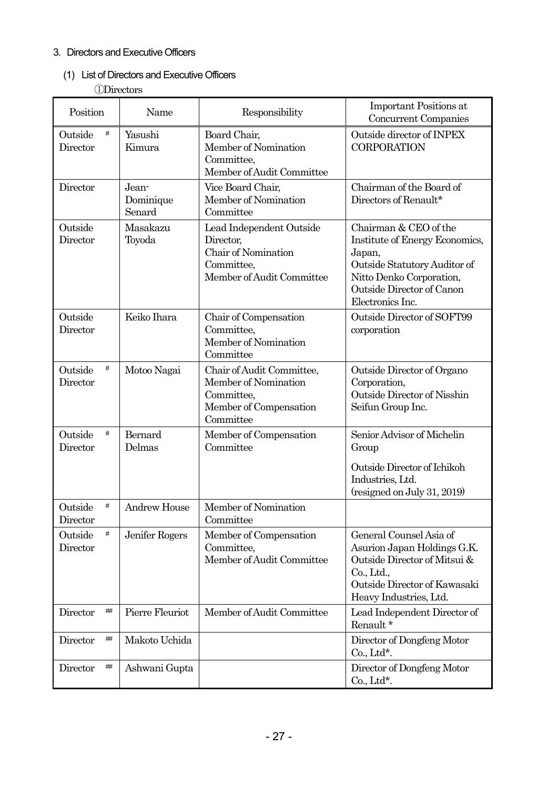# 3. Directors and Executive Officers

# (1) List of Directors and Executive Officers

①Directors

| Position                 | Name                         | Responsibility                                                                                          | <b>Important Positions at</b><br>Concurrent Companies                                                                                                                          |
|--------------------------|------------------------------|---------------------------------------------------------------------------------------------------------|--------------------------------------------------------------------------------------------------------------------------------------------------------------------------------|
| #<br>Outside<br>Director | Yasushi<br>Kimura            | Board Chair,<br>Member of Nomination<br>Committee,<br>Member of Audit Committee                         | Outside director of INPEX<br><b>CORPORATION</b>                                                                                                                                |
| Director                 | Jean-<br>Dominique<br>Senard | Vice Board Chair,<br>Member of Nomination<br>Committee                                                  | Chairman of the Board of<br>Directors of Renault*                                                                                                                              |
| Outside<br>Director      | Masakazu<br>Toyoda           | Lead Independent Outside<br>Director,<br>Chair of Nomination<br>Committee,<br>Member of Audit Committee | Chairman & CEO of the<br>Institute of Energy Economics,<br>Japan,<br>Outside Statutory Auditor of<br>Nitto Denko Corporation,<br>Outside Director of Canon<br>Electronics Inc. |
| Outside<br>Director      | Keiko Ihara                  | Chair of Compensation<br>Committee,<br>Member of Nomination<br>Committee                                | Outside Director of SOFT99<br>corporation                                                                                                                                      |
| Outside<br>#<br>Director | Motoo Nagai                  | Chair of Audit Committee,<br>Member of Nomination<br>Committee,<br>Member of Compensation<br>Committee  | Outside Director of Organo<br>Corporation,<br>Outside Director of Nisshin<br>Seifun Group Inc.                                                                                 |
| Outside<br>#<br>Director | Bernard<br>Delmas            | Member of Compensation<br>Committee                                                                     | Senior Advisor of Michelin<br>Group<br>Outside Director of Ichikoh<br>Industries, Ltd.<br>(resigned on July 31, 2019)                                                          |
| Outside<br>#<br>Director | <b>Andrew House</b>          | Member of Nomination<br>Committee                                                                       |                                                                                                                                                                                |
| #<br>Outside<br>Director | Jenifer Rogers               | Member of Compensation<br>Committee,<br>Member of Audit Committee                                       | General Counsel Asia of<br>Asurion Japan Holdings G.K.<br>Outside Director of Mitsui &<br>$Co$ , Ltd.,<br>Outside Director of Kawasaki<br>Heavy Industries, Ltd.               |
| ##<br>Director           | Pierre Fleuriot              | Member of Audit Committee                                                                               | Lead Independent Director of<br>Renault*                                                                                                                                       |
| ##<br>Director           | Makoto Uchida                |                                                                                                         | Director of Dongfeng Motor<br>$Co$ , Ltd*.                                                                                                                                     |
| ##<br>Director           | Ashwani Gupta                |                                                                                                         | Director of Dongfeng Motor<br>$Co$ , Ltd*.                                                                                                                                     |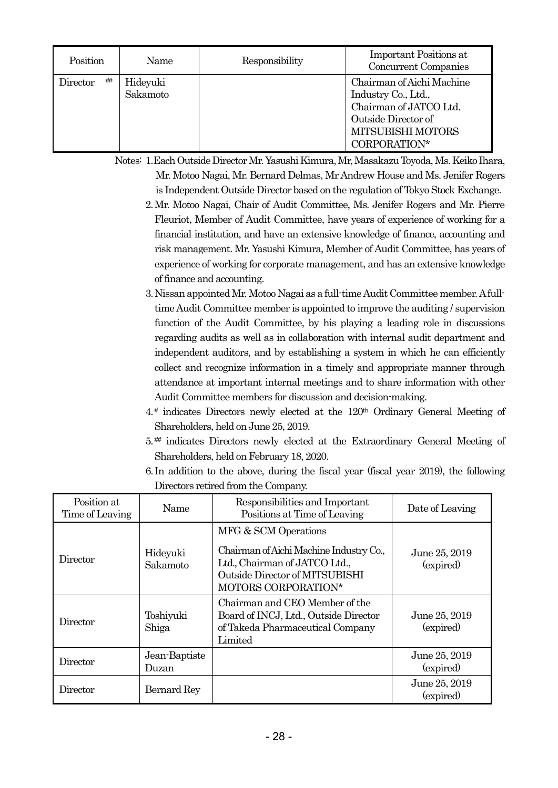| Position       | Name                 | Responsibility | Important Positions at<br>Concurrent Companies                                                                                         |
|----------------|----------------------|----------------|----------------------------------------------------------------------------------------------------------------------------------------|
| ##<br>Director | Hideyuki<br>Sakamoto |                | Chairman of Aichi Machine<br>Industry Co., Ltd.,<br>Chairman of JATCO Ltd.<br>Outside Director of<br>MITSUBISHI MOTORS<br>CORPORATION* |

- Notes: 1. Each Outside Director Mr. Yasushi Kimura, Mr, Masakazu Toyoda, Ms. Keiko Ihara, Mr. Motoo Nagai, Mr. Bernard Delmas, Mr Andrew House and Ms. Jenifer Rogers is Independent Outside Director based on the regulation of Tokyo Stock Exchange.
	- 2. Mr. Motoo Nagai, Chair of Audit Committee, Ms. Jenifer Rogers and Mr. Pierre Fleuriot, Member of Audit Committee, have years of experience of working for a financial institution, and have an extensive knowledge of finance, accounting and risk management. Mr. Yasushi Kimura, Member of Audit Committee, has years of experience of working for corporate management, and has an extensive knowledge of finance and accounting.
	- 3. Nissan appointed Mr. Motoo Nagai as a full-time Audit Committee member. A fulltime Audit Committee member is appointed to improve the auditing / supervision function of the Audit Committee, by his playing a leading role in discussions regarding audits as well as in collaboration with internal audit department and independent auditors, and by establishing a system in which he can efficiently collect and recognize information in a timely and appropriate manner through attendance at important internal meetings and to share information with other Audit Committee members for discussion and decision-making.
	- 4.<sup>#</sup> indicates Directors newly elected at the 120<sup>th</sup> Ordinary General Meeting of Shareholders, held on June 25, 2019.
	- 5. ## indicates Directors newly elected at the Extraordinary General Meeting of Shareholders, held on February 18, 2020.
	- 6. In addition to the above, during the fiscal year (fiscal year 2019), the following Directors retired from the Company.

| Position at<br>Time of Leaving | Name                   | Responsibilities and Important<br>Positions at Time of Leaving                                                                                            | Date of Leaving            |
|--------------------------------|------------------------|-----------------------------------------------------------------------------------------------------------------------------------------------------------|----------------------------|
| Director                       | Hideyuki<br>Sakamoto   | MFG & SCM Operations<br>Chairman of Aichi Machine Industry Co.,<br>Ltd., Chairman of JATCO Ltd.,<br>Outside Director of MITSUBISHI<br>MOTORS CORPORATION* | June 25, 2019<br>(expired) |
| Director                       | Toshiyuki<br>Shiga     | Chairman and CEO Member of the<br>Board of INCJ, Ltd., Outside Director<br>of Takeda Pharmaceutical Company<br>Limited                                    | June 25, 2019<br>(expired) |
| Director                       | Jean-Baptiste<br>Duzan |                                                                                                                                                           | June 25, 2019<br>(expired) |
| Director                       | Bernard Rey            |                                                                                                                                                           | June 25, 2019<br>(expired) |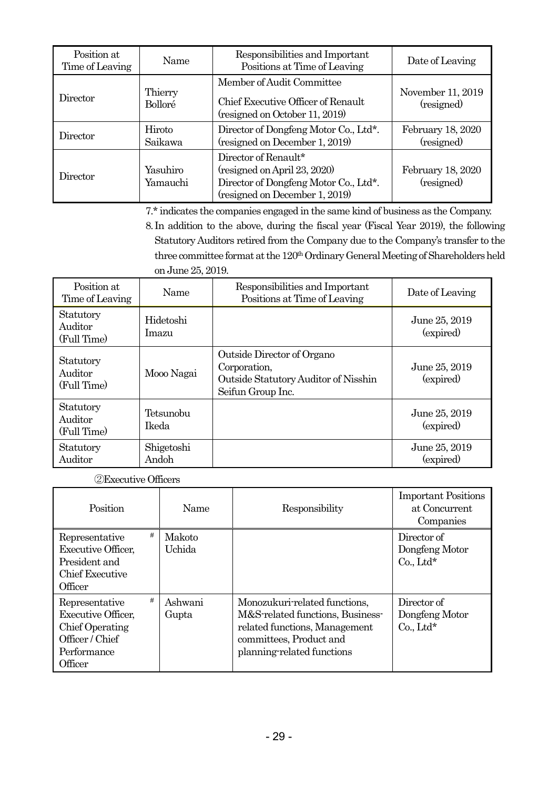| Position at<br>Time of Leaving | Name                 | Responsibilities and Important<br>Positions at Time of Leaving                                                                  | Date of Leaving                 |
|--------------------------------|----------------------|---------------------------------------------------------------------------------------------------------------------------------|---------------------------------|
| Director                       | Thierry<br>Bolloré   | Member of Audit Committee<br>Chief Executive Officer of Renault<br>(resigned on October 11, 2019)                               | November 11, 2019<br>(resigned) |
| Director                       | Hiroto<br>Saikawa    | Director of Dongfeng Motor Co., Ltd*.<br>(resigned on December 1, 2019)                                                         | February 18, 2020<br>(resigned) |
| Director                       | Yasuhiro<br>Yamauchi | Director of Renault*<br>(resigned on April 23, 2020)<br>Director of Dongfeng Motor Co., Ltd*.<br>(resigned on December 1, 2019) | February 18, 2020<br>(resigned) |

7.\* indicates the companies engaged in the same kind of business as the Company.

8. In addition to the above, during the fiscal year (Fiscal Year 2019), the following Statutory Auditors retired from the Company due to the Company's transfer to the three committee format at the 120<sup>th</sup> Ordinary General Meeting of Shareholders held on June 25, 2019.

| Position at<br>Time of Leaving      | Name                      | Responsibilities and Important<br>Positions at Time of Leaving                                          | Date of Leaving            |
|-------------------------------------|---------------------------|---------------------------------------------------------------------------------------------------------|----------------------------|
| Statutory<br>Auditor<br>(Full Time) | Hidetoshi<br>Imazu        |                                                                                                         | June 25, 2019<br>(expired) |
| Statutory<br>Auditor<br>(Full Time) | Mooo Nagai                | Outside Director of Organo<br>Corporation,<br>Outside Statutory Auditor of Nisshin<br>Seifun Group Inc. | June 25, 2019<br>(expired) |
| Statutory<br>Auditor<br>(Full Time) | Tetsunobu<br><b>Ikeda</b> |                                                                                                         | June 25, 2019<br>(expired) |
| Statutory<br>Auditor                | Shigetoshi<br>Andoh       |                                                                                                         | June 25, 2019<br>(expired) |

②Executive Officers

| Position                                                                                                           |   | Name             | Responsibility                                                                                                                                              | <b>Important Positions</b><br>at Concurrent<br>Companies |
|--------------------------------------------------------------------------------------------------------------------|---|------------------|-------------------------------------------------------------------------------------------------------------------------------------------------------------|----------------------------------------------------------|
| Representative<br><b>Executive Officer,</b><br>President and<br><b>Chief Executive</b><br>Officer                  | # | Makoto<br>Uchida |                                                                                                                                                             | Director of<br>Dongfeng Motor<br>$Co. Ltd*$              |
| Representative<br><b>Executive Officer,</b><br><b>Chief Operating</b><br>Officer / Chief<br>Performance<br>Officer | # | Ashwani<br>Gupta | Monozukuri-related functions,<br>M&S-related functions, Business-<br>related functions, Management<br>committees, Product and<br>planning-related functions | Director of<br>Dongfeng Motor<br>$Co. Ltd*$              |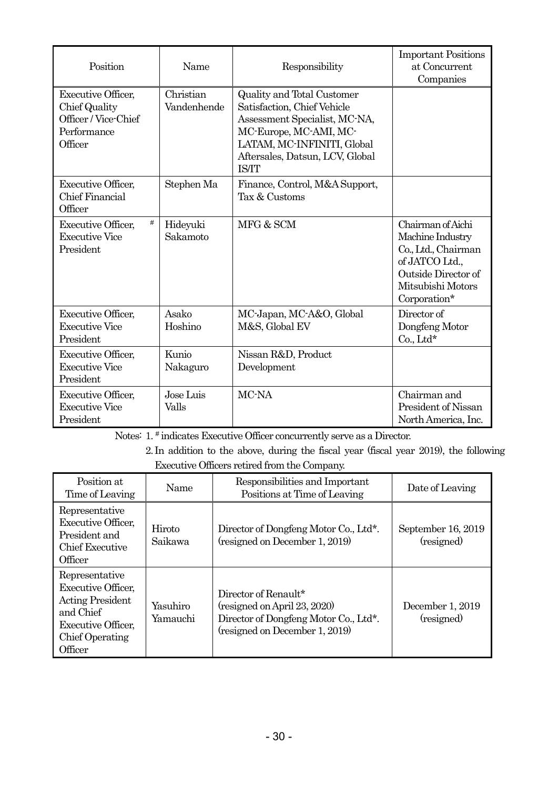| Position                                                                                     | Name<br>Responsibility   |                                                                                                                                                                                                              | <b>Important Positions</b><br>at Concurrent<br>Companies                                                                                   |
|----------------------------------------------------------------------------------------------|--------------------------|--------------------------------------------------------------------------------------------------------------------------------------------------------------------------------------------------------------|--------------------------------------------------------------------------------------------------------------------------------------------|
| <b>Executive Officer,</b><br>Chief Quality<br>Officer / Vice-Chief<br>Performance<br>Officer | Christian<br>Vandenhende | <b>Quality and Total Customer</b><br>Satisfaction, Chief Vehicle<br>Assessment Specialist, MC-NA,<br>MC-Europe, MC-AMI, MC-<br>LATAM, MC-INFINITI, Global<br>Aftersales, Datsun, LCV, Global<br><b>IS/IT</b> |                                                                                                                                            |
| <b>Executive Officer,</b><br>Chief Financial<br>Officer                                      | Stephen Ma               | Finance, Control, M&A Support,<br>Tax & Customs                                                                                                                                                              |                                                                                                                                            |
| $\#$<br><b>Executive Officer,</b><br><b>Executive Vice</b><br>President                      | Hideyuki<br>Sakamoto     | MFG & SCM                                                                                                                                                                                                    | Chairman of Aichi<br>Machine Industry<br>Co., Ltd., Chairman<br>of JATCO Ltd.,<br>Outside Director of<br>Mitsubishi Motors<br>Corporation* |
| <b>Executive Officer,</b><br><b>Executive Vice</b><br>President                              | Asako<br>Hoshino         | MC-Japan, MC-A&O, Global<br>M&S, Global EV                                                                                                                                                                   | Director of<br>Dongfeng Motor<br>$Co$ , Ltd*                                                                                               |
| <b>Executive Officer,</b><br><b>Executive Vice</b><br>President                              | Kunio<br>Nakaguro        | Nissan R&D, Product<br>Development                                                                                                                                                                           |                                                                                                                                            |
| <b>Executive Officer,</b><br><b>Executive Vice</b><br>President                              | Jose Luis<br>Valls       | MC-NA                                                                                                                                                                                                        | Chairman and<br>President of Nissan<br>North America, Inc.                                                                                 |

Notes: 1. # indicates Executive Officer concurrently serve as a Director.

2. In addition to the above, during the fiscal year (fiscal year 2019), the following Executive Officers retired from the Company.

| Position at<br>Time of Leaving                                                                                                                        | Name                 | Responsibilities and Important<br>Positions at Time of Leaving                                                                  | Date of Leaving                  |
|-------------------------------------------------------------------------------------------------------------------------------------------------------|----------------------|---------------------------------------------------------------------------------------------------------------------------------|----------------------------------|
| Representative<br><b>Executive Officer,</b><br>President and<br><b>Chief Executive</b><br>Officer                                                     | Hiroto<br>Saikawa    | Director of Dongfeng Motor Co., Ltd*.<br>(resigned on December 1, 2019)                                                         | September 16, 2019<br>(resigned) |
| Representative<br><b>Executive Officer,</b><br><b>Acting President</b><br>and Chief<br><b>Executive Officer,</b><br><b>Chief Operating</b><br>Officer | Yasuhiro<br>Yamauchi | Director of Renault*<br>(resigned on April 23, 2020)<br>Director of Dongfeng Motor Co., Ltd*.<br>(resigned on December 1, 2019) | December 1, 2019<br>(resigned)   |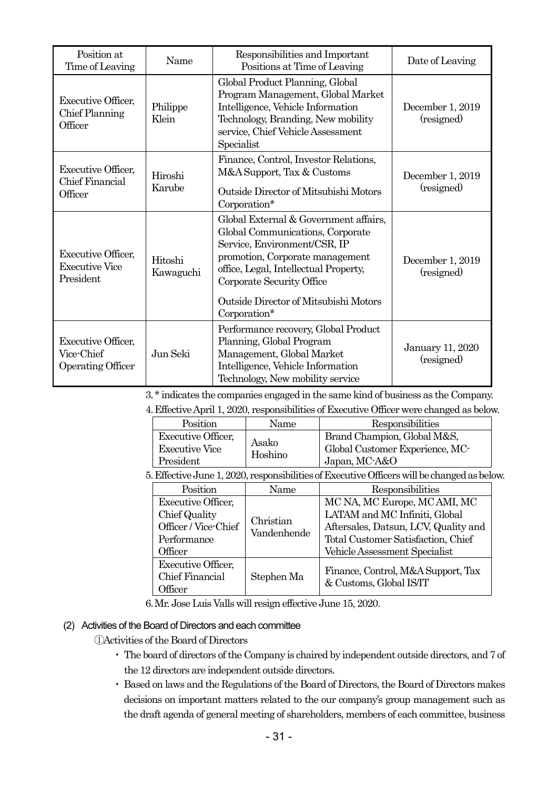| Position at<br>Time of Leaving                                                  | Name                 | Responsibilities and Important<br>Positions at Time of Leaving                                                                                                                                                                                                              | Date of Leaving                       |
|---------------------------------------------------------------------------------|----------------------|-----------------------------------------------------------------------------------------------------------------------------------------------------------------------------------------------------------------------------------------------------------------------------|---------------------------------------|
| <b>Executive Officer,</b><br>Chief Planning<br>Officer                          | Philippe<br>Klein    | Global Product Planning, Global<br>Program Management, Global Market<br>Intelligence, Vehicle Information<br>Technology, Branding, New mobility<br>service, Chief Vehicle Assessment<br>Specialist                                                                          | December 1, 2019<br>(resigned)        |
| <b>Executive Officer,</b><br><b>Chief Financial</b><br>Officer                  | Hiroshi<br>Karube    | Finance, Control, Investor Relations,<br>M&A Support, Tax & Customs<br>Outside Director of Mitsubishi Motors<br>Corporation*                                                                                                                                                | December 1, 2019<br>(resigned)        |
| <b>Executive Officer,</b><br><b>Executive Vice</b><br>President                 | Hitoshi<br>Kawaguchi | Global External & Government affairs,<br>Global Communications, Corporate<br>Service, Environment/CSR, IP<br>promotion, Corporate management<br>office, Legal, Intellectual Property,<br>Corporate Security Office<br>Outside Director of Mitsubishi Motors<br>Corporation* | December 1, 2019<br>(resigned)        |
| <b>Executive Officer,</b><br>Vice-Chief<br>Jun Seki<br><b>Operating Officer</b> |                      | Performance recovery, Global Product<br>Planning, Global Program<br>Management, Global Market<br>Intelligence, Vehicle Information<br>Technology, New mobility service                                                                                                      | <b>January 11, 2020</b><br>(resigned) |

3. \* indicates the companies engaged in the same kind of business as the Company.

4. Effective April 1, 2020, responsibilities of Executive Officer were changed as below.

| Position                  | Name             | Responsibilities                                                                            |  |
|---------------------------|------------------|---------------------------------------------------------------------------------------------|--|
| <b>Executive Officer,</b> |                  | Brand Champion, Global M&S,                                                                 |  |
| <b>Executive Vice</b>     | Asako<br>Hoshino | Global Customer Experience, MC-                                                             |  |
| President                 |                  | Japan, MC-A&O                                                                               |  |
|                           |                  | 5. Effective June 1, 2020, responsibilities of Executive Officers will be changed as below. |  |
| $\mathbf{r}$              |                  | $-1 - -1 - 1$<br>$\mathbf{r}$                                                               |  |

| Position                  | Name        | Responsibilities                     |
|---------------------------|-------------|--------------------------------------|
| <b>Executive Officer,</b> |             | MC NA, MC Europe, MC AMI, MC         |
| Chief Quality             | Christian   | LATAM and MC Infiniti, Global        |
| Officer / Vice-Chief      | Vandenhende | Aftersales, Datsun, LCV, Quality and |
| Performance               |             | Total Customer Satisfaction, Chief   |
| Officer                   |             | Vehicle Assessment Specialist        |
| <b>Executive Officer,</b> |             | Finance, Control, M&A Support, Tax   |
| <b>Chief Financial</b>    | Stephen Ma  | & Customs, Global IS/IT              |
| Officer                   |             |                                      |

6. Mr. Jose Luis Valls will resign effective June 15, 2020.

### (2) Activities of the Board of Directors and each committee

①Activities of the Board of Directors

- ・ The board of directors of the Company is chaired by independent outside directors, and 7 of the 12 directors are independent outside directors.
- ・ Based on laws and the Regulations of the Board of Directors, the Board of Directors makes decisions on important matters related to the our company's group management such as the draft agenda of general meeting of shareholders, members of each committee, business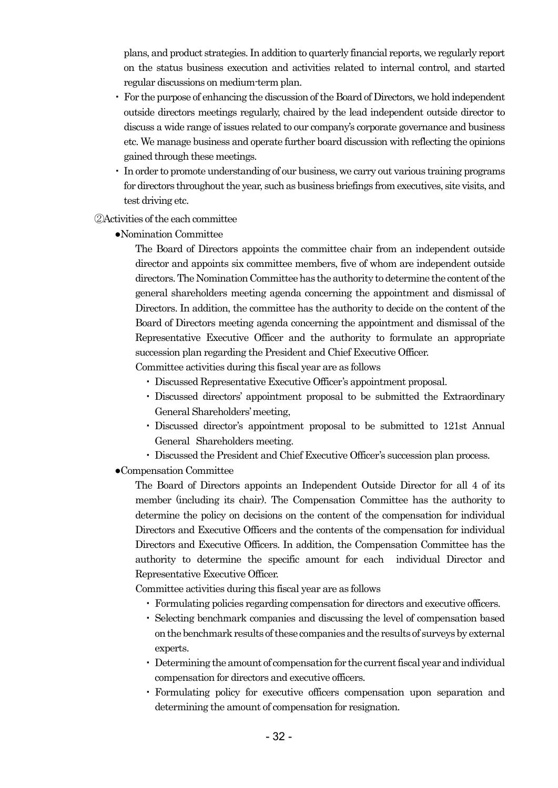plans, and product strategies. In addition to quarterly financial reports, we regularly report on the status business execution and activities related to internal control, and started regular discussions on medium-term plan.

- ・ For the purpose of enhancing the discussion of the Board of Directors, we hold independent outside directors meetings regularly, chaired by the lead independent outside director to discuss a wide range of issues related to our company's corporate governance and business etc. We manage business and operate further board discussion with reflecting the opinions gained through these meetings.
- ・ In order to promote understanding of our business, we carry out various training programs for directors throughout the year, such as business briefings from executives, site visits, and test driving etc.

### ②Activities of the each committee

●Nomination Committee

The Board of Directors appoints the committee chair from an independent outside director and appoints six committee members, five of whom are independent outside directors. The Nomination Committee has the authority to determine the content of the general shareholders meeting agenda concerning the appointment and dismissal of Directors. In addition, the committee has the authority to decide on the content of the Board of Directors meeting agenda concerning the appointment and dismissal of the Representative Executive Officer and the authority to formulate an appropriate succession plan regarding the President and Chief Executive Officer.

Committee activities during this fiscal year are as follows

- ・ Discussed Representative Executive Officer's appointment proposal.
- ・ Discussed directors' appointment proposal to be submitted the Extraordinary General Shareholders' meeting,
- ・ Discussed director's appointment proposal to be submitted to 121st Annual General Shareholders meeting.
- ・ Discussed the President and Chief Executive Officer's succession plan process.

### ●Compensation Committee

The Board of Directors appoints an Independent Outside Director for all 4 of its member (including its chair). The Compensation Committee has the authority to determine the policy on decisions on the content of the compensation for individual Directors and Executive Officers and the contents of the compensation for individual Directors and Executive Officers. In addition, the Compensation Committee has the authority to determine the specific amount for each individual Director and Representative Executive Officer.

Committee activities during this fiscal year are as follows

- ・ Formulating policies regarding compensation for directors and executive officers.
- ・ Selecting benchmark companies and discussing the level of compensation based on the benchmark results of these companies and the results of surveys by external experts.
- ・ Determining the amount of compensation for the current fiscal year and individual compensation for directors and executive officers.
- ・ Formulating policy for executive officers compensation upon separation and determining the amount of compensation for resignation.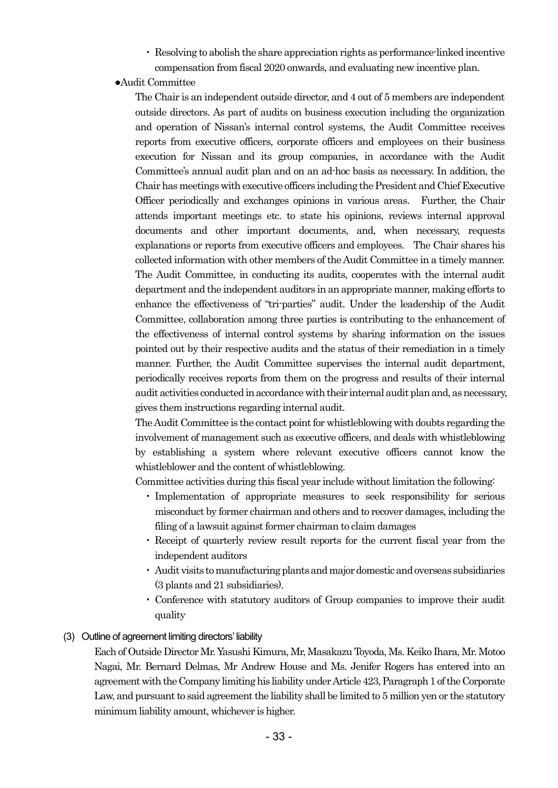・ Resolving to abolish the share appreciation rights as performance-linked incentive compensation from fiscal 2020 onwards, and evaluating new incentive plan.

●Audit Committee

The Chair is an independent outside director, and 4 out of 5 members are independent outside directors. As part of audits on business execution including the organization and operation of Nissan's internal control systems, the Audit Committee receives reports from executive officers, corporate officers and employees on their business execution for Nissan and its group companies, in accordance with the Audit Committee's annual audit plan and on an ad-hoc basis as necessary. In addition, the Chair has meetings with executive officers including the President and Chief Executive Officer periodically and exchanges opinions in various areas. Further, the Chair attends important meetings etc. to state his opinions, reviews internal approval documents and other important documents, and, when necessary, requests explanations or reports from executive officers and employees. The Chair shares his collected information with other members of the Audit Committee in a timely manner. The Audit Committee, in conducting its audits, cooperates with the internal audit department and the independent auditors in an appropriate manner, making efforts to enhance the effectiveness of "tri-parties" audit. Under the leadership of the Audit Committee, collaboration among three parties is contributing to the enhancement of the effectiveness of internal control systems by sharing information on the issues pointed out by their respective audits and the status of their remediation in a timely manner. Further, the Audit Committee supervises the internal audit department, periodically receives reports from them on the progress and results of their internal audit activities conducted in accordance with their internal audit plan and, as necessary, gives them instructions regarding internal audit.

The Audit Committee is the contact point for whistleblowing with doubts regarding the involvement of management such as executive officers, and deals with whistleblowing by establishing a system where relevant executive officers cannot know the whistleblower and the content of whistleblowing.

Committee activities during this fiscal year include without limitation the following:

- ・ Implementation of appropriate measures to seek responsibility for serious misconduct by former chairman and others and to recover damages, including the filing of a lawsuit against former chairman to claim damages
- ・ Receipt of quarterly review result reports for the current fiscal year from the independent auditors
- ・ Audit visits to manufacturing plants and major domestic and overseas subsidiaries (3 plants and 21 subsidiaries).
- ・ Conference with statutory auditors of Group companies to improve their audit quality

## (3) Outline of agreement limiting directors' liability

Each of Outside Director Mr. Yasushi Kimura, Mr, Masakazu Toyoda, Ms. Keiko Ihara, Mr. Motoo Nagai, Mr. Bernard Delmas, Mr Andrew House and Ms. Jenifer Rogers has entered into an agreement with the Company limiting his liability under Article 423, Paragraph 1 of the Corporate Law, and pursuant to said agreement the liability shall be limited to 5 million yen or the statutory minimum liability amount, whichever is higher.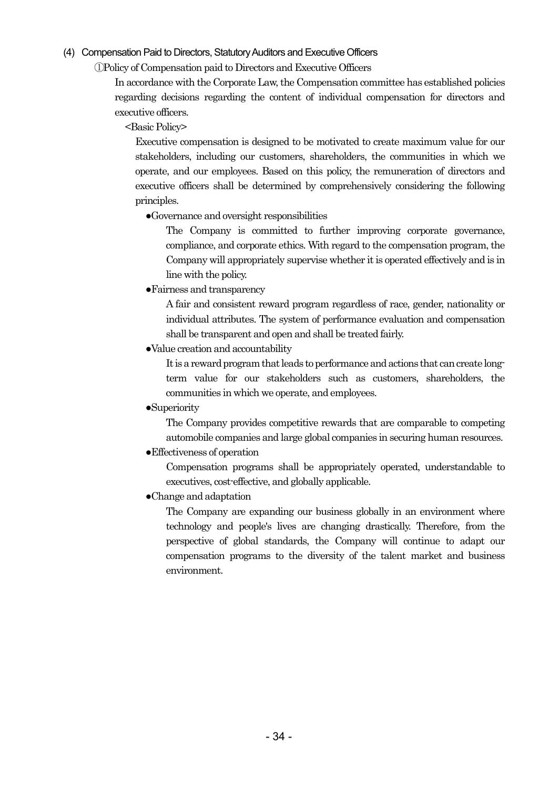### (4) Compensation Paid to Directors, Statutory Auditors and Executive Officers

①Policy of Compensation paid to Directors and Executive Officers

In accordance with the Corporate Law, the Compensation committee has established policies regarding decisions regarding the content of individual compensation for directors and executive officers.

<Basic Policy>

Executive compensation is designed to be motivated to create maximum value for our stakeholders, including our customers, shareholders, the communities in which we operate, and our employees. Based on this policy, the remuneration of directors and executive officers shall be determined by comprehensively considering the following principles.

●Governance and oversight responsibilities

The Company is committed to further improving corporate governance, compliance, and corporate ethics. With regard to the compensation program, the Company will appropriately supervise whether it is operated effectively and is in line with the policy.

●Fairness and transparency

A fair and consistent reward program regardless of race, gender, nationality or individual attributes. The system of performance evaluation and compensation shall be transparent and open and shall be treated fairly.

●Value creation and accountability

It is a reward program that leads to performance and actions that can create longterm value for our stakeholders such as customers, shareholders, the communities in which we operate, and employees.

●Superiority

The Company provides competitive rewards that are comparable to competing automobile companies and large global companies in securing human resources.

●Effectiveness of operation

Compensation programs shall be appropriately operated, understandable to executives, cost-effective, and globally applicable.

●Change and adaptation

The Company are expanding our business globally in an environment where technology and people's lives are changing drastically. Therefore, from the perspective of global standards, the Company will continue to adapt our compensation programs to the diversity of the talent market and business environment.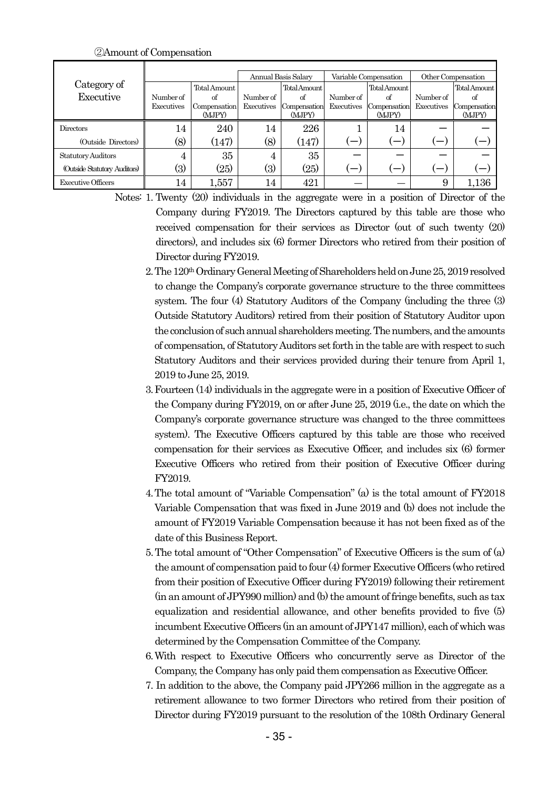#### ②Amount of Compensation

|                              |                         |                                              |                         | Annual Basis Salary                                 |                         | Variable Compensation                        |                         | Other Compensation                     |
|------------------------------|-------------------------|----------------------------------------------|-------------------------|-----------------------------------------------------|-------------------------|----------------------------------------------|-------------------------|----------------------------------------|
| Category of<br>Executive     | Number of<br>Executives | Total Amount<br>of<br>Compensation<br>(MJPY) | Number of<br>Executives | <b>Total Amount</b><br>of<br>Compensation<br>(MJPY) | Number of<br>Executives | Total Amount<br>of<br>Compensation<br>(MJPY) | Number of<br>Executives | Total Amount<br>Compensation<br>(MJPY) |
| <b>Directors</b>             | 14                      | 240                                          | 14                      | 226                                                 |                         | 14                                           |                         |                                        |
| (Outside Directors)          | (8)                     | (147)                                        | $\left( 8\right)$       | (147)                                               |                         | –                                            | –                       |                                        |
| <b>Statutory Auditors</b>    | 4                       | 35                                           |                         | 35                                                  |                         |                                              |                         |                                        |
| (Outside Statutory Auditors) | $\left( 3\right)$       | (25)                                         | (3)                     | (25)                                                |                         |                                              |                         |                                        |
| <b>Executive Officers</b>    | 14                      | 1,557                                        | 14                      | 421                                                 |                         |                                              | 9                       | 1,136                                  |

Notes: 1. Twenty (20) individuals in the aggregate were in a position of Director of the Company during FY2019. The Directors captured by this table are those who received compensation for their services as Director (out of such twenty (20) directors), and includes six (6) former Directors who retired from their position of Director during FY2019.

- 2. The 120th Ordinary General Meeting of Shareholders held on June 25, 2019 resolved to change the Company's corporate governance structure to the three committees system. The four (4) Statutory Auditors of the Company (including the three (3) Outside Statutory Auditors) retired from their position of Statutory Auditor upon the conclusion of such annual shareholders meeting. The numbers, and the amounts of compensation, of Statutory Auditors set forth in the table are with respect to such Statutory Auditors and their services provided during their tenure from April 1, 2019 to June 25, 2019.
- 3. Fourteen (14) individuals in the aggregate were in a position of Executive Officer of the Company during FY2019, on or after June 25, 2019 (i.e., the date on which the Company's corporate governance structure was changed to the three committees system). The Executive Officers captured by this table are those who received compensation for their services as Executive Officer, and includes six (6) former Executive Officers who retired from their position of Executive Officer during FY2019.
- 4. The total amount of "Variable Compensation" (a) is the total amount of FY2018 Variable Compensation that was fixed in June 2019 and (b) does not include the amount of FY2019 Variable Compensation because it has not been fixed as of the date of this Business Report.
- 5. The total amount of "Other Compensation" of Executive Officers is the sum of (a) the amount of compensation paid to four (4) former Executive Officers (who retired from their position of Executive Officer during FY2019) following their retirement (in an amount of JPY990 million) and (b) the amount of fringe benefits, such as tax equalization and residential allowance, and other benefits provided to five (5) incumbent Executive Officers (in an amount of JPY147 million), each of which was determined by the Compensation Committee of the Company.
- 6. With respect to Executive Officers who concurrently serve as Director of the Company, the Company has only paid them compensation as Executive Officer.
- 7. In addition to the above, the Company paid JPY266 million in the aggregate as a retirement allowance to two former Directors who retired from their position of Director during FY2019 pursuant to the resolution of the 108th Ordinary General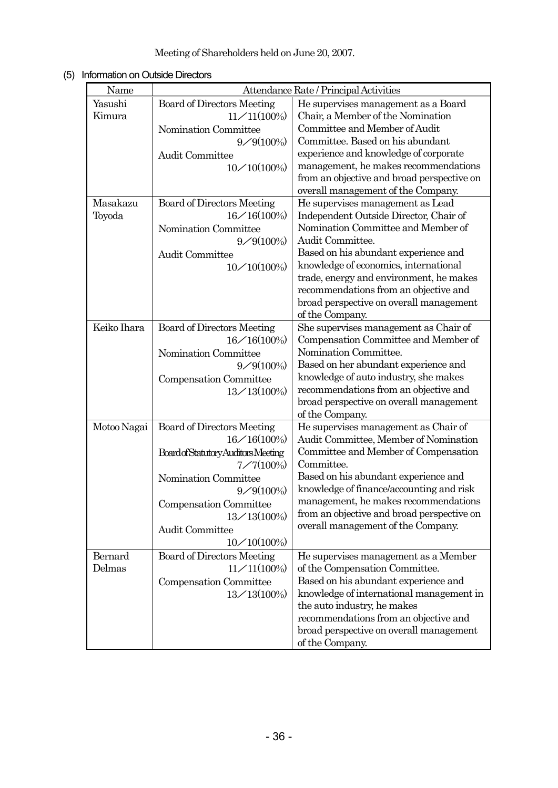# (5) Information on Outside Directors

| Name        |                                                     | Attendance Rate / Principal Activities                                 |
|-------------|-----------------------------------------------------|------------------------------------------------------------------------|
| Yasushi     | Board of Directors Meeting                          | He supervises management as a Board                                    |
| Kimura      | $11 \angle 11(100\%)$                               | Chair, a Member of the Nomination                                      |
|             | Nomination Committee                                | Committee and Member of Audit                                          |
|             | $9/9(100\%)$                                        | Committee. Based on his abundant                                       |
|             | <b>Audit Committee</b>                              | experience and knowledge of corporate                                  |
|             | $10 \angle 10(100\%)$                               | management, he makes recommendations                                   |
|             |                                                     | from an objective and broad perspective on                             |
|             |                                                     | overall management of the Company.                                     |
| Masakazu    | Board of Directors Meeting                          | He supervises management as Lead                                       |
| Toyoda      | 16/16(100%)                                         | Independent Outside Director, Chair of                                 |
|             | Nomination Committee                                | Nomination Committee and Member of                                     |
|             | $9/9(100\%)$                                        | Audit Committee.                                                       |
|             | <b>Audit Committee</b>                              | Based on his abundant experience and                                   |
|             | $10 \angle 10(100\%)$                               | knowledge of economics, international                                  |
|             |                                                     | trade, energy and environment, he makes                                |
|             |                                                     | recommendations from an objective and                                  |
|             |                                                     | broad perspective on overall management                                |
|             |                                                     | of the Company.                                                        |
| Keiko Ihara | Board of Directors Meeting                          | She supervises management as Chair of                                  |
|             | 16/16(100%)                                         | Compensation Committee and Member of                                   |
|             | Nomination Committee                                | Nomination Committee.                                                  |
|             | $9/9(100\%)$                                        | Based on her abundant experience and                                   |
|             | Compensation Committee                              | knowledge of auto industry, she makes                                  |
|             | 13/13(100%)                                         | recommendations from an objective and                                  |
|             |                                                     | broad perspective on overall management<br>of the Company.             |
| Motoo Nagai | Board of Directors Meeting                          | He supervises management as Chair of                                   |
|             | $16\angle 16(100\%)$                                | Audit Committee, Member of Nomination                                  |
|             | Board of Statutory Auditors Meeting                 | Committee and Member of Compensation                                   |
|             | $7/7(100\%)$                                        | Committee.                                                             |
|             | Nomination Committee                                | Based on his abundant experience and                                   |
|             | $9/9(100\%)$                                        | knowledge of finance/accounting and risk                               |
|             | Compensation Committee                              | management, he makes recommendations                                   |
|             | $13 \angle 13(100\%)$                               | from an objective and broad perspective on                             |
|             | Audit Committee                                     | overall management of the Company.                                     |
|             | $10 \angle 10(100\%)$                               |                                                                        |
| Bernard     |                                                     |                                                                        |
| Delmas      | Board of Directors Meeting<br>$11 \angle 11(100\%)$ | He supervises management as a Member<br>of the Compensation Committee. |
|             |                                                     | Based on his abundant experience and                                   |
|             | Compensation Committee<br>13/13(100%)               | knowledge of international management in                               |
|             |                                                     | the auto industry, he makes                                            |
|             |                                                     | recommendations from an objective and                                  |
|             |                                                     | broad perspective on overall management                                |
|             |                                                     | of the Company.                                                        |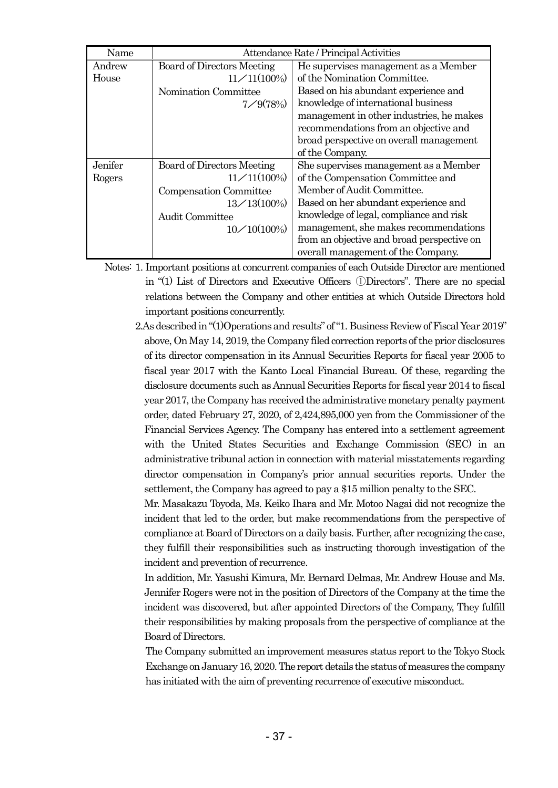| Name    |                            | Attendance Rate / Principal Activities     |
|---------|----------------------------|--------------------------------------------|
| Andrew  | Board of Directors Meeting | He supervises management as a Member       |
| House   | $11 \angle 11(100\%)$      | of the Nomination Committee.               |
|         | Nomination Committee       | Based on his abundant experience and       |
|         | 7/9(78%)                   | knowledge of international business        |
|         |                            | management in other industries, he makes   |
|         |                            | recommendations from an objective and      |
|         |                            | broad perspective on overall management    |
|         |                            | of the Company.                            |
| Jenifer | Board of Directors Meeting | She supervises management as a Member      |
| Rogers  | $11 \angle 11(100\%)$      | of the Compensation Committee and          |
|         | Compensation Committee     | Member of Audit Committee.                 |
|         | $13 \angle 13(100\%)$      | Based on her abundant experience and       |
|         | Audit Committee            | knowledge of legal, compliance and risk    |
|         | $10 \angle 10(100\%)$      | management, she makes recommendations      |
|         |                            | from an objective and broad perspective on |
|         |                            | overall management of the Company.         |

Notes: 1. Important positions at concurrent companies of each Outside Director are mentioned in "(1) List of Directors and Executive Officers ①Directors". There are no special relations between the Company and other entities at which Outside Directors hold important positions concurrently.

2.As described in "(1)Operations and results" of "1. Business Review of Fiscal Year 2019" above, On May 14, 2019, the Company filed correction reports of the prior disclosures of its director compensation in its Annual Securities Reports for fiscal year 2005 to fiscal year 2017 with the Kanto Local Financial Bureau. Of these, regarding the disclosure documents such as Annual Securities Reports for fiscal year 2014 to fiscal year 2017, the Company has received the administrative monetary penalty payment order, dated February 27, 2020, of 2,424,895,000 yen from the Commissioner of the Financial Services Agency. The Company has entered into a settlement agreement with the United States Securities and Exchange Commission (SEC) in an administrative tribunal action in connection with material misstatements regarding director compensation in Company's prior annual securities reports. Under the settlement, the Company has agreed to pay a \$15 million penalty to the SEC.

Mr. Masakazu Toyoda, Ms. Keiko Ihara and Mr. Motoo Nagai did not recognize the incident that led to the order, but make recommendations from the perspective of compliance at Board of Directors on a daily basis. Further, after recognizing the case, they fulfill their responsibilities such as instructing thorough investigation of the incident and prevention of recurrence.

In addition, Mr. Yasushi Kimura, Mr. Bernard Delmas, Mr. Andrew House and Ms. Jennifer Rogers were not in the position of Directors of the Company at the time the incident was discovered, but after appointed Directors of the Company, They fulfill their responsibilities by making proposals from the perspective of compliance at the Board of Directors.

The Company submitted an improvement measures status report to the Tokyo Stock Exchange on January 16, 2020. The report details the status of measures the company has initiated with the aim of preventing recurrence of executive misconduct.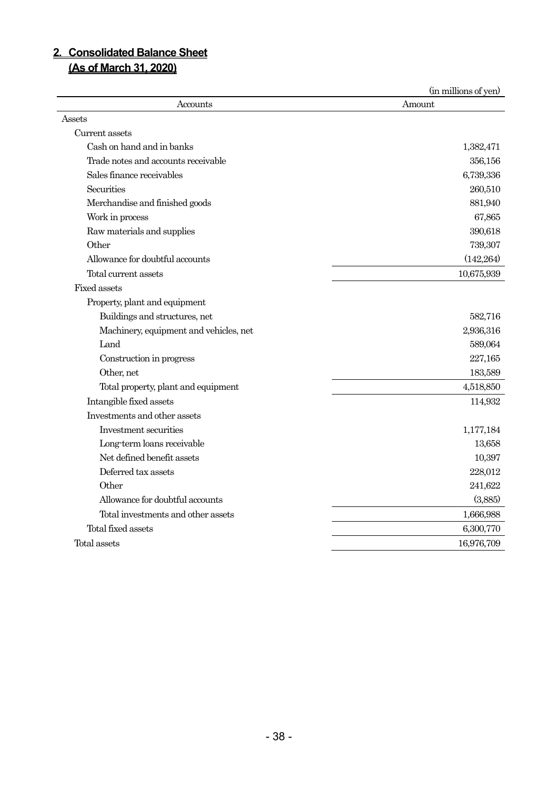# **2. Consolidated Balance Sheet (As of March 31, 2020)**

(in millions of yen) Accounts Amount Assets Current assets Cash on hand and in banks 1,382,471 Trade notes and accounts receivable 356,156 Sales finance receivables 6,739,336 Securities 260,510 Merchandise and finished goods 881,940 Work in process 67,865 Raw materials and supplies 390,618 Other 739,307 Allowance for doubtful accounts (142,264) Total current assets 10,675,939 Fixed assets Property, plant and equipment Buildings and structures, net 582,716 Machinery, equipment and vehicles, net 2,936,316 Land 589,064 Construction in progress 227,165 Other, net 183,589 Total property, plant and equipment 4,518,850 Intangible fixed assets 114,932 Investments and other assets Investment securities 1,177,184 Long-term loans receivable 13,658 Net defined benefit assets 10,397 Deferred tax assets 228,012 Other 241,622 Allowance for doubtful accounts (3,885) Total investments and other assets 1,666,988 Total fixed assets 6,300,770 Total assets 16,976,709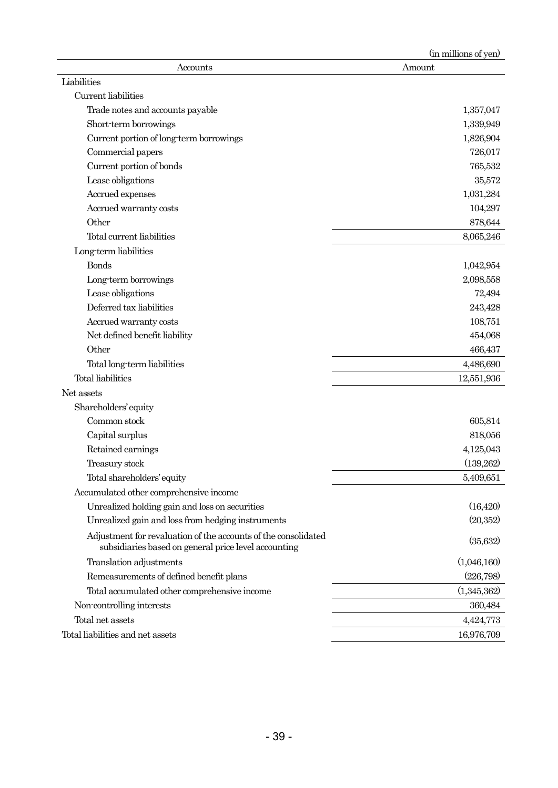|                                                                                                                        | (in millions of yen) |
|------------------------------------------------------------------------------------------------------------------------|----------------------|
| Accounts                                                                                                               | Amount               |
| Liabilities                                                                                                            |                      |
| Current liabilities                                                                                                    |                      |
| Trade notes and accounts payable                                                                                       | 1,357,047            |
| Short-term borrowings                                                                                                  | 1,339,949            |
| Current portion of long-term borrowings                                                                                | 1,826,904            |
| Commercial papers                                                                                                      | 726,017              |
| Current portion of bonds                                                                                               | 765,532              |
| Lease obligations                                                                                                      | 35,572               |
| Accrued expenses                                                                                                       | 1,031,284            |
| Accrued warranty costs                                                                                                 | 104,297              |
| Other                                                                                                                  | 878,644              |
| Total current liabilities                                                                                              | 8,065,246            |
| Long-term liabilities                                                                                                  |                      |
| <b>Bonds</b>                                                                                                           | 1,042,954            |
| Long-term borrowings                                                                                                   | 2,098,558            |
| Lease obligations                                                                                                      | 72,494               |
| Deferred tax liabilities                                                                                               | 243,428              |
| Accrued warranty costs                                                                                                 | 108,751              |
| Net defined benefit liability                                                                                          | 454,068              |
| Other                                                                                                                  | 466,437              |
| Total long-term liabilities                                                                                            | 4,486,690            |
| Total liabilities                                                                                                      | 12,551,936           |
| Net assets                                                                                                             |                      |
| Shareholders' equity                                                                                                   |                      |
| Common stock                                                                                                           | 605,814              |
| Capital surplus                                                                                                        | 818,056              |
| Retained earnings                                                                                                      | 4,125,043            |
| Treasury stock                                                                                                         | (139,262)            |
| Total shareholders' equity                                                                                             | 5,409,651            |
| Accumulated other comprehensive income                                                                                 |                      |
| Unrealized holding gain and loss on securities                                                                         | (16, 420)            |
| Unrealized gain and loss from hedging instruments                                                                      | (20, 352)            |
| Adjustment for revaluation of the accounts of the consolidated<br>subsidiaries based on general price level accounting | (35, 632)            |
| Translation adjustments                                                                                                | (1,046,160)          |
| Remeasurements of defined benefit plans                                                                                | (226, 798)           |
| Total accumulated other comprehensive income                                                                           | (1,345,362)          |
| Non-controlling interests                                                                                              | 360,484              |
| Total net assets                                                                                                       | 4,424,773            |
| Total liabilities and net assets                                                                                       | 16,976,709           |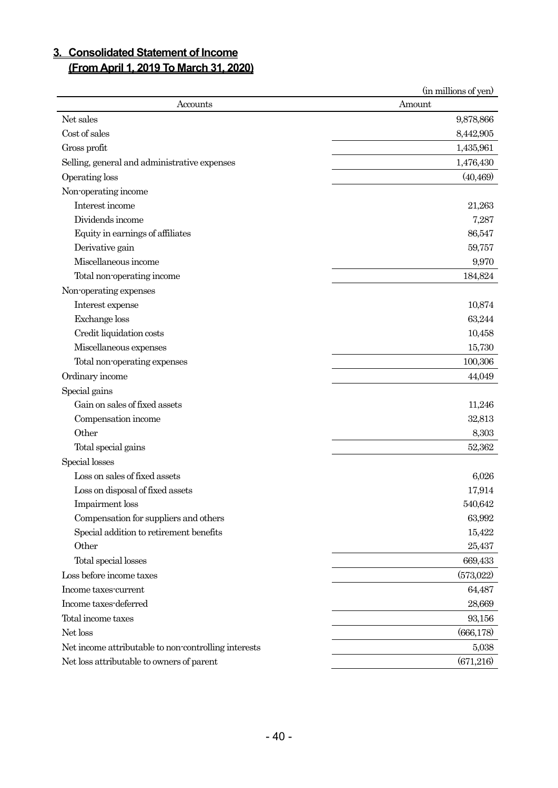# **3. Consolidated Statement of Income (From April 1, 2019 To March 31, 2020)**

|                                                      | (in millions of yen) |
|------------------------------------------------------|----------------------|
| Accounts                                             | Amount               |
| Net sales                                            | 9,878,866            |
| Cost of sales                                        | 8,442,905            |
| Gross profit                                         | 1,435,961            |
| Selling, general and administrative expenses         | 1,476,430            |
| Operating loss                                       | (40, 469)            |
| Non-operating income                                 |                      |
| Interest income                                      | 21,263               |
| Dividends income                                     | 7,287                |
| Equity in earnings of affiliates                     | 86,547               |
| Derivative gain                                      | 59,757               |
| Miscellaneous income                                 | 9,970                |
| Total non-operating income                           | 184,824              |
| Non-operating expenses                               |                      |
| Interest expense                                     | 10,874               |
| Exchange loss                                        | 63,244               |
| Credit liquidation costs                             | 10,458               |
| Miscellaneous expenses                               | 15,730               |
| Total non-operating expenses                         | 100,306              |
| Ordinary income                                      | 44,049               |
| Special gains                                        |                      |
| Gain on sales of fixed assets                        | 11,246               |
| Compensation income                                  | 32,813               |
| Other                                                | 8,303                |
| Total special gains                                  | 52,362               |
| Special losses                                       |                      |
| Loss on sales of fixed assets                        | 6,026                |
| Loss on disposal of fixed assets                     | 17,914               |
| Impairment loss                                      | 540,642              |
| Compensation for suppliers and others                | 63,992               |
| Special addition to retirement benefits              | 15,422               |
| Other                                                | 25,437               |
| Total special losses                                 | 669,433              |
| Loss before income taxes                             | (573,022)            |
| Income taxes-current                                 | 64,487               |
| Income taxes-deferred                                | 28,669               |
| Total income taxes                                   | 93,156               |
| Net loss                                             | (666, 178)           |
| Net income attributable to non-controlling interests | 5,038                |
| Net loss attributable to owners of parent            | (671,216)            |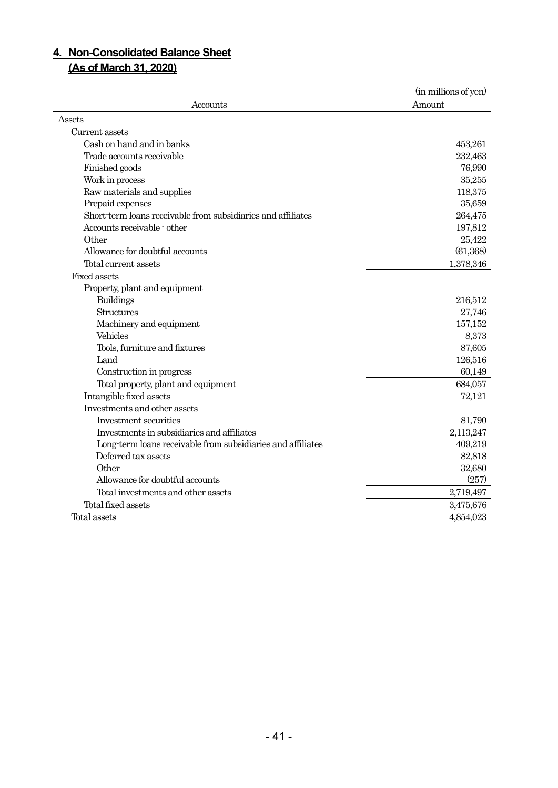# **4. Non-Consolidated Balance Sheet (As of March 31, 2020)**

| Amount<br>Accounts<br>Assets<br>Current assets<br>Cash on hand and in banks<br>453,261<br>Trade accounts receivable<br>232,463<br>Finished goods<br>76,990<br>35,255<br>Work in process<br>Raw materials and supplies<br>118,375<br>Prepaid expenses<br>35,659<br>Short-term loans receivable from subsidiaries and affiliates<br>264,475<br>Accounts receivable - other<br>197,812<br>Other<br>25,422<br>Allowance for doubtful accounts<br>(61, 368)<br>Total current assets<br>1,378,346<br><b>Fixed assets</b><br>Property, plant and equipment<br><b>Buildings</b><br>216,512<br><b>Structures</b><br>27,746<br>157,152<br>Machinery and equipment<br>Vehicles<br>8,373<br>Tools, furniture and fixtures<br>87,605<br>Land<br>126,516<br>60,149<br>Construction in progress<br>Total property, plant and equipment<br>684,057<br>Intangible fixed assets<br>72,121<br>Investments and other assets<br>Investment securities<br>81,790<br>Investments in subsidiaries and affiliates<br>2,113,247<br>Long-term loans receivable from subsidiaries and affiliates<br>409,219<br>Deferred tax assets<br>82,818<br>Other<br>32,680<br>(257)<br>Allowance for doubtful accounts<br>Total investments and other assets<br>2,719,497<br>Total fixed assets<br>3,475,676<br>Total assets<br>4,854,023 | (in millions of yen) |
|----------------------------------------------------------------------------------------------------------------------------------------------------------------------------------------------------------------------------------------------------------------------------------------------------------------------------------------------------------------------------------------------------------------------------------------------------------------------------------------------------------------------------------------------------------------------------------------------------------------------------------------------------------------------------------------------------------------------------------------------------------------------------------------------------------------------------------------------------------------------------------------------------------------------------------------------------------------------------------------------------------------------------------------------------------------------------------------------------------------------------------------------------------------------------------------------------------------------------------------------------------------------------------------------------|----------------------|
|                                                                                                                                                                                                                                                                                                                                                                                                                                                                                                                                                                                                                                                                                                                                                                                                                                                                                                                                                                                                                                                                                                                                                                                                                                                                                                    |                      |
|                                                                                                                                                                                                                                                                                                                                                                                                                                                                                                                                                                                                                                                                                                                                                                                                                                                                                                                                                                                                                                                                                                                                                                                                                                                                                                    |                      |
|                                                                                                                                                                                                                                                                                                                                                                                                                                                                                                                                                                                                                                                                                                                                                                                                                                                                                                                                                                                                                                                                                                                                                                                                                                                                                                    |                      |
|                                                                                                                                                                                                                                                                                                                                                                                                                                                                                                                                                                                                                                                                                                                                                                                                                                                                                                                                                                                                                                                                                                                                                                                                                                                                                                    |                      |
|                                                                                                                                                                                                                                                                                                                                                                                                                                                                                                                                                                                                                                                                                                                                                                                                                                                                                                                                                                                                                                                                                                                                                                                                                                                                                                    |                      |
|                                                                                                                                                                                                                                                                                                                                                                                                                                                                                                                                                                                                                                                                                                                                                                                                                                                                                                                                                                                                                                                                                                                                                                                                                                                                                                    |                      |
|                                                                                                                                                                                                                                                                                                                                                                                                                                                                                                                                                                                                                                                                                                                                                                                                                                                                                                                                                                                                                                                                                                                                                                                                                                                                                                    |                      |
|                                                                                                                                                                                                                                                                                                                                                                                                                                                                                                                                                                                                                                                                                                                                                                                                                                                                                                                                                                                                                                                                                                                                                                                                                                                                                                    |                      |
|                                                                                                                                                                                                                                                                                                                                                                                                                                                                                                                                                                                                                                                                                                                                                                                                                                                                                                                                                                                                                                                                                                                                                                                                                                                                                                    |                      |
|                                                                                                                                                                                                                                                                                                                                                                                                                                                                                                                                                                                                                                                                                                                                                                                                                                                                                                                                                                                                                                                                                                                                                                                                                                                                                                    |                      |
|                                                                                                                                                                                                                                                                                                                                                                                                                                                                                                                                                                                                                                                                                                                                                                                                                                                                                                                                                                                                                                                                                                                                                                                                                                                                                                    |                      |
|                                                                                                                                                                                                                                                                                                                                                                                                                                                                                                                                                                                                                                                                                                                                                                                                                                                                                                                                                                                                                                                                                                                                                                                                                                                                                                    |                      |
|                                                                                                                                                                                                                                                                                                                                                                                                                                                                                                                                                                                                                                                                                                                                                                                                                                                                                                                                                                                                                                                                                                                                                                                                                                                                                                    |                      |
|                                                                                                                                                                                                                                                                                                                                                                                                                                                                                                                                                                                                                                                                                                                                                                                                                                                                                                                                                                                                                                                                                                                                                                                                                                                                                                    |                      |
|                                                                                                                                                                                                                                                                                                                                                                                                                                                                                                                                                                                                                                                                                                                                                                                                                                                                                                                                                                                                                                                                                                                                                                                                                                                                                                    |                      |
|                                                                                                                                                                                                                                                                                                                                                                                                                                                                                                                                                                                                                                                                                                                                                                                                                                                                                                                                                                                                                                                                                                                                                                                                                                                                                                    |                      |
|                                                                                                                                                                                                                                                                                                                                                                                                                                                                                                                                                                                                                                                                                                                                                                                                                                                                                                                                                                                                                                                                                                                                                                                                                                                                                                    |                      |
|                                                                                                                                                                                                                                                                                                                                                                                                                                                                                                                                                                                                                                                                                                                                                                                                                                                                                                                                                                                                                                                                                                                                                                                                                                                                                                    |                      |
|                                                                                                                                                                                                                                                                                                                                                                                                                                                                                                                                                                                                                                                                                                                                                                                                                                                                                                                                                                                                                                                                                                                                                                                                                                                                                                    |                      |
|                                                                                                                                                                                                                                                                                                                                                                                                                                                                                                                                                                                                                                                                                                                                                                                                                                                                                                                                                                                                                                                                                                                                                                                                                                                                                                    |                      |
|                                                                                                                                                                                                                                                                                                                                                                                                                                                                                                                                                                                                                                                                                                                                                                                                                                                                                                                                                                                                                                                                                                                                                                                                                                                                                                    |                      |
|                                                                                                                                                                                                                                                                                                                                                                                                                                                                                                                                                                                                                                                                                                                                                                                                                                                                                                                                                                                                                                                                                                                                                                                                                                                                                                    |                      |
|                                                                                                                                                                                                                                                                                                                                                                                                                                                                                                                                                                                                                                                                                                                                                                                                                                                                                                                                                                                                                                                                                                                                                                                                                                                                                                    |                      |
|                                                                                                                                                                                                                                                                                                                                                                                                                                                                                                                                                                                                                                                                                                                                                                                                                                                                                                                                                                                                                                                                                                                                                                                                                                                                                                    |                      |
|                                                                                                                                                                                                                                                                                                                                                                                                                                                                                                                                                                                                                                                                                                                                                                                                                                                                                                                                                                                                                                                                                                                                                                                                                                                                                                    |                      |
|                                                                                                                                                                                                                                                                                                                                                                                                                                                                                                                                                                                                                                                                                                                                                                                                                                                                                                                                                                                                                                                                                                                                                                                                                                                                                                    |                      |
|                                                                                                                                                                                                                                                                                                                                                                                                                                                                                                                                                                                                                                                                                                                                                                                                                                                                                                                                                                                                                                                                                                                                                                                                                                                                                                    |                      |
|                                                                                                                                                                                                                                                                                                                                                                                                                                                                                                                                                                                                                                                                                                                                                                                                                                                                                                                                                                                                                                                                                                                                                                                                                                                                                                    |                      |
|                                                                                                                                                                                                                                                                                                                                                                                                                                                                                                                                                                                                                                                                                                                                                                                                                                                                                                                                                                                                                                                                                                                                                                                                                                                                                                    |                      |
|                                                                                                                                                                                                                                                                                                                                                                                                                                                                                                                                                                                                                                                                                                                                                                                                                                                                                                                                                                                                                                                                                                                                                                                                                                                                                                    |                      |
|                                                                                                                                                                                                                                                                                                                                                                                                                                                                                                                                                                                                                                                                                                                                                                                                                                                                                                                                                                                                                                                                                                                                                                                                                                                                                                    |                      |
|                                                                                                                                                                                                                                                                                                                                                                                                                                                                                                                                                                                                                                                                                                                                                                                                                                                                                                                                                                                                                                                                                                                                                                                                                                                                                                    |                      |
|                                                                                                                                                                                                                                                                                                                                                                                                                                                                                                                                                                                                                                                                                                                                                                                                                                                                                                                                                                                                                                                                                                                                                                                                                                                                                                    |                      |
|                                                                                                                                                                                                                                                                                                                                                                                                                                                                                                                                                                                                                                                                                                                                                                                                                                                                                                                                                                                                                                                                                                                                                                                                                                                                                                    |                      |
|                                                                                                                                                                                                                                                                                                                                                                                                                                                                                                                                                                                                                                                                                                                                                                                                                                                                                                                                                                                                                                                                                                                                                                                                                                                                                                    |                      |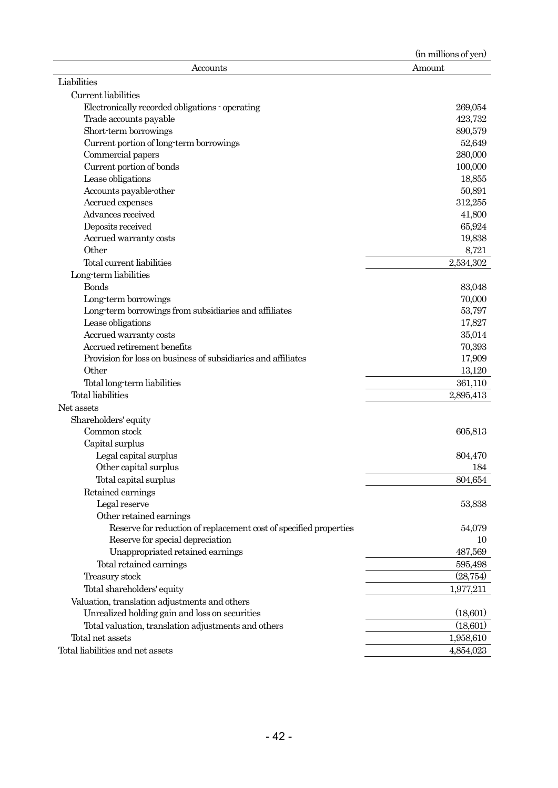|                                                                         | (in millions of yen) |
|-------------------------------------------------------------------------|----------------------|
| Accounts                                                                | Amount               |
| Liabilities                                                             |                      |
| Current liabilities                                                     |                      |
| Electronically recorded obligations - operating                         | 269,054              |
| Trade accounts payable                                                  | 423,732              |
| Short-term borrowings                                                   | 890,579              |
| Current portion of long-term borrowings                                 | 52,649               |
| Commercial papers                                                       | 280,000              |
| Current portion of bonds                                                | 100,000              |
| Lease obligations                                                       | 18,855               |
| Accounts payable-other                                                  | 50,891               |
| Accrued expenses                                                        | 312,255              |
| Advances received                                                       | 41,800               |
| Deposits received                                                       | 65,924               |
| Accrued warranty costs                                                  | 19,838               |
| Other                                                                   | 8,721                |
| Total current liabilities                                               | 2,534,302            |
| Long-term liabilities                                                   |                      |
| <b>Bonds</b>                                                            | 83,048               |
| Long-term borrowings                                                    | 70,000               |
| Long-term borrowings from subsidiaries and affiliates                   | 53,797               |
| Lease obligations                                                       | 17,827               |
| Accrued warranty costs                                                  | 35,014               |
| Accrued retirement benefits                                             | 70,393               |
| Provision for loss on business of subsidiaries and affiliates           | 17,909               |
| Other                                                                   | 13,120               |
| Total long-term liabilities                                             | 361,110              |
| Total liabilities                                                       | 2,895,413            |
| Net assets                                                              |                      |
| Shareholders' equity                                                    |                      |
| Common stock                                                            | 605,813              |
| Capital surplus                                                         |                      |
| Legal capital surplus                                                   | 804,470              |
| Other capital surplus                                                   | 184                  |
| Total capital surplus                                                   | 804,654              |
| Retained earnings                                                       |                      |
| Legal reserve                                                           | 53,838               |
| Other retained earnings                                                 |                      |
| Reserve for reduction of replacement cost of specified properties       | 54,079               |
| Reserve for special depreciation                                        | 10                   |
| Unappropriated retained earnings                                        | 487,569              |
| Total retained earnings                                                 | 595,498              |
| Treasury stock                                                          | (28, 754)            |
| Total shareholders' equity                                              | 1,977,211            |
| Valuation, translation adjustments and others                           |                      |
| Unrealized holding gain and loss on securities                          | (18,601)             |
|                                                                         | (18,601)             |
| Total valuation, translation adjustments and others<br>Total net assets |                      |
|                                                                         | 1,958,610            |
| Total liabilities and net assets                                        | 4,854,023            |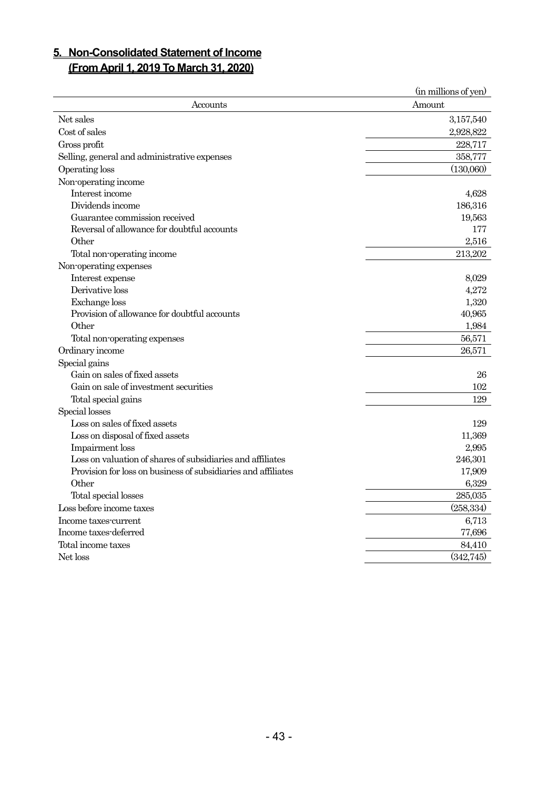# **5. Non-Consolidated Statement of Income (From April 1, 2019 To March 31, 2020)**

|                                                               | (in millions of yen) |
|---------------------------------------------------------------|----------------------|
| Accounts                                                      | Amount               |
| Net sales                                                     | 3,157,540            |
| Cost of sales                                                 | 2,928,822            |
| Gross profit                                                  | 228,717              |
| Selling, general and administrative expenses                  | 358,777              |
| Operating loss                                                | (130,060)            |
| Non-operating income                                          |                      |
| Interest income                                               | 4,628                |
| Dividends income                                              | 186,316              |
| Guarantee commission received                                 | 19,563               |
| Reversal of allowance for doubtful accounts                   | 177                  |
| Other                                                         | 2,516                |
| Total non-operating income                                    | 213,202              |
| Non-operating expenses                                        |                      |
| Interest expense                                              | 8,029                |
| Derivative loss                                               | 4,272                |
| Exchange loss                                                 | 1,320                |
| Provision of allowance for doubtful accounts                  | 40,965               |
| Other                                                         | 1,984                |
| Total non-operating expenses                                  | 56,571               |
| Ordinary income                                               | 26,571               |
| Special gains                                                 |                      |
| Gain on sales of fixed assets                                 | 26                   |
| Gain on sale of investment securities                         | 102                  |
| Total special gains                                           | 129                  |
| Special losses                                                |                      |
| Loss on sales of fixed assets                                 | 129                  |
| Loss on disposal of fixed assets                              | 11,369               |
| Impairment loss                                               | 2,995                |
| Loss on valuation of shares of subsidiaries and affiliates    | 246,301              |
| Provision for loss on business of subsidiaries and affiliates | 17,909               |
| Other                                                         | 6,329                |
| Total special losses                                          | 285,035              |
| Loss before income taxes                                      | (258, 334)           |
| Income taxes-current                                          | 6,713                |
| Income taxes-deferred                                         | 77,696               |
| Total income taxes                                            | 84,410               |
| Net loss                                                      | (342,745)            |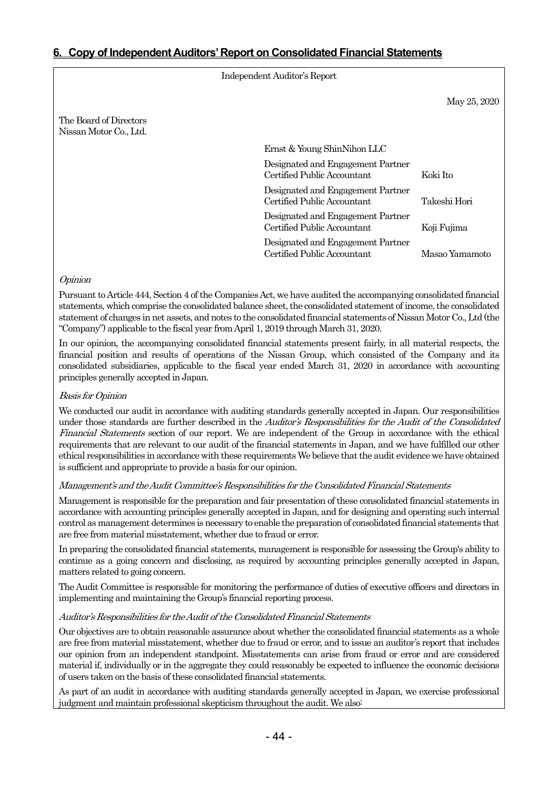# **6. Copy of Independent Auditors' Report on Consolidated Financial Statements**

Independent Auditor's Report

May 25, 2020

|                                                  |                                                                  | May 25, 2020   |
|--------------------------------------------------|------------------------------------------------------------------|----------------|
| The Board of Directors<br>Nissan Motor Co., Ltd. |                                                                  |                |
|                                                  | Ernst & Young ShinNihon LLC                                      |                |
|                                                  | Designated and Engagement Partner<br>Certified Public Accountant | Koki Ito       |
|                                                  | Designated and Engagement Partner<br>Certified Public Accountant | Takeshi Hori   |
|                                                  | Designated and Engagement Partner<br>Certified Public Accountant | Koji Fujima    |
|                                                  | Designated and Engagement Partner<br>Certified Public Accountant | Masao Yamamoto |

#### **Opinion**

Pursuant to Article 444, Section 4 of the Companies Act, we have audited the accompanying consolidated financial statements, which comprise the consolidated balance sheet, the consolidated statement of income, the consolidated statement of changes in net assets, and notes to the consolidated financial statements of Nissan Motor Co., Ltd (the "Company") applicable to the fiscal year from April 1, 2019 through March 31, 2020.

In our opinion, the accompanying consolidated financial statements present fairly, in all material respects, the financial position and results of operations of the Nissan Group, which consisted of the Company and its consolidated subsidiaries, applicable to the fiscal year ended March 31, 2020 in accordance with accounting principles generally accepted in Japan.

### Basis for Opinion

We conducted our audit in accordance with auditing standards generally accepted in Japan. Our responsibilities under those standards are further described in the Auditor's Responsibilities for the Audit of the Consolidated Financial Statements section of our report. We are independent of the Group in accordance with the ethical requirements that are relevant to our audit of the financial statements in Japan, and we have fulfilled our other ethical responsibilities in accordance with these requirements We believe that the audit evidence we have obtained is sufficient and appropriate to provide a basis for our opinion.

### Management's and the Audit Committee's Responsibilities for the Consolidated Financial Statements

Management is responsible for the preparation and fair presentation of these consolidated financial statements in accordance with accounting principles generally accepted in Japan, and for designing and operating such internal control as management determines is necessary to enable the preparation of consolidated financial statements that are free from material misstatement, whether due to fraud or error.

In preparing the consolidated financial statements, management is responsible for assessing the Group's ability to continue as a going concern and disclosing, as required by accounting principles generally accepted in Japan, matters related to going concern.

The Audit Committee is responsible for monitoring the performance of duties of executive officers and directors in implementing and maintaining the Group's financial reporting process.

### Auditor's Responsibilities for the Audit of the Consolidated Financial Statements

Our objectives are to obtain reasonable assurance about whether the consolidated financial statements as a whole are free from material misstatement, whether due to fraud or error, and to issue an auditor's report that includes our opinion from an independent standpoint. Misstatements can arise from fraud or error and are considered material if, individually or in the aggregate they could reasonably be expected to influence the economic decisions of users taken on the basis of these consolidated financial statements.

As part of an audit in accordance with auditing standards generally accepted in Japan, we exercise professional judgment and maintain professional skepticism throughout the audit. We also: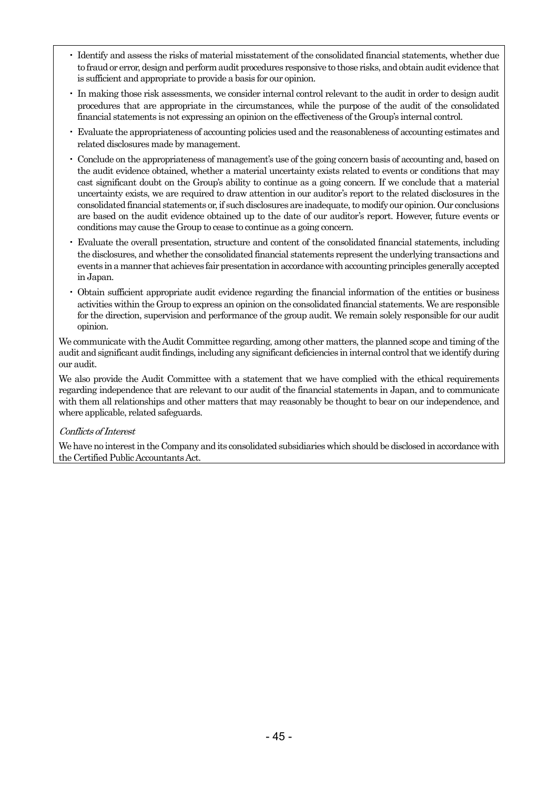- ・ Identify and assess the risks of material misstatement of the consolidated financial statements, whether due to fraud or error, design and perform audit procedures responsive to those risks, and obtain audit evidence that is sufficient and appropriate to provide a basis for our opinion.
- ・ In making those risk assessments, we consider internal control relevant to the audit in order to design audit procedures that are appropriate in the circumstances, while the purpose of the audit of the consolidated financial statements is not expressing an opinion on the effectiveness of the Group's internal control.
- ・ Evaluate the appropriateness of accounting policies used and the reasonableness of accounting estimates and related disclosures made by management.
- ・ Conclude on the appropriateness of management's use of the going concern basis of accounting and, based on the audit evidence obtained, whether a material uncertainty exists related to events or conditions that may cast significant doubt on the Group's ability to continue as a going concern. If we conclude that a material uncertainty exists, we are required to draw attention in our auditor's report to the related disclosures in the consolidated financial statements or, if such disclosures are inadequate, to modify our opinion. Our conclusions are based on the audit evidence obtained up to the date of our auditor's report. However, future events or conditions may cause the Group to cease to continue as a going concern.
- ・ Evaluate the overall presentation, structure and content of the consolidated financial statements, including the disclosures, and whether the consolidated financial statements represent the underlying transactions and events in a manner that achieves fair presentation in accordance with accounting principles generally accepted in Japan.
- ・ Obtain sufficient appropriate audit evidence regarding the financial information of the entities or business activities within the Group to express an opinion on the consolidated financial statements. We are responsible for the direction, supervision and performance of the group audit. We remain solely responsible for our audit opinion.

We communicate with the Audit Committee regarding, among other matters, the planned scope and timing of the audit and significant audit findings, including any significant deficiencies in internal control that we identify during our audit.

We also provide the Audit Committee with a statement that we have complied with the ethical requirements regarding independence that are relevant to our audit of the financial statements in Japan, and to communicate with them all relationships and other matters that may reasonably be thought to bear on our independence, and where applicable, related safeguards.

### Conflicts of Interest

We have no interest in the Company and its consolidated subsidiaries which should be disclosed in accordance with the Certified Public Accountants Act.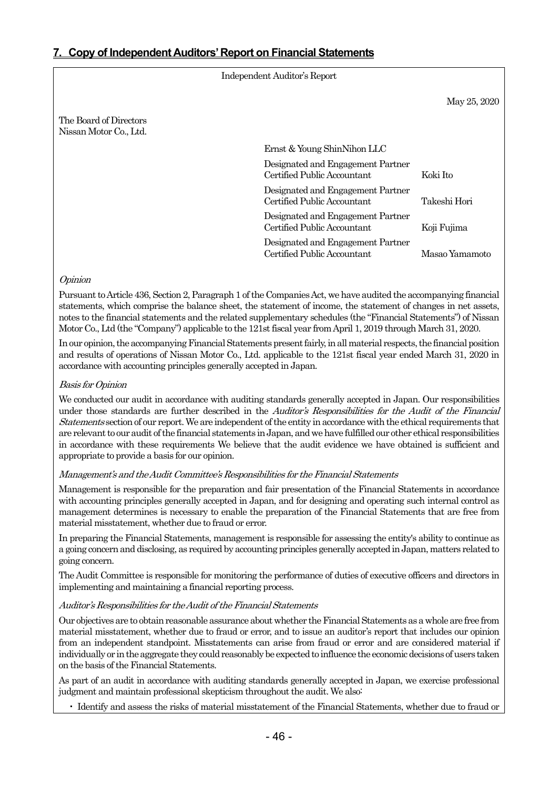# **7. Copy of Independent Auditors' Report on Financial Statements**

Independent Auditor's Report

|                                                  |                                                                  | May 25, 2020   |
|--------------------------------------------------|------------------------------------------------------------------|----------------|
| The Board of Directors<br>Nissan Motor Co., Ltd. |                                                                  |                |
|                                                  | Ernst & Young ShinNihon LLC                                      |                |
|                                                  | Designated and Engagement Partner<br>Certified Public Accountant | Koki Ito       |
|                                                  | Designated and Engagement Partner<br>Certified Public Accountant | Takeshi Hori   |
|                                                  | Designated and Engagement Partner<br>Certified Public Accountant | Koji Fujima    |
|                                                  | Designated and Engagement Partner<br>Certified Public Accountant | Masao Yamamoto |

#### **Opinion**

Pursuant to Article 436, Section 2, Paragraph 1 of the Companies Act, we have audited the accompanying financial statements, which comprise the balance sheet, the statement of income, the statement of changes in net assets, notes to the financial statements and the related supplementary schedules (the "Financial Statements") of Nissan Motor Co., Ltd (the "Company") applicable to the 121st fiscal year from April 1, 2019 through March 31, 2020.

In our opinion, the accompanying Financial Statements present fairly, in all material respects, the financial position and results of operations of Nissan Motor Co., Ltd. applicable to the 121st fiscal year ended March 31, 2020 in accordance with accounting principles generally accepted in Japan.

#### Basis for Opinion

We conducted our audit in accordance with auditing standards generally accepted in Japan. Our responsibilities under those standards are further described in the Auditor's Responsibilities for the Audit of the Financial Statements section of our report. We are independent of the entity in accordance with the ethical requirements that are relevant to our audit of the financial statements in Japan, and we have fulfilled our other ethical responsibilities in accordance with these requirements We believe that the audit evidence we have obtained is sufficient and appropriate to provide a basis for our opinion.

### Management's and the Audit Committee's Responsibilities for the Financial Statements

Management is responsible for the preparation and fair presentation of the Financial Statements in accordance with accounting principles generally accepted in Japan, and for designing and operating such internal control as management determines is necessary to enable the preparation of the Financial Statements that are free from material misstatement, whether due to fraud or error.

In preparing the Financial Statements, management is responsible for assessing the entity's ability to continue as a going concern and disclosing, as required by accounting principles generally accepted in Japan, matters related to going concern.

The Audit Committee is responsible for monitoring the performance of duties of executive officers and directors in implementing and maintaining a financial reporting process.

#### Auditor's Responsibilities for the Audit of the Financial Statements

Our objectives are to obtain reasonable assurance about whether the Financial Statements as a whole are free from material misstatement, whether due to fraud or error, and to issue an auditor's report that includes our opinion from an independent standpoint. Misstatements can arise from fraud or error and are considered material if individually or in the aggregate they could reasonably be expected to influence the economic decisions of users taken on the basis of the Financial Statements.

As part of an audit in accordance with auditing standards generally accepted in Japan, we exercise professional judgment and maintain professional skepticism throughout the audit. We also:

・ Identify and assess the risks of material misstatement of the Financial Statements, whether due to fraud or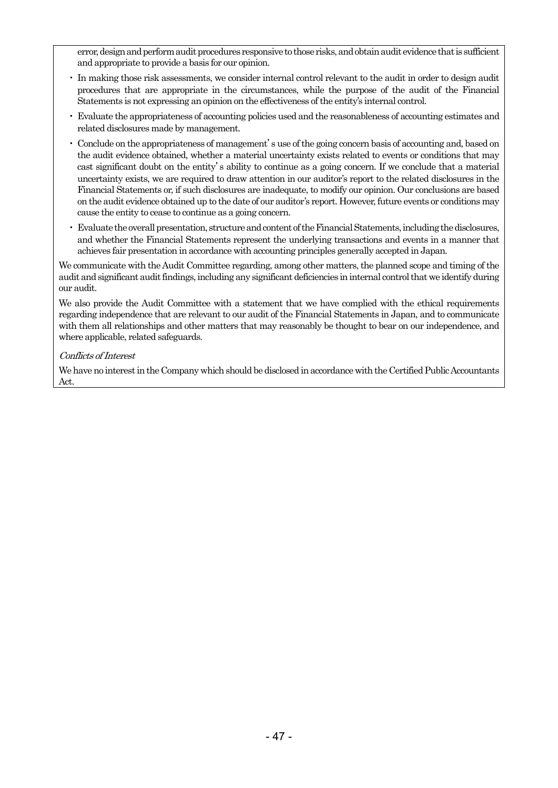error, design and perform audit procedures responsive to those risks, and obtain audit evidence that is sufficient and appropriate to provide a basis for our opinion.

- ・ In making those risk assessments, we consider internal control relevant to the audit in order to design audit procedures that are appropriate in the circumstances, while the purpose of the audit of the Financial Statements is not expressing an opinion on the effectiveness of the entity's internal control.
- ・ Evaluate the appropriateness of accounting policies used and the reasonableness of accounting estimates and related disclosures made by management.
- ・ Conclude on the appropriateness of management's use of the going concern basis of accounting and, based on the audit evidence obtained, whether a material uncertainty exists related to events or conditions that may cast significant doubt on the entity's ability to continue as a going concern. If we conclude that a material uncertainty exists, we are required to draw attention in our auditor's report to the related disclosures in the Financial Statements or, if such disclosures are inadequate, to modify our opinion. Our conclusions are based on the audit evidence obtained up to the date of our auditor's report. However, future events or conditions may cause the entity to cease to continue as a going concern.
- ・ Evaluate the overall presentation, structure and content of the Financial Statements, including the disclosures, and whether the Financial Statements represent the underlying transactions and events in a manner that achieves fair presentation in accordance with accounting principles generally accepted in Japan.

We communicate with the Audit Committee regarding, among other matters, the planned scope and timing of the audit and significant audit findings, including any significant deficiencies in internal control that we identify during our audit.

We also provide the Audit Committee with a statement that we have complied with the ethical requirements regarding independence that are relevant to our audit of the Financial Statements in Japan, and to communicate with them all relationships and other matters that may reasonably be thought to bear on our independence, and where applicable, related safeguards.

### Conflicts of Interest

We have no interest in the Company which should be disclosed in accordance with the Certified Public Accountants Act.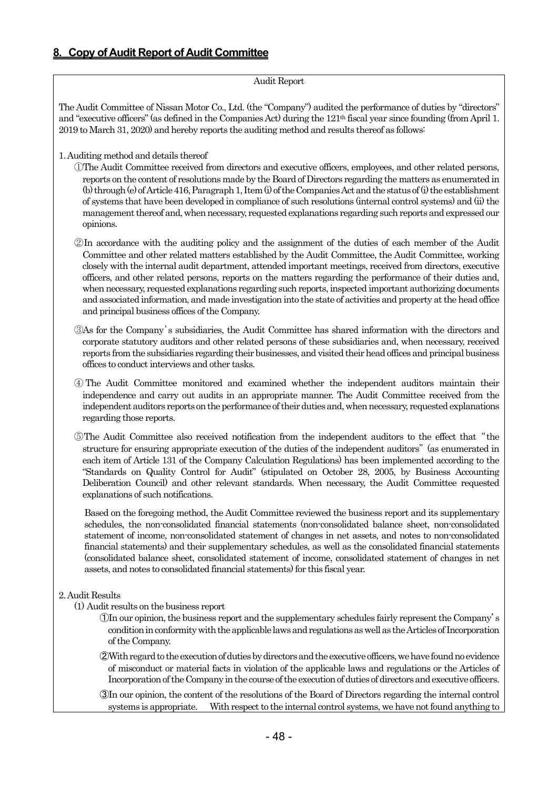### Audit Report

The Audit Committee of Nissan Motor Co., Ltd. (the "Company") audited the performance of duties by "directors" and "executive officers" (as defined in the Companies Act) during the 121th fiscal year since founding (from April 1. 2019 to March 31, 2020) and hereby reports the auditing method and results thereof as follows:

1. Auditing method and details thereof

①The Audit Committee received from directors and executive officers, employees, and other related persons, reports on the content of resolutions made by the Board of Directors regarding the matters as enumerated in (b) through (e) of Article 416, Paragraph 1, Item (i) of the Companies Act and the status of (i) the establishment of systems that have been developed in compliance of such resolutions (internal control systems) and (ii) the management thereof and, when necessary, requested explanations regarding such reports and expressed our opinions.

②In accordance with the auditing policy and the assignment of the duties of each member of the Audit Committee and other related matters established by the Audit Committee, the Audit Committee, working closely with the internal audit department, attended important meetings, received from directors, executive officers, and other related persons, reports on the matters regarding the performance of their duties and, when necessary, requested explanations regarding such reports, inspected important authorizing documents and associated information, and made investigation into the state of activities and property at the head office and principal business offices of the Company.

③As for the Company's subsidiaries, the Audit Committee has shared information with the directors and corporate statutory auditors and other related persons of these subsidiaries and, when necessary, received reports from the subsidiaries regarding their businesses, and visited their head offices and principal business offices to conduct interviews and other tasks.

④ The Audit Committee monitored and examined whether the independent auditors maintain their independence and carry out audits in an appropriate manner. The Audit Committee received from the independent auditors reports on the performance of their duties and, when necessary, requested explanations regarding those reports.

⑤The Audit Committee also received notification from the independent auditors to the effect that "the structure for ensuring appropriate execution of the duties of the independent auditors" (as enumerated in each item of Article 131 of the Company Calculation Regulations) has been implemented according to the "Standards on Quality Control for Audit" (stipulated on October 28, 2005, by Business Accounting Deliberation Council) and other relevant standards. When necessary, the Audit Committee requested explanations of such notifications.

Based on the foregoing method, the Audit Committee reviewed the business report and its supplementary schedules, the non-consolidated financial statements (non-consolidated balance sheet, non-consolidated statement of income, non-consolidated statement of changes in net assets, and notes to non-consolidated financial statements) and their supplementary schedules, as well as the consolidated financial statements (consolidated balance sheet, consolidated statement of income, consolidated statement of changes in net assets, and notes to consolidated financial statements) for this fiscal year.

### 2. Audit Results

- (1) Audit results on the business report
	- ①In our opinion, the business report and the supplementary schedules fairly represent the Company's condition in conformity with the applicable laws and regulations as well as the Articles of Incorporation of the Company.
	- ②With regard to the execution of duties by directors and the executive officers, we have found no evidence of misconduct or material facts in violation of the applicable laws and regulations or the Articles of Incorporation of the Company in the course of the execution of duties of directors and executive officers.

③In our opinion, the content of the resolutions of the Board of Directors regarding the internal control systems is appropriate. With respect to the internal control systems, we have not found anything to